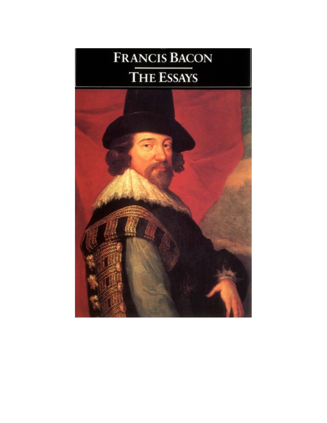# Francis Bacon THE ESSAYS

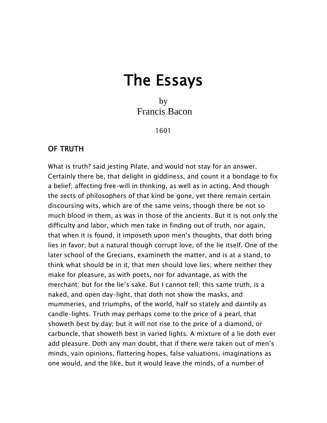# The Essays

 by Francis Bacon

1601

#### OF TRUTH

What is truth? said jesting Pilate, and would not stay for an answer. Certainly there be, that delight in giddiness, and count it a bondage to fix a belief; affecting free–will in thinking, as well as in acting. And though the sects of philosophers of that kind be gone, yet there remain certain discoursing wits, which are of the same veins, though there be not so much blood in them, as was in those of the ancients. But it is not only the difficulty and labor, which men take in finding out of truth, nor again, that when it is found, it imposeth upon men's thoughts, that doth bring lies in favor; but a natural though corrupt love, of the lie itself. One of the later school of the Grecians, examineth the matter, and is at a stand, to think what should be in it, that men should love lies; where neither they make for pleasure, as with poets, nor for advantage, as with the merchant; but for the lie's sake. But I cannot tell; this same truth, is a naked, and open day–light, that doth not show the masks, and mummeries, and triumphs, of the world, half so stately and daintily as candle–lights. Truth may perhaps come to the price of a pearl, that showeth best by day; but it will not rise to the price of a diamond, or carbuncle, that showeth best in varied lights. A mixture of a lie doth ever add pleasure. Doth any man doubt, that if there were taken out of men's minds, vain opinions, flattering hopes, false valuations, imaginations as one would, and the like, but it would leave the minds, of a number of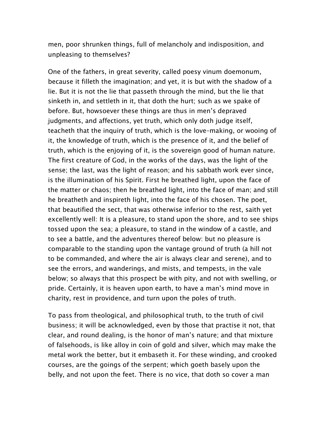men, poor shrunken things, full of melancholy and indisposition, and unpleasing to themselves?

One of the fathers, in great severity, called poesy vinum doemonum, because it filleth the imagination; and yet, it is but with the shadow of a lie. But it is not the lie that passeth through the mind, but the lie that sinketh in, and settleth in it, that doth the hurt; such as we spake of before. But, howsoever these things are thus in men's depraved judgments, and affections, yet truth, which only doth judge itself, teacheth that the inquiry of truth, which is the love–making, or wooing of it, the knowledge of truth, which is the presence of it, and the belief of truth, which is the enjoying of it, is the sovereign good of human nature. The first creature of God, in the works of the days, was the light of the sense; the last, was the light of reason; and his sabbath work ever since, is the illumination of his Spirit. First he breathed light, upon the face of the matter or chaos; then he breathed light, into the face of man; and still he breatheth and inspireth light, into the face of his chosen. The poet, that beautified the sect, that was otherwise inferior to the rest, saith yet excellently well: It is a pleasure, to stand upon the shore, and to see ships tossed upon the sea; a pleasure, to stand in the window of a castle, and to see a battle, and the adventures thereof below: but no pleasure is comparable to the standing upon the vantage ground of truth (a hill not to be commanded, and where the air is always clear and serene), and to see the errors, and wanderings, and mists, and tempests, in the vale below; so always that this prospect be with pity, and not with swelling, or pride. Certainly, it is heaven upon earth, to have a man's mind move in charity, rest in providence, and turn upon the poles of truth.

To pass from theological, and philosophical truth, to the truth of civil business; it will be acknowledged, even by those that practise it not, that clear, and round dealing, is the honor of man's nature; and that mixture of falsehoods, is like alloy in coin of gold and silver, which may make the metal work the better, but it embaseth it. For these winding, and crooked courses, are the goings of the serpent; which goeth basely upon the belly, and not upon the feet. There is no vice, that doth so cover a man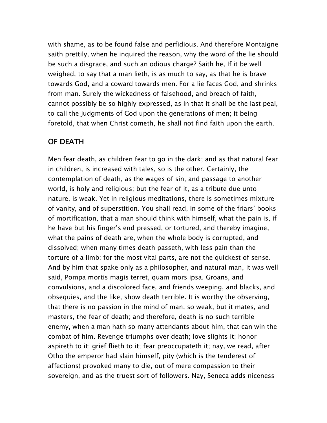with shame, as to be found false and perfidious. And therefore Montaigne saith prettily, when he inquired the reason, why the word of the lie should be such a disgrace, and such an odious charge? Saith he, If it be well weighed, to say that a man lieth, is as much to say, as that he is brave towards God, and a coward towards men. For a lie faces God, and shrinks from man. Surely the wickedness of falsehood, and breach of faith, cannot possibly be so highly expressed, as in that it shall be the last peal, to call the judgments of God upon the generations of men; it being foretold, that when Christ cometh, he shall not find faith upon the earth.

## OF DEATH

Men fear death, as children fear to go in the dark; and as that natural fear in children, is increased with tales, so is the other. Certainly, the contemplation of death, as the wages of sin, and passage to another world, is holy and religious; but the fear of it, as a tribute due unto nature, is weak. Yet in religious meditations, there is sometimes mixture of vanity, and of superstition. You shall read, in some of the friars' books of mortification, that a man should think with himself, what the pain is, if he have but his finger's end pressed, or tortured, and thereby imagine, what the pains of death are, when the whole body is corrupted, and dissolved; when many times death passeth, with less pain than the torture of a limb; for the most vital parts, are not the quickest of sense. And by him that spake only as a philosopher, and natural man, it was well said, Pompa mortis magis terret, quam mors ipsa. Groans, and convulsions, and a discolored face, and friends weeping, and blacks, and obsequies, and the like, show death terrible. It is worthy the observing, that there is no passion in the mind of man, so weak, but it mates, and masters, the fear of death; and therefore, death is no such terrible enemy, when a man hath so many attendants about him, that can win the combat of him. Revenge triumphs over death; love slights it; honor aspireth to it; grief flieth to it; fear preoccupateth it; nay, we read, after Otho the emperor had slain himself, pity (which is the tenderest of affections) provoked many to die, out of mere compassion to their sovereign, and as the truest sort of followers. Nay, Seneca adds niceness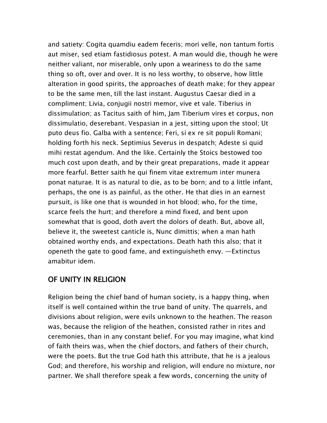and satiety: Cogita quamdiu eadem feceris; mori velle, non tantum fortis aut miser, sed etiam fastidiosus potest. A man would die, though he were neither valiant, nor miserable, only upon a weariness to do the same thing so oft, over and over. It is no less worthy, to observe, how little alteration in good spirits, the approaches of death make; for they appear to be the same men, till the last instant. Augustus Caesar died in a compliment; Livia, conjugii nostri memor, vive et vale. Tiberius in dissimulation; as Tacitus saith of him, Jam Tiberium vires et corpus, non dissimulatio, deserebant. Vespasian in a jest, sitting upon the stool; Ut puto deus fio. Galba with a sentence; Feri, si ex re sit populi Romani; holding forth his neck. Septimius Severus in despatch; Adeste si quid mihi restat agendum. And the like. Certainly the Stoics bestowed too much cost upon death, and by their great preparations, made it appear more fearful. Better saith he qui finem vitae extremum inter munera ponat naturae. It is as natural to die, as to be born; and to a little infant, perhaps, the one is as painful, as the other. He that dies in an earnest pursuit, is like one that is wounded in hot blood; who, for the time, scarce feels the hurt; and therefore a mind fixed, and bent upon somewhat that is good, doth avert the dolors of death. But, above all, believe it, the sweetest canticle is, Nunc dimittis; when a man hath obtained worthy ends, and expectations. Death hath this also; that it openeth the gate to good fame, and extinguisheth envy. —Extinctus amabitur idem.

#### OF UNITY IN RELIGION

Religion being the chief band of human society, is a happy thing, when itself is well contained within the true band of unity. The quarrels, and divisions about religion, were evils unknown to the heathen. The reason was, because the religion of the heathen, consisted rather in rites and ceremonies, than in any constant belief. For you may imagine, what kind of faith theirs was, when the chief doctors, and fathers of their church, were the poets. But the true God hath this attribute, that he is a jealous God; and therefore, his worship and religion, will endure no mixture, nor partner. We shall therefore speak a few words, concerning the unity of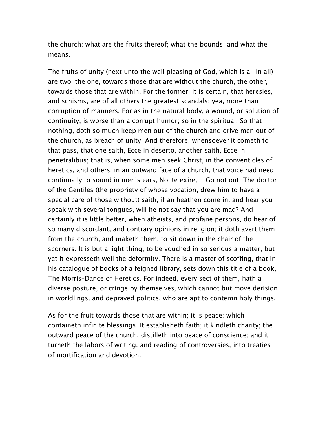the church; what are the fruits thereof; what the bounds; and what the means.

The fruits of unity (next unto the well pleasing of God, which is all in all) are two: the one, towards those that are without the church, the other, towards those that are within. For the former; it is certain, that heresies, and schisms, are of all others the greatest scandals; yea, more than corruption of manners. For as in the natural body, a wound, or solution of continuity, is worse than a corrupt humor; so in the spiritual. So that nothing, doth so much keep men out of the church and drive men out of the church, as breach of unity. And therefore, whensoever it cometh to that pass, that one saith, Ecce in deserto, another saith, Ecce in penetralibus; that is, when some men seek Christ, in the conventicles of heretics, and others, in an outward face of a church, that voice had need continually to sound in men's ears, Nolite exire, —Go not out. The doctor of the Gentiles (the propriety of whose vocation, drew him to have a special care of those without) saith, if an heathen come in, and hear you speak with several tongues, will he not say that you are mad? And certainly it is little better, when atheists, and profane persons, do hear of so many discordant, and contrary opinions in religion; it doth avert them from the church, and maketh them, to sit down in the chair of the scorners. It is but a light thing, to be vouched in so serious a matter, but yet it expresseth well the deformity. There is a master of scoffing, that in his catalogue of books of a feigned library, sets down this title of a book, The Morris–Dance of Heretics. For indeed, every sect of them, hath a diverse posture, or cringe by themselves, which cannot but move derision in worldlings, and depraved politics, who are apt to contemn holy things.

As for the fruit towards those that are within; it is peace; which containeth infinite blessings. It establisheth faith; it kindleth charity; the outward peace of the church, distilleth into peace of conscience; and it turneth the labors of writing, and reading of controversies, into treaties of mortification and devotion.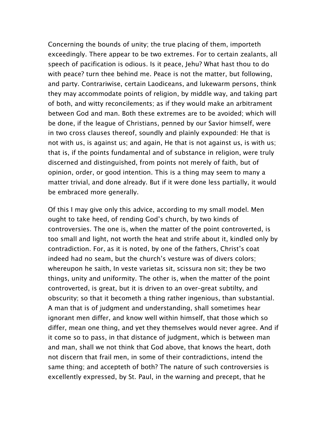Concerning the bounds of unity; the true placing of them, importeth exceedingly. There appear to be two extremes. For to certain zealants, all speech of pacification is odious. Is it peace, Jehu? What hast thou to do with peace? turn thee behind me. Peace is not the matter, but following, and party. Contrariwise, certain Laodiceans, and lukewarm persons, think they may accommodate points of religion, by middle way, and taking part of both, and witty reconcilements; as if they would make an arbitrament between God and man. Both these extremes are to be avoided; which will be done, if the league of Christians, penned by our Savior himself, were in two cross clauses thereof, soundly and plainly expounded: He that is not with us, is against us; and again, He that is not against us, is with us; that is, if the points fundamental and of substance in religion, were truly discerned and distinguished, from points not merely of faith, but of opinion, order, or good intention. This is a thing may seem to many a matter trivial, and done already. But if it were done less partially, it would be embraced more generally.

Of this I may give only this advice, according to my small model. Men ought to take heed, of rending God's church, by two kinds of controversies. The one is, when the matter of the point controverted, is too small and light, not worth the heat and strife about it, kindled only by contradiction. For, as it is noted, by one of the fathers, Christ's coat indeed had no seam, but the church's vesture was of divers colors; whereupon he saith, In veste varietas sit, scissura non sit; they be two things, unity and uniformity. The other is, when the matter of the point controverted, is great, but it is driven to an over–great subtilty, and obscurity; so that it becometh a thing rather ingenious, than substantial. A man that is of judgment and understanding, shall sometimes hear ignorant men differ, and know well within himself, that those which so differ, mean one thing, and yet they themselves would never agree. And if it come so to pass, in that distance of judgment, which is between man and man, shall we not think that God above, that knows the heart, doth not discern that frail men, in some of their contradictions, intend the same thing; and accepteth of both? The nature of such controversies is excellently expressed, by St. Paul, in the warning and precept, that he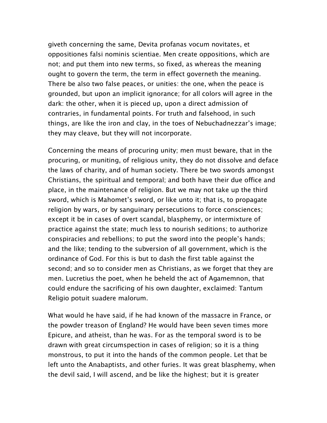giveth concerning the same, Devita profanas vocum novitates, et oppositiones falsi nominis scientiae. Men create oppositions, which are not; and put them into new terms, so fixed, as whereas the meaning ought to govern the term, the term in effect governeth the meaning. There be also two false peaces, or unities: the one, when the peace is grounded, but upon an implicit ignorance; for all colors will agree in the dark: the other, when it is pieced up, upon a direct admission of contraries, in fundamental points. For truth and falsehood, in such things, are like the iron and clay, in the toes of Nebuchadnezzar's image; they may cleave, but they will not incorporate.

Concerning the means of procuring unity; men must beware, that in the procuring, or muniting, of religious unity, they do not dissolve and deface the laws of charity, and of human society. There be two swords amongst Christians, the spiritual and temporal; and both have their due office and place, in the maintenance of religion. But we may not take up the third sword, which is Mahomet's sword, or like unto it; that is, to propagate religion by wars, or by sanguinary persecutions to force consciences; except it be in cases of overt scandal, blasphemy, or intermixture of practice against the state; much less to nourish seditions; to authorize conspiracies and rebellions; to put the sword into the people's hands; and the like; tending to the subversion of all government, which is the ordinance of God. For this is but to dash the first table against the second; and so to consider men as Christians, as we forget that they are men. Lucretius the poet, when he beheld the act of Agamemnon, that could endure the sacrificing of his own daughter, exclaimed: Tantum Religio potuit suadere malorum.

What would he have said, if he had known of the massacre in France, or the powder treason of England? He would have been seven times more Epicure, and atheist, than he was. For as the temporal sword is to be drawn with great circumspection in cases of religion; so it is a thing monstrous, to put it into the hands of the common people. Let that be left unto the Anabaptists, and other furies. It was great blasphemy, when the devil said, I will ascend, and be like the highest; but it is greater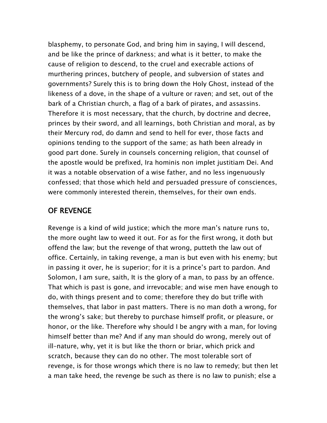blasphemy, to personate God, and bring him in saying, I will descend, and be like the prince of darkness; and what is it better, to make the cause of religion to descend, to the cruel and execrable actions of murthering princes, butchery of people, and subversion of states and governments? Surely this is to bring down the Holy Ghost, instead of the likeness of a dove, in the shape of a vulture or raven; and set, out of the bark of a Christian church, a flag of a bark of pirates, and assassins. Therefore it is most necessary, that the church, by doctrine and decree, princes by their sword, and all learnings, both Christian and moral, as by their Mercury rod, do damn and send to hell for ever, those facts and opinions tending to the support of the same; as hath been already in good part done. Surely in counsels concerning religion, that counsel of the apostle would be prefixed, Ira hominis non implet justitiam Dei. And it was a notable observation of a wise father, and no less ingenuously confessed; that those which held and persuaded pressure of consciences, were commonly interested therein, themselves, for their own ends.

#### OF REVENGE

Revenge is a kind of wild justice; which the more man's nature runs to, the more ought law to weed it out. For as for the first wrong, it doth but offend the law; but the revenge of that wrong, putteth the law out of office. Certainly, in taking revenge, a man is but even with his enemy; but in passing it over, he is superior; for it is a prince's part to pardon. And Solomon, I am sure, saith, It is the glory of a man, to pass by an offence. That which is past is gone, and irrevocable; and wise men have enough to do, with things present and to come; therefore they do but trifle with themselves, that labor in past matters. There is no man doth a wrong, for the wrong's sake; but thereby to purchase himself profit, or pleasure, or honor, or the like. Therefore why should I be angry with a man, for loving himself better than me? And if any man should do wrong, merely out of ill–nature, why, yet it is but like the thorn or briar, which prick and scratch, because they can do no other. The most tolerable sort of revenge, is for those wrongs which there is no law to remedy; but then let a man take heed, the revenge be such as there is no law to punish; else a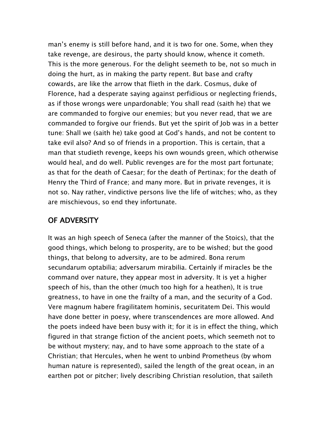man's enemy is still before hand, and it is two for one. Some, when they take revenge, are desirous, the party should know, whence it cometh. This is the more generous. For the delight seemeth to be, not so much in doing the hurt, as in making the party repent. But base and crafty cowards, are like the arrow that flieth in the dark. Cosmus, duke of Florence, had a desperate saying against perfidious or neglecting friends, as if those wrongs were unpardonable; You shall read (saith he) that we are commanded to forgive our enemies; but you never read, that we are commanded to forgive our friends. But yet the spirit of Job was in a better tune: Shall we (saith he) take good at God's hands, and not be content to take evil also? And so of friends in a proportion. This is certain, that a man that studieth revenge, keeps his own wounds green, which otherwise would heal, and do well. Public revenges are for the most part fortunate; as that for the death of Caesar; for the death of Pertinax; for the death of Henry the Third of France; and many more. But in private revenges, it is not so. Nay rather, vindictive persons live the life of witches; who, as they are mischievous, so end they infortunate.

#### OF ADVERSITY

It was an high speech of Seneca (after the manner of the Stoics), that the good things, which belong to prosperity, are to be wished; but the good things, that belong to adversity, are to be admired. Bona rerum secundarum optabilia; adversarum mirabilia. Certainly if miracles be the command over nature, they appear most in adversity. It is yet a higher speech of his, than the other (much too high for a heathen), It is true greatness, to have in one the frailty of a man, and the security of a God. Vere magnum habere fragilitatem hominis, securitatem Dei. This would have done better in poesy, where transcendences are more allowed. And the poets indeed have been busy with it; for it is in effect the thing, which figured in that strange fiction of the ancient poets, which seemeth not to be without mystery; nay, and to have some approach to the state of a Christian; that Hercules, when he went to unbind Prometheus (by whom human nature is represented), sailed the length of the great ocean, in an earthen pot or pitcher; lively describing Christian resolution, that saileth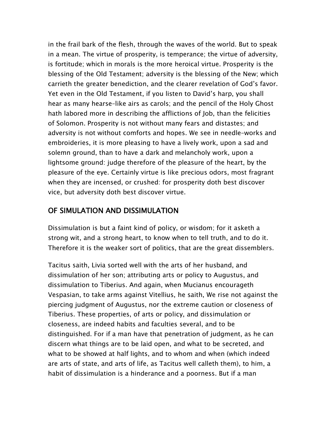in the frail bark of the flesh, through the waves of the world. But to speak in a mean. The virtue of prosperity, is temperance; the virtue of adversity, is fortitude; which in morals is the more heroical virtue. Prosperity is the blessing of the Old Testament; adversity is the blessing of the New; which carrieth the greater benediction, and the clearer revelation of God's favor. Yet even in the Old Testament, if you listen to David's harp, you shall hear as many hearse–like airs as carols; and the pencil of the Holy Ghost hath labored more in describing the afflictions of Job, than the felicities of Solomon. Prosperity is not without many fears and distastes; and adversity is not without comforts and hopes. We see in needle–works and embroideries, it is more pleasing to have a lively work, upon a sad and solemn ground, than to have a dark and melancholy work, upon a lightsome ground: judge therefore of the pleasure of the heart, by the pleasure of the eye. Certainly virtue is like precious odors, most fragrant when they are incensed, or crushed: for prosperity doth best discover vice, but adversity doth best discover virtue.

#### OF SIMULATION AND DISSIMULATION

Dissimulation is but a faint kind of policy, or wisdom; for it asketh a strong wit, and a strong heart, to know when to tell truth, and to do it. Therefore it is the weaker sort of politics, that are the great dissemblers.

Tacitus saith, Livia sorted well with the arts of her husband, and dissimulation of her son; attributing arts or policy to Augustus, and dissimulation to Tiberius. And again, when Mucianus encourageth Vespasian, to take arms against Vitellius, he saith, We rise not against the piercing judgment of Augustus, nor the extreme caution or closeness of Tiberius. These properties, of arts or policy, and dissimulation or closeness, are indeed habits and faculties several, and to be distinguished. For if a man have that penetration of judgment, as he can discern what things are to be laid open, and what to be secreted, and what to be showed at half lights, and to whom and when (which indeed are arts of state, and arts of life, as Tacitus well calleth them), to him, a habit of dissimulation is a hinderance and a poorness. But if a man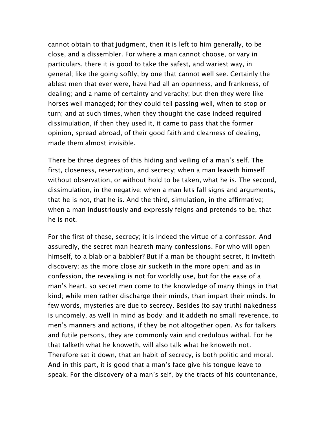cannot obtain to that judgment, then it is left to him generally, to be close, and a dissembler. For where a man cannot choose, or vary in particulars, there it is good to take the safest, and wariest way, in general; like the going softly, by one that cannot well see. Certainly the ablest men that ever were, have had all an openness, and frankness, of dealing; and a name of certainty and veracity; but then they were like horses well managed; for they could tell passing well, when to stop or turn; and at such times, when they thought the case indeed required dissimulation, if then they used it, it came to pass that the former opinion, spread abroad, of their good faith and clearness of dealing, made them almost invisible.

There be three degrees of this hiding and veiling of a man's self. The first, closeness, reservation, and secrecy; when a man leaveth himself without observation, or without hold to be taken, what he is. The second, dissimulation, in the negative; when a man lets fall signs and arguments, that he is not, that he is. And the third, simulation, in the affirmative; when a man industriously and expressly feigns and pretends to be, that he is not.

For the first of these, secrecy; it is indeed the virtue of a confessor. And assuredly, the secret man heareth many confessions. For who will open himself, to a blab or a babbler? But if a man be thought secret, it inviteth discovery; as the more close air sucketh in the more open; and as in confession, the revealing is not for worldly use, but for the ease of a man's heart, so secret men come to the knowledge of many things in that kind; while men rather discharge their minds, than impart their minds. In few words, mysteries are due to secrecy. Besides (to say truth) nakedness is uncomely, as well in mind as body; and it addeth no small reverence, to men's manners and actions, if they be not altogether open. As for talkers and futile persons, they are commonly vain and credulous withal. For he that talketh what he knoweth, will also talk what he knoweth not. Therefore set it down, that an habit of secrecy, is both politic and moral. And in this part, it is good that a man's face give his tongue leave to speak. For the discovery of a man's self, by the tracts of his countenance,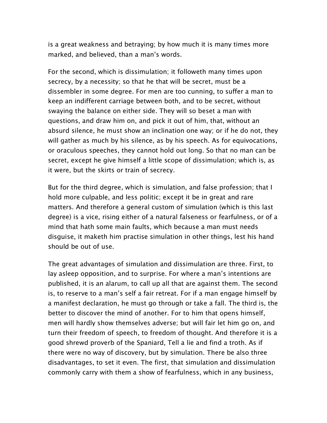is a great weakness and betraying; by how much it is many times more marked, and believed, than a man's words.

For the second, which is dissimulation; it followeth many times upon secrecy, by a necessity; so that he that will be secret, must be a dissembler in some degree. For men are too cunning, to suffer a man to keep an indifferent carriage between both, and to be secret, without swaying the balance on either side. They will so beset a man with questions, and draw him on, and pick it out of him, that, without an absurd silence, he must show an inclination one way; or if he do not, they will gather as much by his silence, as by his speech. As for equivocations, or oraculous speeches, they cannot hold out long. So that no man can be secret, except he give himself a little scope of dissimulation; which is, as it were, but the skirts or train of secrecy.

But for the third degree, which is simulation, and false profession; that I hold more culpable, and less politic; except it be in great and rare matters. And therefore a general custom of simulation (which is this last degree) is a vice, rising either of a natural falseness or fearfulness, or of a mind that hath some main faults, which because a man must needs disguise, it maketh him practise simulation in other things, lest his hand should be out of use.

The great advantages of simulation and dissimulation are three. First, to lay asleep opposition, and to surprise. For where a man's intentions are published, it is an alarum, to call up all that are against them. The second is, to reserve to a man's self a fair retreat. For if a man engage himself by a manifest declaration, he must go through or take a fall. The third is, the better to discover the mind of another. For to him that opens himself, men will hardly show themselves adverse; but will fair let him go on, and turn their freedom of speech, to freedom of thought. And therefore it is a good shrewd proverb of the Spaniard, Tell a lie and find a troth. As if there were no way of discovery, but by simulation. There be also three disadvantages, to set it even. The first, that simulation and dissimulation commonly carry with them a show of fearfulness, which in any business,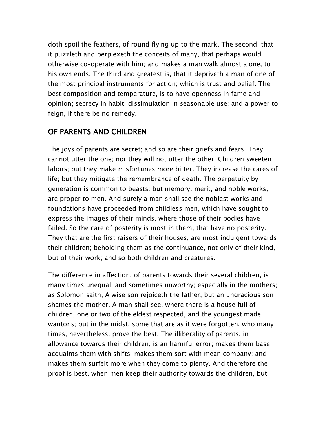doth spoil the feathers, of round flying up to the mark. The second, that it puzzleth and perplexeth the conceits of many, that perhaps would otherwise co–operate with him; and makes a man walk almost alone, to his own ends. The third and greatest is, that it depriveth a man of one of the most principal instruments for action; which is trust and belief. The best composition and temperature, is to have openness in fame and opinion; secrecy in habit; dissimulation in seasonable use; and a power to feign, if there be no remedy.

#### OF PARENTS AND CHILDREN

The joys of parents are secret; and so are their griefs and fears. They cannot utter the one; nor they will not utter the other. Children sweeten labors; but they make misfortunes more bitter. They increase the cares of life; but they mitigate the remembrance of death. The perpetuity by generation is common to beasts; but memory, merit, and noble works, are proper to men. And surely a man shall see the noblest works and foundations have proceeded from childless men, which have sought to express the images of their minds, where those of their bodies have failed. So the care of posterity is most in them, that have no posterity. They that are the first raisers of their houses, are most indulgent towards their children; beholding them as the continuance, not only of their kind, but of their work; and so both children and creatures.

The difference in affection, of parents towards their several children, is many times unequal; and sometimes unworthy; especially in the mothers; as Solomon saith, A wise son rejoiceth the father, but an ungracious son shames the mother. A man shall see, where there is a house full of children, one or two of the eldest respected, and the youngest made wantons; but in the midst, some that are as it were forgotten, who many times, nevertheless, prove the best. The illiberality of parents, in allowance towards their children, is an harmful error; makes them base; acquaints them with shifts; makes them sort with mean company; and makes them surfeit more when they come to plenty. And therefore the proof is best, when men keep their authority towards the children, but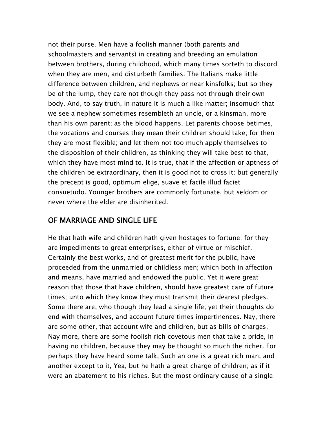not their purse. Men have a foolish manner (both parents and schoolmasters and servants) in creating and breeding an emulation between brothers, during childhood, which many times sorteth to discord when they are men, and disturbeth families. The Italians make little difference between children, and nephews or near kinsfolks; but so they be of the lump, they care not though they pass not through their own body. And, to say truth, in nature it is much a like matter; insomuch that we see a nephew sometimes resembleth an uncle, or a kinsman, more than his own parent; as the blood happens. Let parents choose betimes, the vocations and courses they mean their children should take; for then they are most flexible; and let them not too much apply themselves to the disposition of their children, as thinking they will take best to that, which they have most mind to. It is true, that if the affection or aptness of the children be extraordinary, then it is good not to cross it; but generally the precept is good, optimum elige, suave et facile illud faciet consuetudo. Younger brothers are commonly fortunate, but seldom or never where the elder are disinherited.

#### OF MARRIAGE AND SINGLE LIFE

He that hath wife and children hath given hostages to fortune; for they are impediments to great enterprises, either of virtue or mischief. Certainly the best works, and of greatest merit for the public, have proceeded from the unmarried or childless men; which both in affection and means, have married and endowed the public. Yet it were great reason that those that have children, should have greatest care of future times; unto which they know they must transmit their dearest pledges. Some there are, who though they lead a single life, yet their thoughts do end with themselves, and account future times impertinences. Nay, there are some other, that account wife and children, but as bills of charges. Nay more, there are some foolish rich covetous men that take a pride, in having no children, because they may be thought so much the richer. For perhaps they have heard some talk, Such an one is a great rich man, and another except to it, Yea, but he hath a great charge of children; as if it were an abatement to his riches. But the most ordinary cause of a single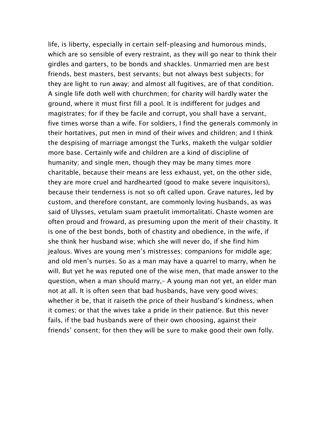life, is liberty, especially in certain self–pleasing and humorous minds, which are so sensible of every restraint, as they will go near to think their girdles and garters, to be bonds and shackles. Unmarried men are best friends, best masters, best servants; but not always best subjects; for they are light to run away; and almost all fugitives, are of that condition. A single life doth well with churchmen; for charity will hardly water the ground, where it must first fill a pool. It is indifferent for judges and magistrates; for if they be facile and corrupt, you shall have a servant, five times worse than a wife. For soldiers, I find the generals commonly in their hortatives, put men in mind of their wives and children; and I think the despising of marriage amongst the Turks, maketh the vulgar soldier more base. Certainly wife and children are a kind of discipline of humanity; and single men, though they may be many times more charitable, because their means are less exhaust, yet, on the other side, they are more cruel and hardhearted (good to make severe inquisitors), because their tenderness is not so oft called upon. Grave natures, led by custom, and therefore constant, are commonly loving husbands, as was said of Ulysses, vetulam suam praetulit immortalitati. Chaste women are often proud and froward, as presuming upon the merit of their chastity. It is one of the best bonds, both of chastity and obedience, in the wife, if she think her husband wise; which she will never do, if she find him jealous. Wives are young men's mistresses; companions for middle age; and old men's nurses. So as a man may have a quarrel to marry, when he will. But yet he was reputed one of the wise men, that made answer to the question, when a man should marry,– A young man not yet, an elder man not at all. It is often seen that bad husbands, have very good wives; whether it be, that it raiseth the price of their husband's kindness, when it comes; or that the wives take a pride in their patience. But this never fails, if the bad husbands were of their own choosing, against their friends' consent; for then they will be sure to make good their own folly.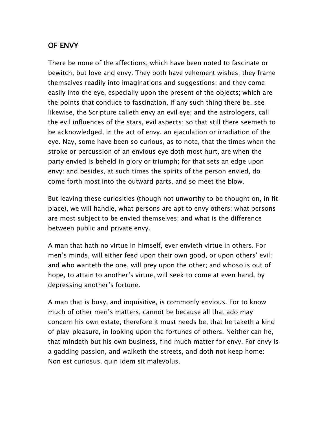#### OF ENVY

There be none of the affections, which have been noted to fascinate or bewitch, but love and envy. They both have vehement wishes; they frame themselves readily into imaginations and suggestions; and they come easily into the eye, especially upon the present of the objects; which are the points that conduce to fascination, if any such thing there be. see likewise, the Scripture calleth envy an evil eye; and the astrologers, call the evil influences of the stars, evil aspects; so that still there seemeth to be acknowledged, in the act of envy, an ejaculation or irradiation of the eye. Nay, some have been so curious, as to note, that the times when the stroke or percussion of an envious eye doth most hurt, are when the party envied is beheld in glory or triumph; for that sets an edge upon envy: and besides, at such times the spirits of the person envied, do come forth most into the outward parts, and so meet the blow.

But leaving these curiosities (though not unworthy to be thought on, in fit place), we will handle, what persons are apt to envy others; what persons are most subject to be envied themselves; and what is the difference between public and private envy.

A man that hath no virtue in himself, ever envieth virtue in others. For men's minds, will either feed upon their own good, or upon others' evil; and who wanteth the one, will prey upon the other; and whoso is out of hope, to attain to another's virtue, will seek to come at even hand, by depressing another's fortune.

A man that is busy, and inquisitive, is commonly envious. For to know much of other men's matters, cannot be because all that ado may concern his own estate; therefore it must needs be, that he taketh a kind of play–pleasure, in looking upon the fortunes of others. Neither can he, that mindeth but his own business, find much matter for envy. For envy is a gadding passion, and walketh the streets, and doth not keep home: Non est curiosus, quin idem sit malevolus.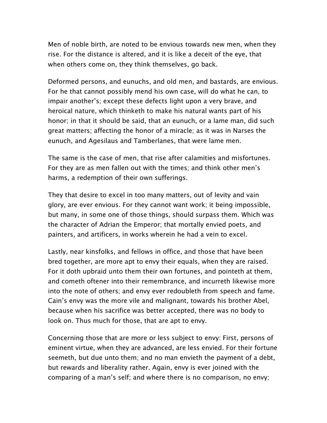Men of noble birth, are noted to be envious towards new men, when they rise. For the distance is altered, and it is like a deceit of the eye, that when others come on, they think themselves, go back.

Deformed persons, and eunuchs, and old men, and bastards, are envious. For he that cannot possibly mend his own case, will do what he can, to impair another's; except these defects light upon a very brave, and heroical nature, which thinketh to make his natural wants part of his honor; in that it should be said, that an eunuch, or a lame man, did such great matters; affecting the honor of a miracle; as it was in Narses the eunuch, and Agesilaus and Tamberlanes, that were lame men.

The same is the case of men, that rise after calamities and misfortunes. For they are as men fallen out with the times; and think other men's harms, a redemption of their own sufferings.

They that desire to excel in too many matters, out of levity and vain glory, are ever envious. For they cannot want work; it being impossible, but many, in some one of those things, should surpass them. Which was the character of Adrian the Emperor; that mortally envied poets, and painters, and artificers, in works wherein he had a vein to excel.

Lastly, near kinsfolks, and fellows in office, and those that have been bred together, are more apt to envy their equals, when they are raised. For it doth upbraid unto them their own fortunes, and pointeth at them, and cometh oftener into their remembrance, and incurreth likewise more into the note of others; and envy ever redoubleth from speech and fame. Cain's envy was the more vile and malignant, towards his brother Abel, because when his sacrifice was better accepted, there was no body to look on. Thus much for those, that are apt to envy.

Concerning those that are more or less subject to envy: First, persons of eminent virtue, when they are advanced, are less envied. For their fortune seemeth, but due unto them; and no man envieth the payment of a debt, but rewards and liberality rather. Again, envy is ever joined with the comparing of a man's self; and where there is no comparison, no envy;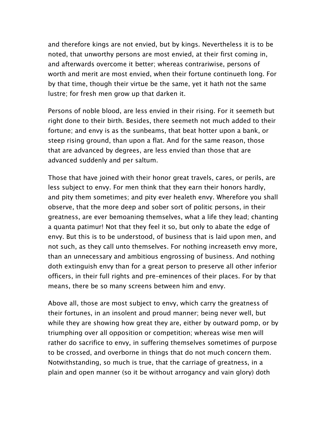and therefore kings are not envied, but by kings. Nevertheless it is to be noted, that unworthy persons are most envied, at their first coming in, and afterwards overcome it better; whereas contrariwise, persons of worth and merit are most envied, when their fortune continueth long. For by that time, though their virtue be the same, yet it hath not the same lustre; for fresh men grow up that darken it.

Persons of noble blood, are less envied in their rising. For it seemeth but right done to their birth. Besides, there seemeth not much added to their fortune; and envy is as the sunbeams, that beat hotter upon a bank, or steep rising ground, than upon a flat. And for the same reason, those that are advanced by degrees, are less envied than those that are advanced suddenly and per saltum.

Those that have joined with their honor great travels, cares, or perils, are less subject to envy. For men think that they earn their honors hardly, and pity them sometimes; and pity ever healeth envy. Wherefore you shall observe, that the more deep and sober sort of politic persons, in their greatness, are ever bemoaning themselves, what a life they lead; chanting a quanta patimur! Not that they feel it so, but only to abate the edge of envy. But this is to be understood, of business that is laid upon men, and not such, as they call unto themselves. For nothing increaseth envy more, than an unnecessary and ambitious engrossing of business. And nothing doth extinguish envy than for a great person to preserve all other inferior officers, in their full rights and pre–eminences of their places. For by that means, there be so many screens between him and envy.

Above all, those are most subject to envy, which carry the greatness of their fortunes, in an insolent and proud manner; being never well, but while they are showing how great they are, either by outward pomp, or by triumphing over all opposition or competition; whereas wise men will rather do sacrifice to envy, in suffering themselves sometimes of purpose to be crossed, and overborne in things that do not much concern them. Notwithstanding, so much is true, that the carriage of greatness, in a plain and open manner (so it be without arrogancy and vain glory) doth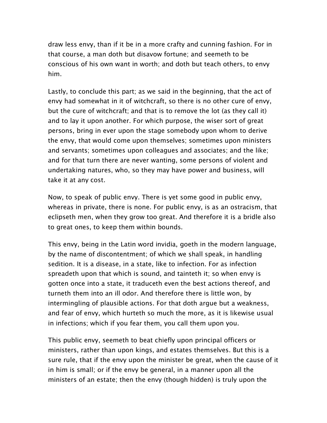draw less envy, than if it be in a more crafty and cunning fashion. For in that course, a man doth but disavow fortune; and seemeth to be conscious of his own want in worth; and doth but teach others, to envy him.

Lastly, to conclude this part; as we said in the beginning, that the act of envy had somewhat in it of witchcraft, so there is no other cure of envy, but the cure of witchcraft; and that is to remove the lot (as they call it) and to lay it upon another. For which purpose, the wiser sort of great persons, bring in ever upon the stage somebody upon whom to derive the envy, that would come upon themselves; sometimes upon ministers and servants; sometimes upon colleagues and associates; and the like; and for that turn there are never wanting, some persons of violent and undertaking natures, who, so they may have power and business, will take it at any cost.

Now, to speak of public envy. There is yet some good in public envy, whereas in private, there is none. For public envy, is as an ostracism, that eclipseth men, when they grow too great. And therefore it is a bridle also to great ones, to keep them within bounds.

This envy, being in the Latin word invidia, goeth in the modern language, by the name of discontentment; of which we shall speak, in handling sedition. It is a disease, in a state, like to infection. For as infection spreadeth upon that which is sound, and tainteth it; so when envy is gotten once into a state, it traduceth even the best actions thereof, and turneth them into an ill odor. And therefore there is little won, by intermingling of plausible actions. For that doth argue but a weakness, and fear of envy, which hurteth so much the more, as it is likewise usual in infections; which if you fear them, you call them upon you.

This public envy, seemeth to beat chiefly upon principal officers or ministers, rather than upon kings, and estates themselves. But this is a sure rule, that if the envy upon the minister be great, when the cause of it in him is small; or if the envy be general, in a manner upon all the ministers of an estate; then the envy (though hidden) is truly upon the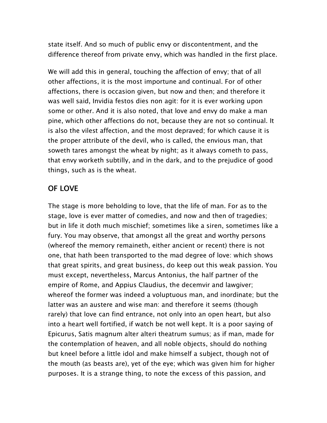state itself. And so much of public envy or discontentment, and the difference thereof from private envy, which was handled in the first place.

We will add this in general, touching the affection of envy; that of all other affections, it is the most importune and continual. For of other affections, there is occasion given, but now and then; and therefore it was well said, Invidia festos dies non agit: for it is ever working upon some or other. And it is also noted, that love and envy do make a man pine, which other affections do not, because they are not so continual. It is also the vilest affection, and the most depraved; for which cause it is the proper attribute of the devil, who is called, the envious man, that soweth tares amongst the wheat by night; as it always cometh to pass, that envy worketh subtilly, and in the dark, and to the prejudice of good things, such as is the wheat.

#### OF LOVE

The stage is more beholding to love, that the life of man. For as to the stage, love is ever matter of comedies, and now and then of tragedies; but in life it doth much mischief; sometimes like a siren, sometimes like a fury. You may observe, that amongst all the great and worthy persons (whereof the memory remaineth, either ancient or recent) there is not one, that hath been transported to the mad degree of love: which shows that great spirits, and great business, do keep out this weak passion. You must except, nevertheless, Marcus Antonius, the half partner of the empire of Rome, and Appius Claudius, the decemvir and lawgiver; whereof the former was indeed a voluptuous man, and inordinate; but the latter was an austere and wise man: and therefore it seems (though rarely) that love can find entrance, not only into an open heart, but also into a heart well fortified, if watch be not well kept. It is a poor saying of Epicurus, Satis magnum alter alteri theatrum sumus; as if man, made for the contemplation of heaven, and all noble objects, should do nothing but kneel before a little idol and make himself a subject, though not of the mouth (as beasts are), yet of the eye; which was given him for higher purposes. It is a strange thing, to note the excess of this passion, and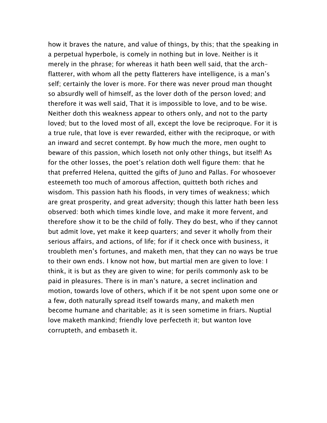how it braves the nature, and value of things, by this; that the speaking in a perpetual hyperbole, is comely in nothing but in love. Neither is it merely in the phrase; for whereas it hath been well said, that the arch– flatterer, with whom all the petty flatterers have intelligence, is a man's self; certainly the lover is more. For there was never proud man thought so absurdly well of himself, as the lover doth of the person loved; and therefore it was well said, That it is impossible to love, and to be wise. Neither doth this weakness appear to others only, and not to the party loved; but to the loved most of all, except the love be reciproque. For it is a true rule, that love is ever rewarded, either with the reciproque, or with an inward and secret contempt. By how much the more, men ought to beware of this passion, which loseth not only other things, but itself! As for the other losses, the poet's relation doth well figure them: that he that preferred Helena, quitted the gifts of Juno and Pallas. For whosoever esteemeth too much of amorous affection, quitteth both riches and wisdom. This passion hath his floods, in very times of weakness; which are great prosperity, and great adversity; though this latter hath been less observed: both which times kindle love, and make it more fervent, and therefore show it to be the child of folly. They do best, who if they cannot but admit love, yet make it keep quarters; and sever it wholly from their serious affairs, and actions, of life; for if it check once with business, it troubleth men's fortunes, and maketh men, that they can no ways be true to their own ends. I know not how, but martial men are given to love: I think, it is but as they are given to wine; for perils commonly ask to be paid in pleasures. There is in man's nature, a secret inclination and motion, towards love of others, which if it be not spent upon some one or a few, doth naturally spread itself towards many, and maketh men become humane and charitable; as it is seen sometime in friars. Nuptial love maketh mankind; friendly love perfecteth it; but wanton love corrupteth, and embaseth it.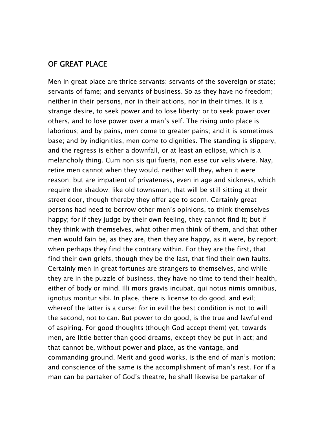#### OF GREAT PLACE

Men in great place are thrice servants: servants of the sovereign or state; servants of fame; and servants of business. So as they have no freedom; neither in their persons, nor in their actions, nor in their times. It is a strange desire, to seek power and to lose liberty: or to seek power over others, and to lose power over a man's self. The rising unto place is laborious; and by pains, men come to greater pains; and it is sometimes base; and by indignities, men come to dignities. The standing is slippery, and the regress is either a downfall, or at least an eclipse, which is a melancholy thing. Cum non sis qui fueris, non esse cur velis vivere. Nay, retire men cannot when they would, neither will they, when it were reason; but are impatient of privateness, even in age and sickness, which require the shadow; like old townsmen, that will be still sitting at their street door, though thereby they offer age to scorn. Certainly great persons had need to borrow other men's opinions, to think themselves happy; for if they judge by their own feeling, they cannot find it; but if they think with themselves, what other men think of them, and that other men would fain be, as they are, then they are happy, as it were, by report; when perhaps they find the contrary within. For they are the first, that find their own griefs, though they be the last, that find their own faults. Certainly men in great fortunes are strangers to themselves, and while they are in the puzzle of business, they have no time to tend their health, either of body or mind. Illi mors gravis incubat, qui notus nimis omnibus, ignotus moritur sibi. In place, there is license to do good, and evil; whereof the latter is a curse: for in evil the best condition is not to will; the second, not to can. But power to do good, is the true and lawful end of aspiring. For good thoughts (though God accept them) yet, towards men, are little better than good dreams, except they be put in act; and that cannot be, without power and place, as the vantage, and commanding ground. Merit and good works, is the end of man's motion; and conscience of the same is the accomplishment of man's rest. For if a man can be partaker of God's theatre, he shall likewise be partaker of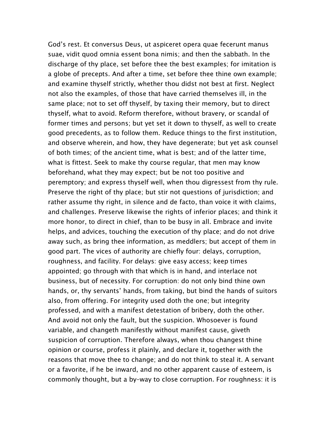God's rest. Et conversus Deus, ut aspiceret opera quae fecerunt manus suae, vidit quod omnia essent bona nimis; and then the sabbath. In the discharge of thy place, set before thee the best examples; for imitation is a globe of precepts. And after a time, set before thee thine own example; and examine thyself strictly, whether thou didst not best at first. Neglect not also the examples, of those that have carried themselves ill, in the same place; not to set off thyself, by taxing their memory, but to direct thyself, what to avoid. Reform therefore, without bravery, or scandal of former times and persons; but yet set it down to thyself, as well to create good precedents, as to follow them. Reduce things to the first institution, and observe wherein, and how, they have degenerate; but yet ask counsel of both times; of the ancient time, what is best; and of the latter time, what is fittest. Seek to make thy course regular, that men may know beforehand, what they may expect; but be not too positive and peremptory; and express thyself well, when thou digressest from thy rule. Preserve the right of thy place; but stir not questions of jurisdiction; and rather assume thy right, in silence and de facto, than voice it with claims, and challenges. Preserve likewise the rights of inferior places; and think it more honor, to direct in chief, than to be busy in all. Embrace and invite helps, and advices, touching the execution of thy place; and do not drive away such, as bring thee information, as meddlers; but accept of them in good part. The vices of authority are chiefly four: delays, corruption, roughness, and facility. For delays: give easy access; keep times appointed; go through with that which is in hand, and interlace not business, but of necessity. For corruption: do not only bind thine own hands, or, thy servants' hands, from taking, but bind the hands of suitors also, from offering. For integrity used doth the one; but integrity professed, and with a manifest detestation of bribery, doth the other. And avoid not only the fault, but the suspicion. Whosoever is found variable, and changeth manifestly without manifest cause, giveth suspicion of corruption. Therefore always, when thou changest thine opinion or course, profess it plainly, and declare it, together with the reasons that move thee to change; and do not think to steal it. A servant or a favorite, if he be inward, and no other apparent cause of esteem, is commonly thought, but a by–way to close corruption. For roughness: it is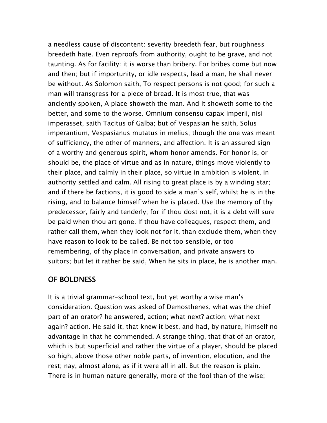a needless cause of discontent: severity breedeth fear, but roughness breedeth hate. Even reproofs from authority, ought to be grave, and not taunting. As for facility: it is worse than bribery. For bribes come but now and then; but if importunity, or idle respects, lead a man, he shall never be without. As Solomon saith, To respect persons is not good; for such a man will transgress for a piece of bread. It is most true, that was anciently spoken, A place showeth the man. And it showeth some to the better, and some to the worse. Omnium consensu capax imperii, nisi imperasset, saith Tacitus of Galba; but of Vespasian he saith, Solus imperantium, Vespasianus mutatus in melius; though the one was meant of sufficiency, the other of manners, and affection. It is an assured sign of a worthy and generous spirit, whom honor amends. For honor is, or should be, the place of virtue and as in nature, things move violently to their place, and calmly in their place, so virtue in ambition is violent, in authority settled and calm. All rising to great place is by a winding star; and if there be factions, it is good to side a man's self, whilst he is in the rising, and to balance himself when he is placed. Use the memory of thy predecessor, fairly and tenderly; for if thou dost not, it is a debt will sure be paid when thou art gone. If thou have colleagues, respect them, and rather call them, when they look not for it, than exclude them, when they have reason to look to be called. Be not too sensible, or too remembering, of thy place in conversation, and private answers to suitors; but let it rather be said, When he sits in place, he is another man.

#### OF BOLDNESS

It is a trivial grammar–school text, but yet worthy a wise man's consideration. Question was asked of Demosthenes, what was the chief part of an orator? he answered, action; what next? action; what next again? action. He said it, that knew it best, and had, by nature, himself no advantage in that he commended. A strange thing, that that of an orator, which is but superficial and rather the virtue of a player, should be placed so high, above those other noble parts, of invention, elocution, and the rest; nay, almost alone, as if it were all in all. But the reason is plain. There is in human nature generally, more of the fool than of the wise;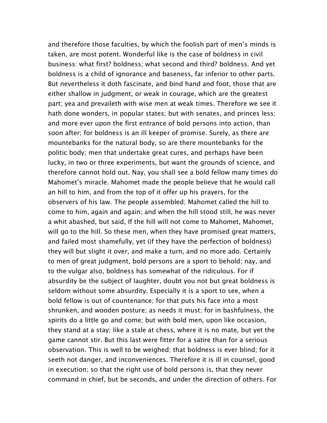and therefore those faculties, by which the foolish part of men's minds is taken, are most potent. Wonderful like is the case of boldness in civil business: what first? boldness; what second and third? boldness. And yet boldness is a child of ignorance and baseness, far inferior to other parts. But nevertheless it doth fascinate, and bind hand and foot, those that are either shallow in judgment, or weak in courage, which are the greatest part; yea and prevaileth with wise men at weak times. Therefore we see it hath done wonders, in popular states; but with senates, and princes less; and more ever upon the first entrance of bold persons into action, than soon after; for boldness is an ill keeper of promise. Surely, as there are mountebanks for the natural body, so are there mountebanks for the politic body; men that undertake great cures, and perhaps have been lucky, in two or three experiments, but want the grounds of science, and therefore cannot hold out. Nay, you shall see a bold fellow many times do Mahomet's miracle. Mahomet made the people believe that he would call an hill to him, and from the top of it offer up his prayers, for the observers of his law. The people assembled; Mahomet called the hill to come to him, again and again; and when the hill stood still, he was never a whit abashed, but said, If the hill will not come to Mahomet, Mahomet, will go to the hill. So these men, when they have promised great matters, and failed most shamefully, yet (if they have the perfection of boldness) they will but slight it over, and make a turn, and no more ado. Certainly to men of great judgment, bold persons are a sport to behold; nay, and to the vulgar also, boldness has somewhat of the ridiculous. For if absurdity be the subject of laughter, doubt you not but great boldness is seldom without some absurdity. Especially it is a sport to see, when a bold fellow is out of countenance; for that puts his face into a most shrunken, and wooden posture; as needs it must; for in bashfulness, the spirits do a little go and come; but with bold men, upon like occasion, they stand at a stay; like a stale at chess, where it is no mate, but yet the game cannot stir. But this last were fitter for a satire than for a serious observation. This is well to be weighed; that boldness is ever blind; for it seeth not danger, and inconveniences. Therefore it is ill in counsel, good in execution; so that the right use of bold persons is, that they never command in chief, but be seconds, and under the direction of others. For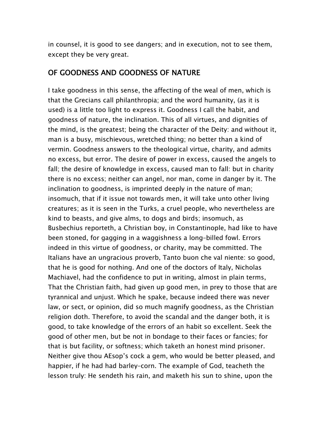in counsel, it is good to see dangers; and in execution, not to see them, except they be very great.

#### OF GOODNESS AND GOODNESS OF NATURE

I take goodness in this sense, the affecting of the weal of men, which is that the Grecians call philanthropia; and the word humanity, (as it is used) is a little too light to express it. Goodness I call the habit, and goodness of nature, the inclination. This of all virtues, and dignities of the mind, is the greatest; being the character of the Deity: and without it, man is a busy, mischievous, wretched thing; no better than a kind of vermin. Goodness answers to the theological virtue, charity, and admits no excess, but error. The desire of power in excess, caused the angels to fall; the desire of knowledge in excess, caused man to fall: but in charity there is no excess; neither can angel, nor man, come in danger by it. The inclination to goodness, is imprinted deeply in the nature of man; insomuch, that if it issue not towards men, it will take unto other living creatures; as it is seen in the Turks, a cruel people, who nevertheless are kind to beasts, and give alms, to dogs and birds; insomuch, as Busbechius reporteth, a Christian boy, in Constantinople, had like to have been stoned, for gagging in a waggishness a long–billed fowl. Errors indeed in this virtue of goodness, or charity, may be committed. The Italians have an ungracious proverb, Tanto buon che val niente: so good, that he is good for nothing. And one of the doctors of Italy, Nicholas Machiavel, had the confidence to put in writing, almost in plain terms, That the Christian faith, had given up good men, in prey to those that are tyrannical and unjust. Which he spake, because indeed there was never law, or sect, or opinion, did so much magnify goodness, as the Christian religion doth. Therefore, to avoid the scandal and the danger both, it is good, to take knowledge of the errors of an habit so excellent. Seek the good of other men, but be not in bondage to their faces or fancies; for that is but facility, or softness; which taketh an honest mind prisoner. Neither give thou AEsop's cock a gem, who would be better pleased, and happier, if he had had barley–corn. The example of God, teacheth the lesson truly: He sendeth his rain, and maketh his sun to shine, upon the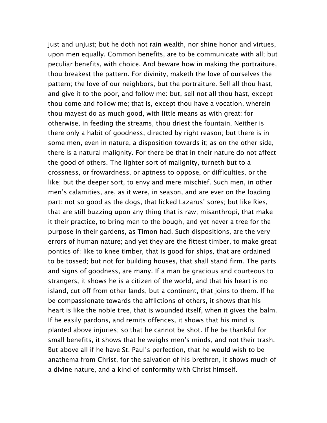just and unjust; but he doth not rain wealth, nor shine honor and virtues, upon men equally. Common benefits, are to be communicate with all; but peculiar benefits, with choice. And beware how in making the portraiture, thou breakest the pattern. For divinity, maketh the love of ourselves the pattern; the love of our neighbors, but the portraiture. Sell all thou hast, and give it to the poor, and follow me: but, sell not all thou hast, except thou come and follow me; that is, except thou have a vocation, wherein thou mayest do as much good, with little means as with great; for otherwise, in feeding the streams, thou driest the fountain. Neither is there only a habit of goodness, directed by right reason; but there is in some men, even in nature, a disposition towards it; as on the other side, there is a natural malignity. For there be that in their nature do not affect the good of others. The lighter sort of malignity, turneth but to a crossness, or frowardness, or aptness to oppose, or difficulties, or the like; but the deeper sort, to envy and mere mischief. Such men, in other men's calamities, are, as it were, in season, and are ever on the loading part: not so good as the dogs, that licked Lazarus' sores; but like Ries, that are still buzzing upon any thing that is raw; misanthropi, that make it their practice, to bring men to the bough, and yet never a tree for the purpose in their gardens, as Timon had. Such dispositions, are the very errors of human nature; and yet they are the fittest timber, to make great pontics of; like to knee timber, that is good for ships, that are ordained to be tossed; but not for building houses, that shall stand firm. The parts and signs of goodness, are many. If a man be gracious and courteous to strangers, it shows he is a citizen of the world, and that his heart is no island, cut off from other lands, but a continent, that joins to them. If he be compassionate towards the afflictions of others, it shows that his heart is like the noble tree, that is wounded itself, when it gives the balm. If he easily pardons, and remits offences, it shows that his mind is planted above injuries; so that he cannot be shot. If he be thankful for small benefits, it shows that he weighs men's minds, and not their trash. But above all if he have St. Paul's perfection, that he would wish to be anathema from Christ, for the salvation of his brethren, it shows much of a divine nature, and a kind of conformity with Christ himself.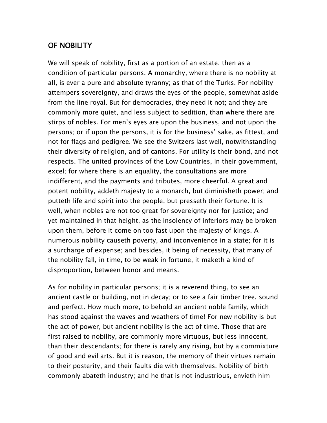#### OF NOBILITY

We will speak of nobility, first as a portion of an estate, then as a condition of particular persons. A monarchy, where there is no nobility at all, is ever a pure and absolute tyranny; as that of the Turks. For nobility attempers sovereignty, and draws the eyes of the people, somewhat aside from the line royal. But for democracies, they need it not; and they are commonly more quiet, and less subject to sedition, than where there are stirps of nobles. For men's eyes are upon the business, and not upon the persons; or if upon the persons, it is for the business' sake, as fittest, and not for flags and pedigree. We see the Switzers last well, notwithstanding their diversity of religion, and of cantons. For utility is their bond, and not respects. The united provinces of the Low Countries, in their government, excel; for where there is an equality, the consultations are more indifferent, and the payments and tributes, more cheerful. A great and potent nobility, addeth majesty to a monarch, but diminisheth power; and putteth life and spirit into the people, but presseth their fortune. It is well, when nobles are not too great for sovereignty nor for justice; and yet maintained in that height, as the insolency of inferiors may be broken upon them, before it come on too fast upon the majesty of kings. A numerous nobility causeth poverty, and inconvenience in a state; for it is a surcharge of expense; and besides, it being of necessity, that many of the nobility fall, in time, to be weak in fortune, it maketh a kind of disproportion, between honor and means.

As for nobility in particular persons; it is a reverend thing, to see an ancient castle or building, not in decay; or to see a fair timber tree, sound and perfect. How much more, to behold an ancient noble family, which has stood against the waves and weathers of time! For new nobility is but the act of power, but ancient nobility is the act of time. Those that are first raised to nobility, are commonly more virtuous, but less innocent, than their descendants; for there is rarely any rising, but by a commixture of good and evil arts. But it is reason, the memory of their virtues remain to their posterity, and their faults die with themselves. Nobility of birth commonly abateth industry; and he that is not industrious, envieth him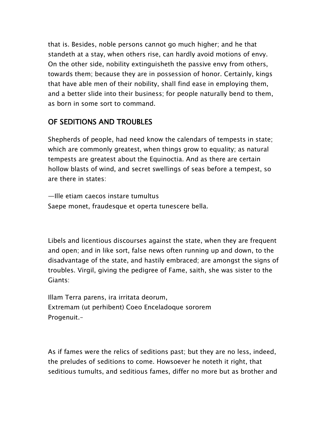that is. Besides, noble persons cannot go much higher; and he that standeth at a stay, when others rise, can hardly avoid motions of envy. On the other side, nobility extinguisheth the passive envy from others, towards them; because they are in possession of honor. Certainly, kings that have able men of their nobility, shall find ease in employing them, and a better slide into their business; for people naturally bend to them, as born in some sort to command.

## OF SEDITIONS AND TROUBLES

Shepherds of people, had need know the calendars of tempests in state; which are commonly greatest, when things grow to equality; as natural tempests are greatest about the Equinoctia. And as there are certain hollow blasts of wind, and secret swellings of seas before a tempest, so are there in states:

—Ille etiam caecos instare tumultus Saepe monet, fraudesque et operta tunescere bella.

Libels and licentious discourses against the state, when they are frequent and open; and in like sort, false news often running up and down, to the disadvantage of the state, and hastily embraced; are amongst the signs of troubles. Virgil, giving the pedigree of Fame, saith, she was sister to the Giants:

Illam Terra parens, ira irritata deorum, Extremam (ut perhibent) Coeo Enceladoque sororem Progenuit.–

As if fames were the relics of seditions past; but they are no less, indeed, the preludes of seditions to come. Howsoever he noteth it right, that seditious tumults, and seditious fames, differ no more but as brother and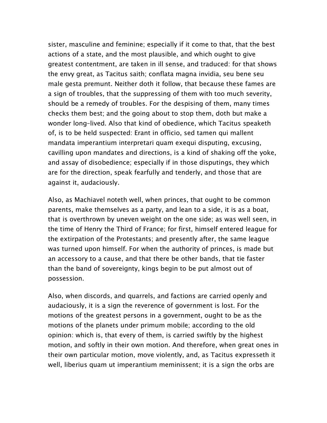sister, masculine and feminine; especially if it come to that, that the best actions of a state, and the most plausible, and which ought to give greatest contentment, are taken in ill sense, and traduced: for that shows the envy great, as Tacitus saith; conflata magna invidia, seu bene seu male gesta premunt. Neither doth it follow, that because these fames are a sign of troubles, that the suppressing of them with too much severity, should be a remedy of troubles. For the despising of them, many times checks them best; and the going about to stop them, doth but make a wonder long–lived. Also that kind of obedience, which Tacitus speaketh of, is to be held suspected: Erant in officio, sed tamen qui mallent mandata imperantium interpretari quam exequi disputing, excusing, cavilling upon mandates and directions, is a kind of shaking off the yoke, and assay of disobedience; especially if in those disputings, they which are for the direction, speak fearfully and tenderly, and those that are against it, audaciously.

Also, as Machiavel noteth well, when princes, that ought to be common parents, make themselves as a party, and lean to a side, it is as a boat, that is overthrown by uneven weight on the one side; as was well seen, in the time of Henry the Third of France; for first, himself entered league for the extirpation of the Protestants; and presently after, the same league was turned upon himself. For when the authority of princes, is made but an accessory to a cause, and that there be other bands, that tie faster than the band of sovereignty, kings begin to be put almost out of possession.

Also, when discords, and quarrels, and factions are carried openly and audaciously, it is a sign the reverence of government is lost. For the motions of the greatest persons in a government, ought to be as the motions of the planets under primum mobile; according to the old opinion: which is, that every of them, is carried swiftly by the highest motion, and softly in their own motion. And therefore, when great ones in their own particular motion, move violently, and, as Tacitus expresseth it well, liberius quam ut imperantium meminissent; it is a sign the orbs are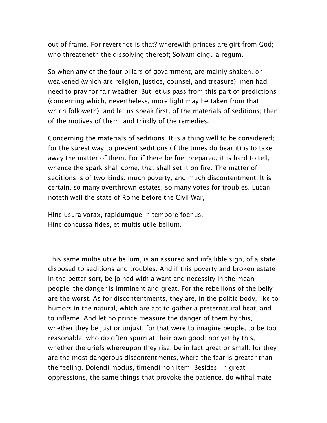out of frame. For reverence is that? wherewith princes are girt from God; who threateneth the dissolving thereof; Solvam cingula regum.

So when any of the four pillars of government, are mainly shaken, or weakened (which are religion, justice, counsel, and treasure), men had need to pray for fair weather. But let us pass from this part of predictions (concerning which, nevertheless, more light may be taken from that which followeth); and let us speak first, of the materials of seditions; then of the motives of them; and thirdly of the remedies.

Concerning the materials of seditions. It is a thing well to be considered; for the surest way to prevent seditions (if the times do bear it) is to take away the matter of them. For if there be fuel prepared, it is hard to tell, whence the spark shall come, that shall set it on fire. The matter of seditions is of two kinds: much poverty, and much discontentment. It is certain, so many overthrown estates, so many votes for troubles. Lucan noteth well the state of Rome before the Civil War,

Hinc usura vorax, rapidumque in tempore foenus, Hinc concussa fides, et multis utile bellum.

This same multis utile bellum, is an assured and infallible sign, of a state disposed to seditions and troubles. And if this poverty and broken estate in the better sort, be joined with a want and necessity in the mean people, the danger is imminent and great. For the rebellions of the belly are the worst. As for discontentments, they are, in the politic body, like to humors in the natural, which are apt to gather a preternatural heat, and to inflame. And let no prince measure the danger of them by this, whether they be just or unjust: for that were to imagine people, to be too reasonable; who do often spurn at their own good: nor yet by this, whether the griefs whereupon they rise, be in fact great or small: for they are the most dangerous discontentments, where the fear is greater than the feeling. Dolendi modus, timendi non item. Besides, in great oppressions, the same things that provoke the patience, do withal mate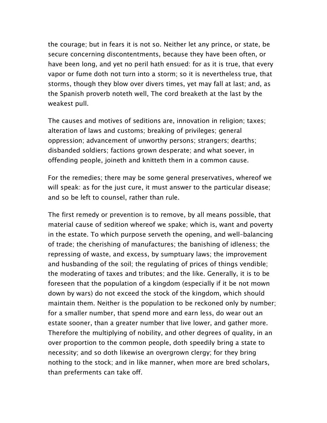the courage; but in fears it is not so. Neither let any prince, or state, be secure concerning discontentments, because they have been often, or have been long, and yet no peril hath ensued: for as it is true, that every vapor or fume doth not turn into a storm; so it is nevertheless true, that storms, though they blow over divers times, yet may fall at last; and, as the Spanish proverb noteth well, The cord breaketh at the last by the weakest pull.

The causes and motives of seditions are, innovation in religion; taxes; alteration of laws and customs; breaking of privileges; general oppression; advancement of unworthy persons; strangers; dearths; disbanded soldiers; factions grown desperate; and what soever, in offending people, joineth and knitteth them in a common cause.

For the remedies; there may be some general preservatives, whereof we will speak: as for the just cure, it must answer to the particular disease; and so be left to counsel, rather than rule.

The first remedy or prevention is to remove, by all means possible, that material cause of sedition whereof we spake; which is, want and poverty in the estate. To which purpose serveth the opening, and well–balancing of trade; the cherishing of manufactures; the banishing of idleness; the repressing of waste, and excess, by sumptuary laws; the improvement and husbanding of the soil; the regulating of prices of things vendible; the moderating of taxes and tributes; and the like. Generally, it is to be foreseen that the population of a kingdom (especially if it be not mown down by wars) do not exceed the stock of the kingdom, which should maintain them. Neither is the population to be reckoned only by number; for a smaller number, that spend more and earn less, do wear out an estate sooner, than a greater number that live lower, and gather more. Therefore the multiplying of nobility, and other degrees of quality, in an over proportion to the common people, doth speedily bring a state to necessity; and so doth likewise an overgrown clergy; for they bring nothing to the stock; and in like manner, when more are bred scholars, than preferments can take off.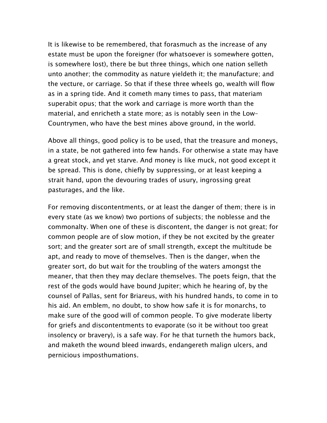It is likewise to be remembered, that forasmuch as the increase of any estate must be upon the foreigner (for whatsoever is somewhere gotten, is somewhere lost), there be but three things, which one nation selleth unto another; the commodity as nature yieldeth it; the manufacture; and the vecture, or carriage. So that if these three wheels go, wealth will flow as in a spring tide. And it cometh many times to pass, that materiam superabit opus; that the work and carriage is more worth than the material, and enricheth a state more; as is notably seen in the Low– Countrymen, who have the best mines above ground, in the world.

Above all things, good policy is to be used, that the treasure and moneys, in a state, be not gathered into few hands. For otherwise a state may have a great stock, and yet starve. And money is like muck, not good except it be spread. This is done, chiefly by suppressing, or at least keeping a strait hand, upon the devouring trades of usury, ingrossing great pasturages, and the like.

For removing discontentments, or at least the danger of them; there is in every state (as we know) two portions of subjects; the noblesse and the commonalty. When one of these is discontent, the danger is not great; for common people are of slow motion, if they be not excited by the greater sort; and the greater sort are of small strength, except the multitude be apt, and ready to move of themselves. Then is the danger, when the greater sort, do but wait for the troubling of the waters amongst the meaner, that then they may declare themselves. The poets feign, that the rest of the gods would have bound Jupiter; which he hearing of, by the counsel of Pallas, sent for Briareus, with his hundred hands, to come in to his aid. An emblem, no doubt, to show how safe it is for monarchs, to make sure of the good will of common people. To give moderate liberty for griefs and discontentments to evaporate (so it be without too great insolency or bravery), is a safe way. For he that turneth the humors back, and maketh the wound bleed inwards, endangereth malign ulcers, and pernicious imposthumations.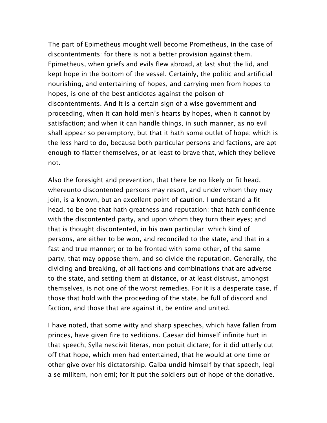The part of Epimetheus mought well become Prometheus, in the case of discontentments: for there is not a better provision against them. Epimetheus, when griefs and evils flew abroad, at last shut the lid, and kept hope in the bottom of the vessel. Certainly, the politic and artificial nourishing, and entertaining of hopes, and carrying men from hopes to hopes, is one of the best antidotes against the poison of discontentments. And it is a certain sign of a wise government and proceeding, when it can hold men's hearts by hopes, when it cannot by satisfaction; and when it can handle things, in such manner, as no evil shall appear so peremptory, but that it hath some outlet of hope; which is the less hard to do, because both particular persons and factions, are apt enough to flatter themselves, or at least to brave that, which they believe not.

Also the foresight and prevention, that there be no likely or fit head, whereunto discontented persons may resort, and under whom they may join, is a known, but an excellent point of caution. I understand a fit head, to be one that hath greatness and reputation; that hath confidence with the discontented party, and upon whom they turn their eyes; and that is thought discontented, in his own particular: which kind of persons, are either to be won, and reconciled to the state, and that in a fast and true manner; or to be fronted with some other, of the same party, that may oppose them, and so divide the reputation. Generally, the dividing and breaking, of all factions and combinations that are adverse to the state, and setting them at distance, or at least distrust, amongst themselves, is not one of the worst remedies. For it is a desperate case, if those that hold with the proceeding of the state, be full of discord and faction, and those that are against it, be entire and united.

I have noted, that some witty and sharp speeches, which have fallen from princes, have given fire to seditions. Caesar did himself infinite hurt in that speech, Sylla nescivit literas, non potuit dictare; for it did utterly cut off that hope, which men had entertained, that he would at one time or other give over his dictatorship. Galba undid himself by that speech, legi a se militem, non emi; for it put the soldiers out of hope of the donative.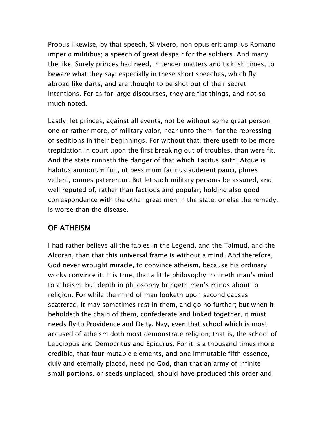Probus likewise, by that speech, Si vixero, non opus erit amplius Romano imperio militibus; a speech of great despair for the soldiers. And many the like. Surely princes had need, in tender matters and ticklish times, to beware what they say; especially in these short speeches, which fly abroad like darts, and are thought to be shot out of their secret intentions. For as for large discourses, they are flat things, and not so much noted.

Lastly, let princes, against all events, not be without some great person, one or rather more, of military valor, near unto them, for the repressing of seditions in their beginnings. For without that, there useth to be more trepidation in court upon the first breaking out of troubles, than were fit. And the state runneth the danger of that which Tacitus saith; Atque is habitus animorum fuit, ut pessimum facinus auderent pauci, plures vellent, omnes paterentur. But let such military persons be assured, and well reputed of, rather than factious and popular; holding also good correspondence with the other great men in the state; or else the remedy, is worse than the disease.

#### OF ATHEISM

I had rather believe all the fables in the Legend, and the Talmud, and the Alcoran, than that this universal frame is without a mind. And therefore, God never wrought miracle, to convince atheism, because his ordinary works convince it. It is true, that a little philosophy inclineth man's mind to atheism; but depth in philosophy bringeth men's minds about to religion. For while the mind of man looketh upon second causes scattered, it may sometimes rest in them, and go no further; but when it beholdeth the chain of them, confederate and linked together, it must needs fly to Providence and Deity. Nay, even that school which is most accused of atheism doth most demonstrate religion; that is, the school of Leucippus and Democritus and Epicurus. For it is a thousand times more credible, that four mutable elements, and one immutable fifth essence, duly and eternally placed, need no God, than that an army of infinite small portions, or seeds unplaced, should have produced this order and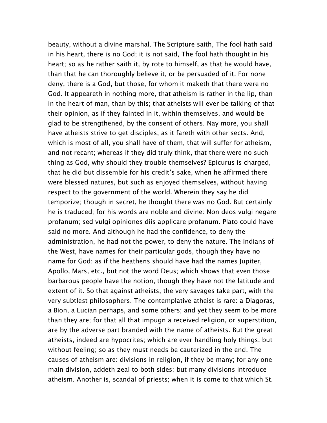beauty, without a divine marshal. The Scripture saith, The fool hath said in his heart, there is no God; it is not said, The fool hath thought in his heart; so as he rather saith it, by rote to himself, as that he would have, than that he can thoroughly believe it, or be persuaded of it. For none deny, there is a God, but those, for whom it maketh that there were no God. It appeareth in nothing more, that atheism is rather in the lip, than in the heart of man, than by this; that atheists will ever be talking of that their opinion, as if they fainted in it, within themselves, and would be glad to be strengthened, by the consent of others. Nay more, you shall have atheists strive to get disciples, as it fareth with other sects. And, which is most of all, you shall have of them, that will suffer for atheism, and not recant; whereas if they did truly think, that there were no such thing as God, why should they trouble themselves? Epicurus is charged, that he did but dissemble for his credit's sake, when he affirmed there were blessed natures, but such as enjoyed themselves, without having respect to the government of the world. Wherein they say he did temporize; though in secret, he thought there was no God. But certainly he is traduced; for his words are noble and divine: Non deos vulgi negare profanum; sed vulgi opiniones diis applicare profanum. Plato could have said no more. And although he had the confidence, to deny the administration, he had not the power, to deny the nature. The Indians of the West, have names for their particular gods, though they have no name for God: as if the heathens should have had the names Jupiter, Apollo, Mars, etc., but not the word Deus; which shows that even those barbarous people have the notion, though they have not the latitude and extent of it. So that against atheists, the very savages take part, with the very subtlest philosophers. The contemplative atheist is rare: a Diagoras, a Bion, a Lucian perhaps, and some others; and yet they seem to be more than they are; for that all that impugn a received religion, or superstition, are by the adverse part branded with the name of atheists. But the great atheists, indeed are hypocrites; which are ever handling holy things, but without feeling; so as they must needs be cauterized in the end. The causes of atheism are: divisions in religion, if they be many; for any one main division, addeth zeal to both sides; but many divisions introduce atheism. Another is, scandal of priests; when it is come to that which St.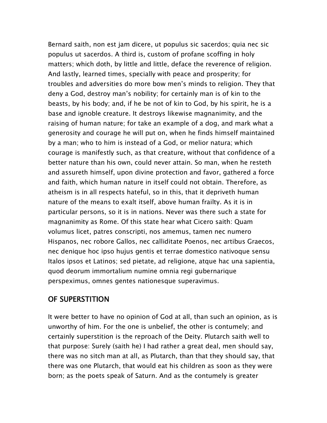Bernard saith, non est jam dicere, ut populus sic sacerdos; quia nec sic populus ut sacerdos. A third is, custom of profane scoffing in holy matters; which doth, by little and little, deface the reverence of religion. And lastly, learned times, specially with peace and prosperity; for troubles and adversities do more bow men's minds to religion. They that deny a God, destroy man's nobility; for certainly man is of kin to the beasts, by his body; and, if he be not of kin to God, by his spirit, he is a base and ignoble creature. It destroys likewise magnanimity, and the raising of human nature; for take an example of a dog, and mark what a generosity and courage he will put on, when he finds himself maintained by a man; who to him is instead of a God, or melior natura; which courage is manifestly such, as that creature, without that confidence of a better nature than his own, could never attain. So man, when he resteth and assureth himself, upon divine protection and favor, gathered a force and faith, which human nature in itself could not obtain. Therefore, as atheism is in all respects hateful, so in this, that it depriveth human nature of the means to exalt itself, above human frailty. As it is in particular persons, so it is in nations. Never was there such a state for magnanimity as Rome. Of this state hear what Cicero saith: Quam volumus licet, patres conscripti, nos amemus, tamen nec numero Hispanos, nec robore Gallos, nec calliditate Poenos, nec artibus Graecos, nec denique hoc ipso hujus gentis et terrae domestico nativoque sensu Italos ipsos et Latinos; sed pietate, ad religione, atque hac una sapientia, quod deorum immortalium numine omnia regi gubernarique perspeximus, omnes gentes nationesque superavimus.

## OF SUPERSTITION

It were better to have no opinion of God at all, than such an opinion, as is unworthy of him. For the one is unbelief, the other is contumely; and certainly superstition is the reproach of the Deity. Plutarch saith well to that purpose: Surely (saith he) I had rather a great deal, men should say, there was no sitch man at all, as Plutarch, than that they should say, that there was one Plutarch, that would eat his children as soon as they were born; as the poets speak of Saturn. And as the contumely is greater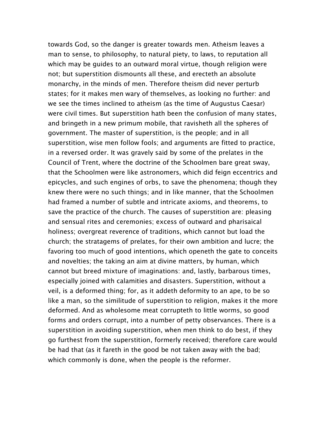towards God, so the danger is greater towards men. Atheism leaves a man to sense, to philosophy, to natural piety, to laws, to reputation all which may be guides to an outward moral virtue, though religion were not; but superstition dismounts all these, and erecteth an absolute monarchy, in the minds of men. Therefore theism did never perturb states; for it makes men wary of themselves, as looking no further: and we see the times inclined to atheism (as the time of Augustus Caesar) were civil times. But superstition hath been the confusion of many states, and bringeth in a new primum mobile, that ravisheth all the spheres of government. The master of superstition, is the people; and in all superstition, wise men follow fools; and arguments are fitted to practice, in a reversed order. It was gravely said by some of the prelates in the Council of Trent, where the doctrine of the Schoolmen bare great sway, that the Schoolmen were like astronomers, which did feign eccentrics and epicycles, and such engines of orbs, to save the phenomena; though they knew there were no such things; and in like manner, that the Schoolmen had framed a number of subtle and intricate axioms, and theorems, to save the practice of the church. The causes of superstition are: pleasing and sensual rites and ceremonies; excess of outward and pharisaical holiness; overgreat reverence of traditions, which cannot but load the church; the stratagems of prelates, for their own ambition and lucre; the favoring too much of good intentions, which openeth the gate to conceits and novelties; the taking an aim at divine matters, by human, which cannot but breed mixture of imaginations: and, lastly, barbarous times, especially joined with calamities and disasters. Superstition, without a veil, is a deformed thing; for, as it addeth deformity to an ape, to be so like a man, so the similitude of superstition to religion, makes it the more deformed. And as wholesome meat corrupteth to little worms, so good forms and orders corrupt, into a number of petty observances. There is a superstition in avoiding superstition, when men think to do best, if they go furthest from the superstition, formerly received; therefore care would be had that (as it fareth in the good be not taken away with the bad; which commonly is done, when the people is the reformer.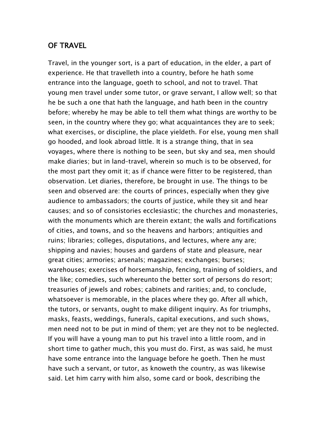#### OF TRAVEL

Travel, in the younger sort, is a part of education, in the elder, a part of experience. He that travelleth into a country, before he hath some entrance into the language, goeth to school, and not to travel. That young men travel under some tutor, or grave servant, I allow well; so that he be such a one that hath the language, and hath been in the country before; whereby he may be able to tell them what things are worthy to be seen, in the country where they go; what acquaintances they are to seek; what exercises, or discipline, the place yieldeth. For else, young men shall go hooded, and look abroad little. It is a strange thing, that in sea voyages, where there is nothing to be seen, but sky and sea, men should make diaries; but in land–travel, wherein so much is to be observed, for the most part they omit it; as if chance were fitter to be registered, than observation. Let diaries, therefore, be brought in use. The things to be seen and observed are: the courts of princes, especially when they give audience to ambassadors; the courts of justice, while they sit and hear causes; and so of consistories ecclesiastic; the churches and monasteries, with the monuments which are therein extant; the walls and fortifications of cities, and towns, and so the heavens and harbors; antiquities and ruins; libraries; colleges, disputations, and lectures, where any are; shipping and navies; houses and gardens of state and pleasure, near great cities; armories; arsenals; magazines; exchanges; burses; warehouses; exercises of horsemanship, fencing, training of soldiers, and the like; comedies, such whereunto the better sort of persons do resort; treasuries of jewels and robes; cabinets and rarities; and, to conclude, whatsoever is memorable, in the places where they go. After all which, the tutors, or servants, ought to make diligent inquiry. As for triumphs, masks, feasts, weddings, funerals, capital executions, and such shows, men need not to be put in mind of them; yet are they not to be neglected. If you will have a young man to put his travel into a little room, and in short time to gather much, this you must do. First, as was said, he must have some entrance into the language before he goeth. Then he must have such a servant, or tutor, as knoweth the country, as was likewise said. Let him carry with him also, some card or book, describing the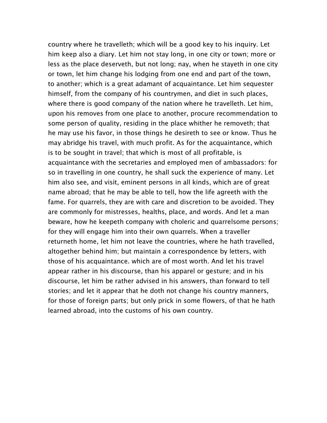country where he travelleth; which will be a good key to his inquiry. Let him keep also a diary. Let him not stay long, in one city or town; more or less as the place deserveth, but not long; nay, when he stayeth in one city or town, let him change his lodging from one end and part of the town, to another; which is a great adamant of acquaintance. Let him sequester himself, from the company of his countrymen, and diet in such places, where there is good company of the nation where he travelleth. Let him, upon his removes from one place to another, procure recommendation to some person of quality, residing in the place whither he removeth; that he may use his favor, in those things he desireth to see or know. Thus he may abridge his travel, with much profit. As for the acquaintance, which is to be sought in travel; that which is most of all profitable, is acquaintance with the secretaries and employed men of ambassadors: for so in travelling in one country, he shall suck the experience of many. Let him also see, and visit, eminent persons in all kinds, which are of great name abroad; that he may be able to tell, how the life agreeth with the fame. For quarrels, they are with care and discretion to be avoided. They are commonly for mistresses, healths, place, and words. And let a man beware, how he keepeth company with choleric and quarrelsome persons; for they will engage him into their own quarrels. When a traveller returneth home, let him not leave the countries, where he hath travelled, altogether behind him; but maintain a correspondence by letters, with those of his acquaintance. which are of most worth. And let his travel appear rather in his discourse, than his apparel or gesture; and in his discourse, let him be rather advised in his answers, than forward to tell stories; and let it appear that he doth not change his country manners, for those of foreign parts; but only prick in some flowers, of that he hath learned abroad, into the customs of his own country.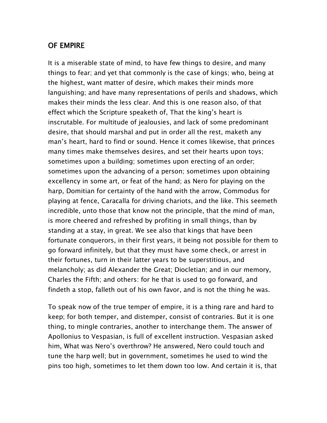#### OF EMPIRE

It is a miserable state of mind, to have few things to desire, and many things to fear; and yet that commonly is the case of kings; who, being at the highest, want matter of desire, which makes their minds more languishing; and have many representations of perils and shadows, which makes their minds the less clear. And this is one reason also, of that effect which the Scripture speaketh of, That the king's heart is inscrutable. For multitude of jealousies, and lack of some predominant desire, that should marshal and put in order all the rest, maketh any man's heart, hard to find or sound. Hence it comes likewise, that princes many times make themselves desires, and set their hearts upon toys; sometimes upon a building; sometimes upon erecting of an order; sometimes upon the advancing of a person; sometimes upon obtaining excellency in some art, or feat of the hand; as Nero for playing on the harp, Domitian for certainty of the hand with the arrow, Commodus for playing at fence, Caracalla for driving chariots, and the like. This seemeth incredible, unto those that know not the principle, that the mind of man, is more cheered and refreshed by profiting in small things, than by standing at a stay, in great. We see also that kings that have been fortunate conquerors, in their first years, it being not possible for them to go forward infinitely, but that they must have some check, or arrest in their fortunes, turn in their latter years to be superstitious, and melancholy; as did Alexander the Great; Diocletian; and in our memory, Charles the Fifth; and others: for he that is used to go forward, and findeth a stop, falleth out of his own favor, and is not the thing he was.

To speak now of the true temper of empire, it is a thing rare and hard to keep; for both temper, and distemper, consist of contraries. But it is one thing, to mingle contraries, another to interchange them. The answer of Apollonius to Vespasian, is full of excellent instruction. Vespasian asked him, What was Nero's overthrow? He answered, Nero could touch and tune the harp well; but in government, sometimes he used to wind the pins too high, sometimes to let them down too low. And certain it is, that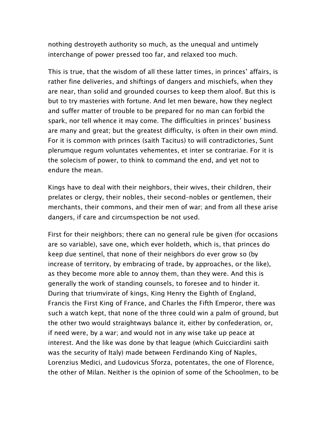nothing destroyeth authority so much, as the unequal and untimely interchange of power pressed too far, and relaxed too much.

This is true, that the wisdom of all these latter times, in princes' affairs, is rather fine deliveries, and shiftings of dangers and mischiefs, when they are near, than solid and grounded courses to keep them aloof. But this is but to try masteries with fortune. And let men beware, how they neglect and suffer matter of trouble to be prepared for no man can forbid the spark, nor tell whence it may come. The difficulties in princes' business are many and great; but the greatest difficulty, is often in their own mind. For it is common with princes (saith Tacitus) to will contradictories, Sunt plerumque regum voluntates vehementes, et inter se contrariae. For it is the solecism of power, to think to command the end, and yet not to endure the mean.

Kings have to deal with their neighbors, their wives, their children, their prelates or clergy, their nobles, their second–nobles or gentlemen, their merchants, their commons, and their men of war; and from all these arise dangers, if care and circumspection be not used.

First for their neighbors; there can no general rule be given (for occasions are so variable), save one, which ever holdeth, which is, that princes do keep due sentinel, that none of their neighbors do ever grow so (by increase of territory, by embracing of trade, by approaches, or the like), as they become more able to annoy them, than they were. And this is generally the work of standing counsels, to foresee and to hinder it. During that triumvirate of kings, King Henry the Eighth of England, Francis the First King of France, and Charles the Fifth Emperor, there was such a watch kept, that none of the three could win a palm of ground, but the other two would straightways balance it, either by confederation, or, if need were, by a war; and would not in any wise take up peace at interest. And the like was done by that league (which Guicciardini saith was the security of Italy) made between Ferdinando King of Naples, Lorenzius Medici, and Ludovicus Sforza, potentates, the one of Florence, the other of Milan. Neither is the opinion of some of the Schoolmen, to be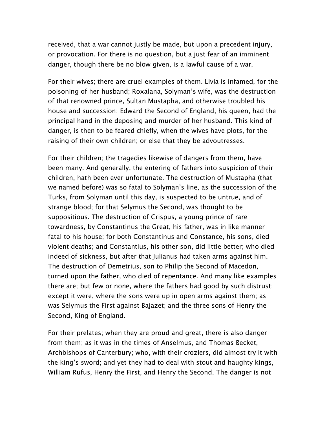received, that a war cannot justly be made, but upon a precedent injury, or provocation. For there is no question, but a just fear of an imminent danger, though there be no blow given, is a lawful cause of a war.

For their wives; there are cruel examples of them. Livia is infamed, for the poisoning of her husband; Roxalana, Solyman's wife, was the destruction of that renowned prince, Sultan Mustapha, and otherwise troubled his house and succession; Edward the Second of England, his queen, had the principal hand in the deposing and murder of her husband. This kind of danger, is then to be feared chiefly, when the wives have plots, for the raising of their own children; or else that they be advoutresses.

For their children; the tragedies likewise of dangers from them, have been many. And generally, the entering of fathers into suspicion of their children, hath been ever unfortunate. The destruction of Mustapha (that we named before) was so fatal to Solyman's line, as the succession of the Turks, from Solyman until this day, is suspected to be untrue, and of strange blood; for that Selymus the Second, was thought to be suppositious. The destruction of Crispus, a young prince of rare towardness, by Constantinus the Great, his father, was in like manner fatal to his house; for both Constantinus and Constance, his sons, died violent deaths; and Constantius, his other son, did little better; who died indeed of sickness, but after that Julianus had taken arms against him. The destruction of Demetrius, son to Philip the Second of Macedon, turned upon the father, who died of repentance. And many like examples there are; but few or none, where the fathers had good by such distrust; except it were, where the sons were up in open arms against them; as was Selymus the First against Bajazet; and the three sons of Henry the Second, King of England.

For their prelates; when they are proud and great, there is also danger from them; as it was in the times of Anselmus, and Thomas Becket, Archbishops of Canterbury; who, with their croziers, did almost try it with the king's sword; and yet they had to deal with stout and haughty kings, William Rufus, Henry the First, and Henry the Second. The danger is not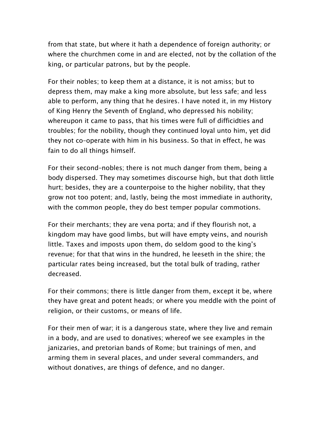from that state, but where it hath a dependence of foreign authority; or where the churchmen come in and are elected, not by the collation of the king, or particular patrons, but by the people.

For their nobles; to keep them at a distance, it is not amiss; but to depress them, may make a king more absolute, but less safe; and less able to perform, any thing that he desires. I have noted it, in my History of King Henry the Seventh of England, who depressed his nobility; whereupon it came to pass, that his times were full of difficidties and troubles; for the nobility, though they continued loyal unto him, yet did they not co–operate with him in his business. So that in effect, he was fain to do all things himself.

For their second–nobles; there is not much danger from them, being a body dispersed. They may sometimes discourse high, but that doth little hurt; besides, they are a counterpoise to the higher nobility, that they grow not too potent; and, lastly, being the most immediate in authority, with the common people, they do best temper popular commotions.

For their merchants; they are vena porta; and if they flourish not, a kingdom may have good limbs, but will have empty veins, and nourish little. Taxes and imposts upon them, do seldom good to the king's revenue; for that that wins in the hundred, he leeseth in the shire; the particular rates being increased, but the total bulk of trading, rather decreased.

For their commons; there is little danger from them, except it be, where they have great and potent heads; or where you meddle with the point of religion, or their customs, or means of life.

For their men of war; it is a dangerous state, where they live and remain in a body, and are used to donatives; whereof we see examples in the janizaries, and pretorian bands of Rome; but trainings of men, and arming them in several places, and under several commanders, and without donatives, are things of defence, and no danger.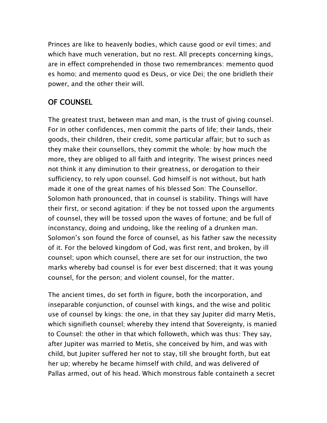Princes are like to heavenly bodies, which cause good or evil times; and which have much veneration, but no rest. All precepts concerning kings, are in effect comprehended in those two remembrances: memento quod es homo; and memento quod es Deus, or vice Dei; the one bridleth their power, and the other their will.

# OF COUNSEL

The greatest trust, between man and man, is the trust of giving counsel. For in other confidences, men commit the parts of life; their lands, their goods, their children, their credit, some particular affair; but to such as they make their counsellors, they commit the whole: by how much the more, they are obliged to all faith and integrity. The wisest princes need not think it any diminution to their greatness, or derogation to their sufficiency, to rely upon counsel. God himself is not without, but hath made it one of the great names of his blessed Son: The Counsellor. Solomon hath pronounced, that in counsel is stability. Things will have their first, or second agitation: if they be not tossed upon the arguments of counsel, they will be tossed upon the waves of fortune; and be full of inconstancy, doing and undoing, like the reeling of a drunken man. Solomon's son found the force of counsel, as his father saw the necessity of it. For the beloved kingdom of God, was first rent, and broken, by ill counsel; upon which counsel, there are set for our instruction, the two marks whereby bad counsel is for ever best discerned; that it was young counsel, for the person; and violent counsel, for the matter.

The ancient times, do set forth in figure, both the incorporation, and inseparable conjunction, of counsel with kings, and the wise and politic use of counsel by kings: the one, in that they say Jupiter did marry Metis, which signifieth counsel; whereby they intend that Sovereignty, is manied to Counsel: the other in that which followeth, which was thus: They say, after Jupiter was married to Metis, she conceived by him, and was with child, but Jupiter suffered her not to stay, till she brought forth, but eat her up; whereby he became himself with child, and was delivered of Pallas armed, out of his head. Which monstrous fable containeth a secret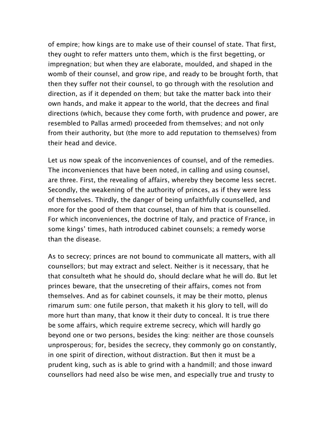of empire; how kings are to make use of their counsel of state. That first, they ought to refer matters unto them, which is the first begetting, or impregnation; but when they are elaborate, moulded, and shaped in the womb of their counsel, and grow ripe, and ready to be brought forth, that then they suffer not their counsel, to go through with the resolution and direction, as if it depended on them; but take the matter back into their own hands, and make it appear to the world, that the decrees and final directions (which, because they come forth, with prudence and power, are resembled to Pallas armed) proceeded from themselves; and not only from their authority, but (the more to add reputation to themselves) from their head and device.

Let us now speak of the inconveniences of counsel, and of the remedies. The inconveniences that have been noted, in calling and using counsel, are three. First, the revealing of affairs, whereby they become less secret. Secondly, the weakening of the authority of princes, as if they were less of themselves. Thirdly, the danger of being unfaithfully counselled, and more for the good of them that counsel, than of him that is counselled. For which inconveniences, the doctrine of Italy, and practice of France, in some kings' times, hath introduced cabinet counsels; a remedy worse than the disease.

As to secrecy; princes are not bound to communicate all matters, with all counsellors; but may extract and select. Neither is it necessary, that he that consulteth what he should do, should declare what he will do. But let princes beware, that the unsecreting of their affairs, comes not from themselves. And as for cabinet counsels, it may be their motto, plenus rimarum sum: one futile person, that maketh it his glory to tell, will do more hurt than many, that know it their duty to conceal. It is true there be some affairs, which require extreme secrecy, which will hardly go beyond one or two persons, besides the king: neither are those counsels unprosperous; for, besides the secrecy, they commonly go on constantly, in one spirit of direction, without distraction. But then it must be a prudent king, such as is able to grind with a handmill; and those inward counsellors had need also be wise men, and especially true and trusty to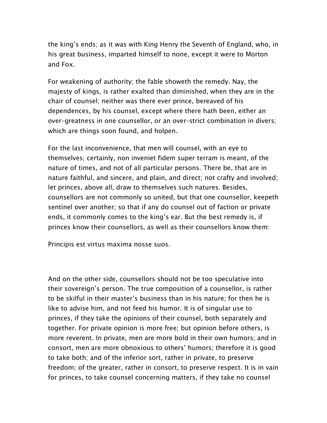the king's ends; as it was with King Henry the Seventh of England, who, in his great business, imparted himself to none, except it were to Morton and Fox.

For weakening of authority; the fable showeth the remedy. Nay, the majesty of kings, is rather exalted than diminished, when they are in the chair of counsel; neither was there ever prince, bereaved of his dependences, by his counsel, except where there hath been, either an over–greatness in one counsellor, or an over–strict combination in divers; which are things soon found, and holpen.

For the last inconvenience, that men will counsel, with an eye to themselves; certainly, non inveniet fidem super terram is meant, of the nature of times, and not of all particular persons. There be, that are in nature faithful, and sincere, and plain, and direct; not crafty and involved; let princes, above all, draw to themselves such natures. Besides, counsellors are not commonly so united, but that one counsellor, keepeth sentinel over another; so that if any do counsel out of faction or private ends, it commonly comes to the king's ear. But the best remedy is, if princes know their counsellors, as well as their counsellors know them:

Principis est virtus maxima nosse suos.

And on the other side, counsellors should not be too speculative into their sovereign's person. The true composition of a counsellor, is rather to be skilful in their master's business than in his nature; for then he is like to advise him, and not feed his humor. It is of singular use to princes, if they take the opinions of their counsel, both separately and together. For private opinion is more free; but opinion before others, is more reverent. In private, men are more bold in their own humors; and in consort, men are more obnoxious to others' humors; therefore it is good to take both; and of the inferior sort, rather in private, to preserve freedom; of the greater, rather in consort, to preserve respect. It is in vain for princes, to take counsel concerning matters, if they take no counsel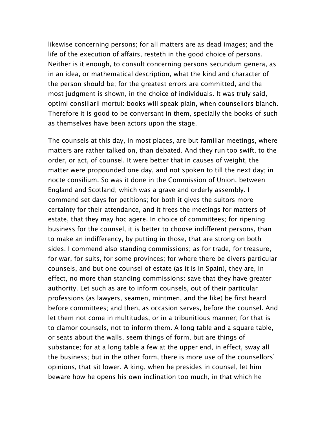likewise concerning persons; for all matters are as dead images; and the life of the execution of affairs, resteth in the good choice of persons. Neither is it enough, to consult concerning persons secundum genera, as in an idea, or mathematical description, what the kind and character of the person should be; for the greatest errors are committed, and the most judgment is shown, in the choice of individuals. It was truly said, optimi consiliarii mortui: books will speak plain, when counsellors blanch. Therefore it is good to be conversant in them, specially the books of such as themselves have been actors upon the stage.

The counsels at this day, in most places, are but familiar meetings, where matters are rather talked on, than debated. And they run too swift, to the order, or act, of counsel. It were better that in causes of weight, the matter were propounded one day, and not spoken to till the next day; in nocte consilium. So was it done in the Commission of Union, between England and Scotland; which was a grave and orderly assembly. I commend set days for petitions; for both it gives the suitors more certainty for their attendance, and it frees the meetings for matters of estate, that they may hoc agere. In choice of committees; for ripening business for the counsel, it is better to choose indifferent persons, than to make an indifferency, by putting in those, that are strong on both sides. I commend also standing commissions; as for trade, for treasure, for war, for suits, for some provinces; for where there be divers particular counsels, and but one counsel of estate (as it is in Spain), they are, in effect, no more than standing commissions: save that they have greater authority. Let such as are to inform counsels, out of their particular professions (as lawyers, seamen, mintmen, and the like) be first heard before committees; and then, as occasion serves, before the counsel. And let them not come in multitudes, or in a tribunitious manner; for that is to clamor counsels, not to inform them. A long table and a square table, or seats about the walls, seem things of form, but are things of substance; for at a long table a few at the upper end, in effect, sway all the business; but in the other form, there is more use of the counsellors' opinions, that sit lower. A king, when he presides in counsel, let him beware how he opens his own inclination too much, in that which he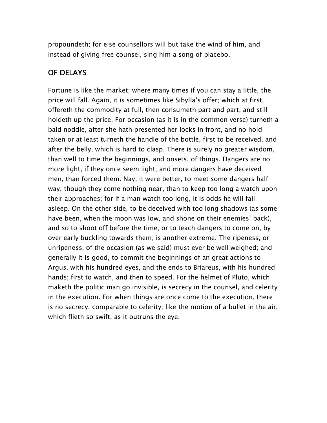propoundeth; for else counsellors will but take the wind of him, and instead of giving free counsel, sing him a song of placebo.

## OF DELAYS

Fortune is like the market; where many times if you can stay a little, the price will fall. Again, it is sometimes like Sibylla's offer; which at first, offereth the commodity at full, then consumeth part and part, and still holdeth up the price. For occasion (as it is in the common verse) turneth a bald noddle, after she hath presented her locks in front, and no hold taken or at least turneth the handle of the bottle, first to be received, and after the belly, which is hard to clasp. There is surely no greater wisdom, than well to time the beginnings, and onsets, of things. Dangers are no more light, if they once seem light; and more dangers have deceived men, than forced them. Nay, it were better, to meet some dangers half way, though they come nothing near, than to keep too long a watch upon their approaches; for if a man watch too long, it is odds he will fall asleep. On the other side, to be deceived with too long shadows (as some have been, when the moon was low, and shone on their enemies' back), and so to shoot off before the time; or to teach dangers to come on, by over early buckling towards them; is another extreme. The ripeness, or unripeness, of the occasion (as we said) must ever be well weighed; and generally it is good, to commit the beginnings of an great actions to Argus, with his hundred eyes, and the ends to Briareus, with his hundred hands; first to watch, and then to speed. For the helmet of Pluto, which maketh the politic man go invisible, is secrecy in the counsel, and celerity in the execution. For when things are once come to the execution, there is no secrecy, comparable to celerity; like the motion of a bullet in the air, which flieth so swift, as it outruns the eye.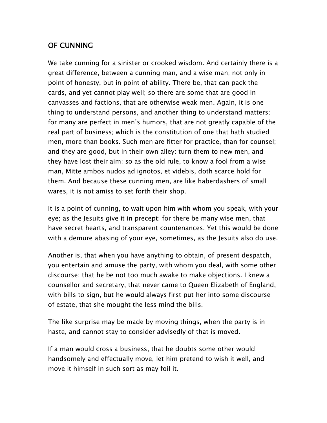# OF CUNNING

We take cunning for a sinister or crooked wisdom. And certainly there is a great difference, between a cunning man, and a wise man; not only in point of honesty, but in point of ability. There be, that can pack the cards, and yet cannot play well; so there are some that are good in canvasses and factions, that are otherwise weak men. Again, it is one thing to understand persons, and another thing to understand matters; for many are perfect in men's humors, that are not greatly capable of the real part of business; which is the constitution of one that hath studied men, more than books. Such men are fitter for practice, than for counsel; and they are good, but in their own alley: turn them to new men, and they have lost their aim; so as the old rule, to know a fool from a wise man, Mitte ambos nudos ad ignotos, et videbis, doth scarce hold for them. And because these cunning men, are like haberdashers of small wares, it is not amiss to set forth their shop.

It is a point of cunning, to wait upon him with whom you speak, with your eye; as the Jesuits give it in precept: for there be many wise men, that have secret hearts, and transparent countenances. Yet this would be done with a demure abasing of your eye, sometimes, as the Jesuits also do use.

Another is, that when you have anything to obtain, of present despatch, you entertain and amuse the party, with whom you deal, with some other discourse; that he be not too much awake to make objections. I knew a counsellor and secretary, that never came to Queen Elizabeth of England, with bills to sign, but he would always first put her into some discourse of estate, that she mought the less mind the bills.

The like surprise may be made by moving things, when the party is in haste, and cannot stay to consider advisedly of that is moved.

If a man would cross a business, that he doubts some other would handsomely and effectually move, let him pretend to wish it well, and move it himself in such sort as may foil it.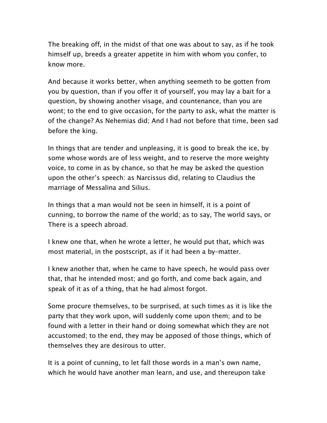The breaking off, in the midst of that one was about to say, as if he took himself up, breeds a greater appetite in him with whom you confer, to know more.

And because it works better, when anything seemeth to be gotten from you by question, than if you offer it of yourself, you may lay a bait for a question, by showing another visage, and countenance, than you are wont; to the end to give occasion, for the party to ask, what the matter is of the change? As Nehemias did; And I had not before that time, been sad before the king.

In things that are tender and unpleasing, it is good to break the ice, by some whose words are of less weight, and to reserve the more weighty voice, to come in as by chance, so that he may be asked the question upon the other's speech: as Narcissus did, relating to Claudius the marriage of Messalina and Silius.

In things that a man would not be seen in himself, it is a point of cunning, to borrow the name of the world; as to say, The world says, or There is a speech abroad.

I knew one that, when he wrote a letter, he would put that, which was most material, in the postscript, as if it had been a by–matter.

I knew another that, when he came to have speech, he would pass over that, that he intended most; and go forth, and come back again, and speak of it as of a thing, that he had almost forgot.

Some procure themselves, to be surprised, at such times as it is like the party that they work upon, will suddenly come upon them; and to be found with a letter in their hand or doing somewhat which they are not accustomed; to the end, they may be apposed of those things, which of themselves they are desirous to utter.

It is a point of cunning, to let fall those words in a man's own name, which he would have another man learn, and use, and thereupon take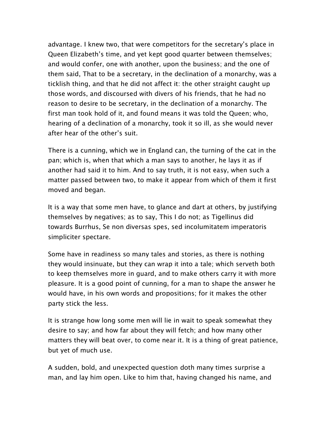advantage. I knew two, that were competitors for the secretary's place in Queen Elizabeth's time, and yet kept good quarter between themselves; and would confer, one with another, upon the business; and the one of them said, That to be a secretary, in the declination of a monarchy, was a ticklish thing, and that he did not affect it: the other straight caught up those words, and discoursed with divers of his friends, that he had no reason to desire to be secretary, in the declination of a monarchy. The first man took hold of it, and found means it was told the Queen; who, hearing of a declination of a monarchy, took it so ill, as she would never after hear of the other's suit.

There is a cunning, which we in England can, the turning of the cat in the pan; which is, when that which a man says to another, he lays it as if another had said it to him. And to say truth, it is not easy, when such a matter passed between two, to make it appear from which of them it first moved and began.

It is a way that some men have, to glance and dart at others, by justifying themselves by negatives; as to say, This I do not; as Tigellinus did towards Burrhus, Se non diversas spes, sed incolumitatem imperatoris simpliciter spectare.

Some have in readiness so many tales and stories, as there is nothing they would insinuate, but they can wrap it into a tale; which serveth both to keep themselves more in guard, and to make others carry it with more pleasure. It is a good point of cunning, for a man to shape the answer he would have, in his own words and propositions; for it makes the other party stick the less.

It is strange how long some men will lie in wait to speak somewhat they desire to say; and how far about they will fetch; and how many other matters they will beat over, to come near it. It is a thing of great patience, but yet of much use.

A sudden, bold, and unexpected question doth many times surprise a man, and lay him open. Like to him that, having changed his name, and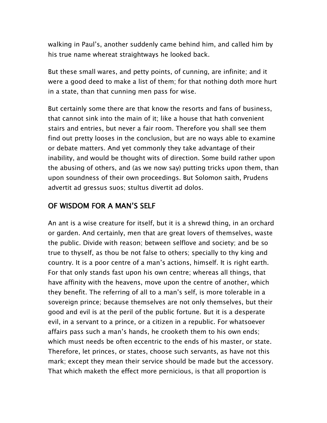walking in Paul's, another suddenly came behind him, and called him by his true name whereat straightways he looked back.

But these small wares, and petty points, of cunning, are infinite; and it were a good deed to make a list of them; for that nothing doth more hurt in a state, than that cunning men pass for wise.

But certainly some there are that know the resorts and fans of business, that cannot sink into the main of it; like a house that hath convenient stairs and entries, but never a fair room. Therefore you shall see them find out pretty looses in the conclusion, but are no ways able to examine or debate matters. And yet commonly they take advantage of their inability, and would be thought wits of direction. Some build rather upon the abusing of others, and (as we now say) putting tricks upon them, than upon soundness of their own proceedings. But Solomon saith, Prudens advertit ad gressus suos; stultus divertit ad dolos.

#### OF WISDOM FOR A MAN'S SELF

An ant is a wise creature for itself, but it is a shrewd thing, in an orchard or garden. And certainly, men that are great lovers of themselves, waste the public. Divide with reason; between selflove and society; and be so true to thyself, as thou be not false to others; specially to thy king and country. It is a poor centre of a man's actions, himself. It is right earth. For that only stands fast upon his own centre; whereas all things, that have affinity with the heavens, move upon the centre of another, which they benefit. The referring of all to a man's self, is more tolerable in a sovereign prince; because themselves are not only themselves, but their good and evil is at the peril of the public fortune. But it is a desperate evil, in a servant to a prince, or a citizen in a republic. For whatsoever affairs pass such a man's hands, he crooketh them to his own ends; which must needs be often eccentric to the ends of his master, or state. Therefore, let princes, or states, choose such servants, as have not this mark; except they mean their service should be made but the accessory. That which maketh the effect more pernicious, is that all proportion is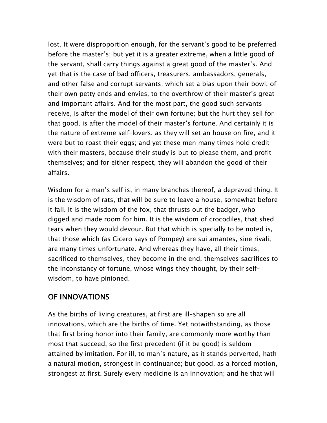lost. It were disproportion enough, for the servant's good to be preferred before the master's; but yet it is a greater extreme, when a little good of the servant, shall carry things against a great good of the master's. And yet that is the case of bad officers, treasurers, ambassadors, generals, and other false and corrupt servants; which set a bias upon their bowl, of their own petty ends and envies, to the overthrow of their master's great and important affairs. And for the most part, the good such servants receive, is after the model of their own fortune; but the hurt they sell for that good, is after the model of their master's fortune. And certainly it is the nature of extreme self–lovers, as they will set an house on fire, and it were but to roast their eggs; and yet these men many times hold credit with their masters, because their study is but to please them, and profit themselves; and for either respect, they will abandon the good of their affairs.

Wisdom for a man's self is, in many branches thereof, a depraved thing. It is the wisdom of rats, that will be sure to leave a house, somewhat before it fall. It is the wisdom of the fox, that thrusts out the badger, who digged and made room for him. It is the wisdom of crocodiles, that shed tears when they would devour. But that which is specially to be noted is, that those which (as Cicero says of Pompey) are sui amantes, sine rivali, are many times unfortunate. And whereas they have, all their times, sacrificed to themselves, they become in the end, themselves sacrifices to the inconstancy of fortune, whose wings they thought, by their self– wisdom, to have pinioned.

## OF INNOVATIONS

As the births of living creatures, at first are ill–shapen so are all innovations, which are the births of time. Yet notwithstanding, as those that first bring honor into their family, are commonly more worthy than most that succeed, so the first precedent (if it be good) is seldom attained by imitation. For ill, to man's nature, as it stands perverted, hath a natural motion, strongest in continuance; but good, as a forced motion, strongest at first. Surely every medicine is an innovation; and he that will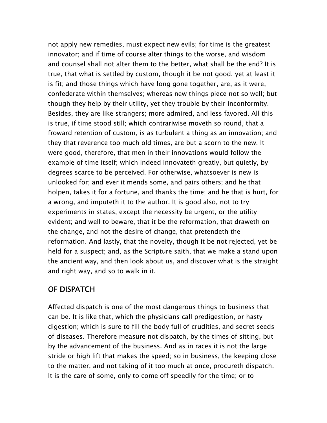not apply new remedies, must expect new evils; for time is the greatest innovator; and if time of course alter things to the worse, and wisdom and counsel shall not alter them to the better, what shall be the end? It is true, that what is settled by custom, though it be not good, yet at least it is fit; and those things which have long gone together, are, as it were, confederate within themselves; whereas new things piece not so well; but though they help by their utility, yet they trouble by their inconformity. Besides, they are like strangers; more admired, and less favored. All this is true, if time stood still; which contrariwise moveth so round, that a froward retention of custom, is as turbulent a thing as an innovation; and they that reverence too much old times, are but a scorn to the new. It were good, therefore, that men in their innovations would follow the example of time itself; which indeed innovateth greatly, but quietly, by degrees scarce to be perceived. For otherwise, whatsoever is new is unlooked for; and ever it mends some, and pairs others; and he that holpen, takes it for a fortune, and thanks the time; and he that is hurt, for a wrong, and imputeth it to the author. It is good also, not to try experiments in states, except the necessity be urgent, or the utility evident; and well to beware, that it be the reformation, that draweth on the change, and not the desire of change, that pretendeth the reformation. And lastly, that the novelty, though it be not rejected, yet be held for a suspect; and, as the Scripture saith, that we make a stand upon the ancient way, and then look about us, and discover what is the straight and right way, and so to walk in it.

# OF DISPATCH

Affected dispatch is one of the most dangerous things to business that can be. It is like that, which the physicians call predigestion, or hasty digestion; which is sure to fill the body full of crudities, and secret seeds of diseases. Therefore measure not dispatch, by the times of sitting, but by the advancement of the business. And as in races it is not the large stride or high lift that makes the speed; so in business, the keeping close to the matter, and not taking of it too much at once, procureth dispatch. It is the care of some, only to come off speedily for the time; or to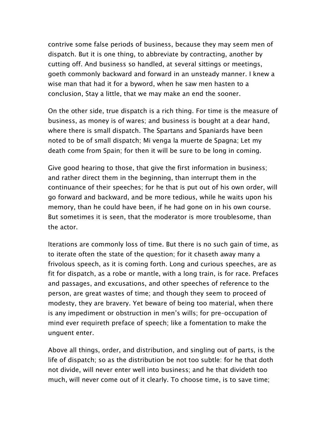contrive some false periods of business, because they may seem men of dispatch. But it is one thing, to abbreviate by contracting, another by cutting off. And business so handled, at several sittings or meetings, goeth commonly backward and forward in an unsteady manner. I knew a wise man that had it for a byword, when he saw men hasten to a conclusion, Stay a little, that we may make an end the sooner.

On the other side, true dispatch is a rich thing. For time is the measure of business, as money is of wares; and business is bought at a dear hand, where there is small dispatch. The Spartans and Spaniards have been noted to be of small dispatch; Mi venga la muerte de Spagna; Let my death come from Spain; for then it will be sure to be long in coming.

Give good hearing to those, that give the first information in business; and rather direct them in the beginning, than interrupt them in the continuance of their speeches; for he that is put out of his own order, will go forward and backward, and be more tedious, while he waits upon his memory, than he could have been, if he had gone on in his own course. But sometimes it is seen, that the moderator is more troublesome, than the actor.

Iterations are commonly loss of time. But there is no such gain of time, as to iterate often the state of the question; for it chaseth away many a frivolous speech, as it is coming forth. Long and curious speeches, are as fit for dispatch, as a robe or mantle, with a long train, is for race. Prefaces and passages, and excusations, and other speeches of reference to the person, are great wastes of time; and though they seem to proceed of modesty, they are bravery. Yet beware of being too material, when there is any impediment or obstruction in men's wills; for pre–occupation of mind ever requireth preface of speech; like a fomentation to make the unguent enter.

Above all things, order, and distribution, and singling out of parts, is the life of dispatch; so as the distribution be not too subtle: for he that doth not divide, will never enter well into business; and he that divideth too much, will never come out of it clearly. To choose time, is to save time;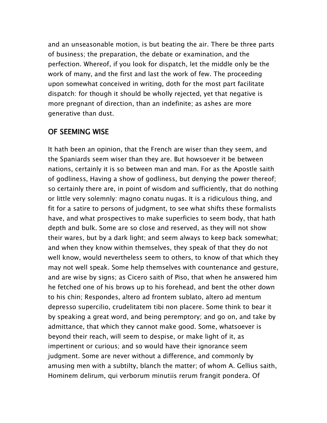and an unseasonable motion, is but beating the air. There be three parts of business; the preparation, the debate or examination, and the perfection. Whereof, if you look for dispatch, let the middle only be the work of many, and the first and last the work of few. The proceeding upon somewhat conceived in writing, doth for the most part facilitate dispatch: for though it should be wholly rejected, yet that negative is more pregnant of direction, than an indefinite; as ashes are more generative than dust.

#### OF SEEMING WISE

It hath been an opinion, that the French are wiser than they seem, and the Spaniards seem wiser than they are. But howsoever it be between nations, certainly it is so between man and man. For as the Apostle saith of godliness, Having a show of godliness, but denying the power thereof; so certainly there are, in point of wisdom and sufficiently, that do nothing or little very solemnly: magno conatu nugas. It is a ridiculous thing, and fit for a satire to persons of judgment, to see what shifts these formalists have, and what prospectives to make superficies to seem body, that hath depth and bulk. Some are so close and reserved, as they will not show their wares, but by a dark light; and seem always to keep back somewhat; and when they know within themselves, they speak of that they do not well know, would nevertheless seem to others, to know of that which they may not well speak. Some help themselves with countenance and gesture, and are wise by signs; as Cicero saith of Piso, that when he answered him he fetched one of his brows up to his forehead, and bent the other down to his chin; Respondes, altero ad frontem sublato, altero ad mentum depresso supercilio, crudelitatem tibi non placere. Some think to bear it by speaking a great word, and being peremptory; and go on, and take by admittance, that which they cannot make good. Some, whatsoever is beyond their reach, will seem to despise, or make light of it, as impertinent or curious; and so would have their ignorance seem judgment. Some are never without a difference, and commonly by amusing men with a subtilty, blanch the matter; of whom A. Gellius saith, Hominem delirum, qui verborum minutiis rerum frangit pondera. Of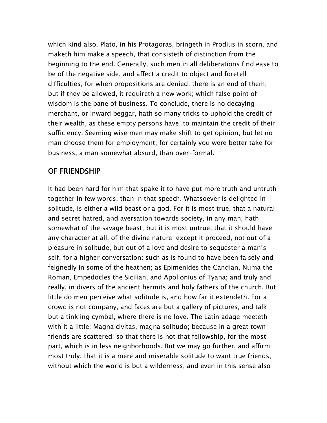which kind also, Plato, in his Protagoras, bringeth in Prodius in scorn, and maketh him make a speech, that consisteth of distinction from the beginning to the end. Generally, such men in all deliberations find ease to be of the negative side, and affect a credit to object and foretell difficulties; for when propositions are denied, there is an end of them; but if they be allowed, it requireth a new work; which false point of wisdom is the bane of business. To conclude, there is no decaying merchant, or inward beggar, hath so many tricks to uphold the credit of their wealth, as these empty persons have, to maintain the credit of their sufficiency. Seeming wise men may make shift to get opinion; but let no man choose them for employment; for certainly you were better take for business, a man somewhat absurd, than over–formal.

## OF FRIENDSHIP

It had been hard for him that spake it to have put more truth and untruth together in few words, than in that speech. Whatsoever is delighted in solitude, is either a wild beast or a god. For it is most true, that a natural and secret hatred, and aversation towards society, in any man, hath somewhat of the savage beast; but it is most untrue, that it should have any character at all, of the divine nature; except it proceed, not out of a pleasure in solitude, but out of a love and desire to sequester a man's self, for a higher conversation: such as is found to have been falsely and feignedly in some of the heathen; as Epimenides the Candian, Numa the Roman, Empedocles the Sicilian, and Apollonius of Tyana; and truly and really, in divers of the ancient hermits and holy fathers of the church. But little do men perceive what solitude is, and how far it extendeth. For a crowd is not company; and faces are but a gallery of pictures; and talk but a tinkling cymbal, where there is no love. The Latin adage meeteth with it a little: Magna civitas, magna solitudo; because in a great town friends are scattered; so that there is not that fellowship, for the most part, which is in less neighborhoods. But we may go further, and affirm most truly, that it is a mere and miserable solitude to want true friends; without which the world is but a wilderness; and even in this sense also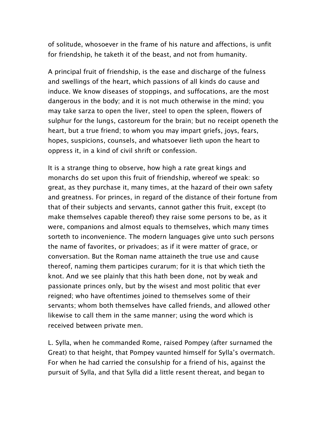of solitude, whosoever in the frame of his nature and affections, is unfit for friendship, he taketh it of the beast, and not from humanity.

A principal fruit of friendship, is the ease and discharge of the fulness and swellings of the heart, which passions of all kinds do cause and induce. We know diseases of stoppings, and suffocations, are the most dangerous in the body; and it is not much otherwise in the mind; you may take sarza to open the liver, steel to open the spleen, flowers of sulphur for the lungs, castoreum for the brain; but no receipt openeth the heart, but a true friend; to whom you may impart griefs, joys, fears, hopes, suspicions, counsels, and whatsoever lieth upon the heart to oppress it, in a kind of civil shrift or confession.

It is a strange thing to observe, how high a rate great kings and monarchs do set upon this fruit of friendship, whereof we speak: so great, as they purchase it, many times, at the hazard of their own safety and greatness. For princes, in regard of the distance of their fortune from that of their subjects and servants, cannot gather this fruit, except (to make themselves capable thereof) they raise some persons to be, as it were, companions and almost equals to themselves, which many times sorteth to inconvenience. The modern languages give unto such persons the name of favorites, or privadoes; as if it were matter of grace, or conversation. But the Roman name attaineth the true use and cause thereof, naming them participes curarum; for it is that which tieth the knot. And we see plainly that this hath been done, not by weak and passionate princes only, but by the wisest and most politic that ever reigned; who have oftentimes joined to themselves some of their servants; whom both themselves have called friends, and allowed other likewise to call them in the same manner; using the word which is received between private men.

L. Sylla, when he commanded Rome, raised Pompey (after surnamed the Great) to that height, that Pompey vaunted himself for Sylla's overmatch. For when he had carried the consulship for a friend of his, against the pursuit of Sylla, and that Sylla did a little resent thereat, and began to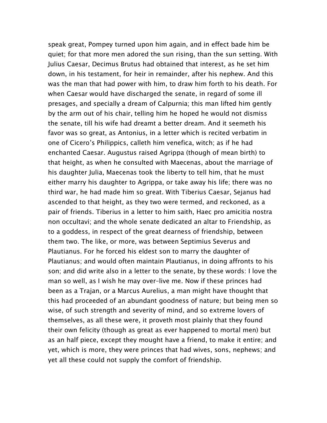speak great, Pompey turned upon him again, and in effect bade him be quiet; for that more men adored the sun rising, than the sun setting. With Julius Caesar, Decimus Brutus had obtained that interest, as he set him down, in his testament, for heir in remainder, after his nephew. And this was the man that had power with him, to draw him forth to his death. For when Caesar would have discharged the senate, in regard of some ill presages, and specially a dream of Calpurnia; this man lifted him gently by the arm out of his chair, telling him he hoped he would not dismiss the senate, till his wife had dreamt a better dream. And it seemeth his favor was so great, as Antonius, in a letter which is recited verbatim in one of Cicero's Philippics, calleth him venefica, witch; as if he had enchanted Caesar. Augustus raised Agrippa (though of mean birth) to that height, as when he consulted with Maecenas, about the marriage of his daughter Julia, Maecenas took the liberty to tell him, that he must either marry his daughter to Agrippa, or take away his life; there was no third war, he had made him so great. With Tiberius Caesar, Sejanus had ascended to that height, as they two were termed, and reckoned, as a pair of friends. Tiberius in a letter to him saith, Haec pro amicitia nostra non occultavi; and the whole senate dedicated an altar to Friendship, as to a goddess, in respect of the great dearness of friendship, between them two. The like, or more, was between Septimius Severus and Plautianus. For he forced his eldest son to marry the daughter of Plautianus; and would often maintain Plautianus, in doing affronts to his son; and did write also in a letter to the senate, by these words: I love the man so well, as I wish he may over–live me. Now if these princes had been as a Trajan, or a Marcus Aurelius, a man might have thought that this had proceeded of an abundant goodness of nature; but being men so wise, of such strength and severity of mind, and so extreme lovers of themselves, as all these were, it proveth most plainly that they found their own felicity (though as great as ever happened to mortal men) but as an half piece, except they mought have a friend, to make it entire; and yet, which is more, they were princes that had wives, sons, nephews; and yet all these could not supply the comfort of friendship.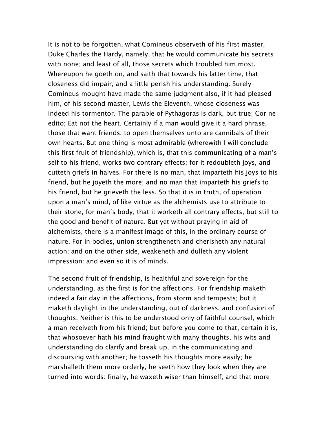It is not to be forgotten, what Comineus observeth of his first master, Duke Charles the Hardy, namely, that he would communicate his secrets with none; and least of all, those secrets which troubled him most. Whereupon he goeth on, and saith that towards his latter time, that closeness did impair, and a little perish his understanding. Surely Comineus mought have made the same judgment also, if it had pleased him, of his second master, Lewis the Eleventh, whose closeness was indeed his tormentor. The parable of Pythagoras is dark, but true; Cor ne edito; Eat not the heart. Certainly if a man would give it a hard phrase, those that want friends, to open themselves unto are cannibals of their own hearts. But one thing is most admirable (wherewith I will conclude this first fruit of friendship), which is, that this communicating of a man's self to his friend, works two contrary effects; for it redoubleth joys, and cutteth griefs in halves. For there is no man, that imparteth his joys to his friend, but he joyeth the more; and no man that imparteth his griefs to his friend, but he grieveth the less. So that it is in truth, of operation upon a man's mind, of like virtue as the alchemists use to attribute to their stone, for man's body; that it worketh all contrary effects, but still to the good and benefit of nature. But yet without praying in aid of alchemists, there is a manifest image of this, in the ordinary course of nature. For in bodies, union strengtheneth and cherisheth any natural action; and on the other side, weakeneth and dulleth any violent impression: and even so it is of minds.

The second fruit of friendship, is healthful and sovereign for the understanding, as the first is for the affections. For friendship maketh indeed a fair day in the affections, from storm and tempests; but it maketh daylight in the understanding, out of darkness, and confusion of thoughts. Neither is this to be understood only of faithful counsel, which a man receiveth from his friend; but before you come to that, certain it is, that whosoever hath his mind fraught with many thoughts, his wits and understanding do clarify and break up, in the communicating and discoursing with another; he tosseth his thoughts more easily; he marshalleth them more orderly, he seeth how they look when they are turned into words: finally, he waxeth wiser than himself; and that more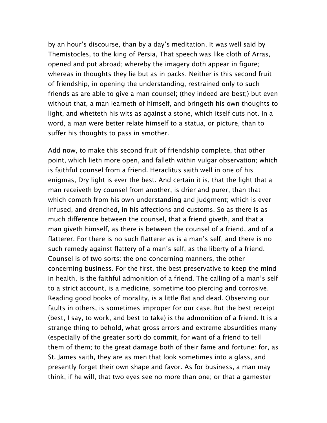by an hour's discourse, than by a day's meditation. It was well said by Themistocles, to the king of Persia, That speech was like cloth of Arras, opened and put abroad; whereby the imagery doth appear in figure; whereas in thoughts they lie but as in packs. Neither is this second fruit of friendship, in opening the understanding, restrained only to such friends as are able to give a man counsel; (they indeed are best;) but even without that, a man learneth of himself, and bringeth his own thoughts to light, and whetteth his wits as against a stone, which itself cuts not. In a word, a man were better relate himself to a statua, or picture, than to suffer his thoughts to pass in smother.

Add now, to make this second fruit of friendship complete, that other point, which lieth more open, and falleth within vulgar observation; which is faithful counsel from a friend. Heraclitus saith well in one of his enigmas, Dry light is ever the best. And certain it is, that the light that a man receiveth by counsel from another, is drier and purer, than that which cometh from his own understanding and judgment; which is ever infused, and drenched, in his affections and customs. So as there is as much difference between the counsel, that a friend giveth, and that a man giveth himself, as there is between the counsel of a friend, and of a flatterer. For there is no such flatterer as is a man's self; and there is no such remedy against flattery of a man's self, as the liberty of a friend. Counsel is of two sorts: the one concerning manners, the other concerning business. For the first, the best preservative to keep the mind in health, is the faithful admonition of a friend. The calling of a man's self to a strict account, is a medicine, sometime too piercing and corrosive. Reading good books of morality, is a little flat and dead. Observing our faults in others, is sometimes improper for our case. But the best receipt (best, I say, to work, and best to take) is the admonition of a friend. It is a strange thing to behold, what gross errors and extreme absurdities many (especially of the greater sort) do commit, for want of a friend to tell them of them; to the great damage both of their fame and fortune: for, as St. James saith, they are as men that look sometimes into a glass, and presently forget their own shape and favor. As for business, a man may think, if he will, that two eyes see no more than one; or that a gamester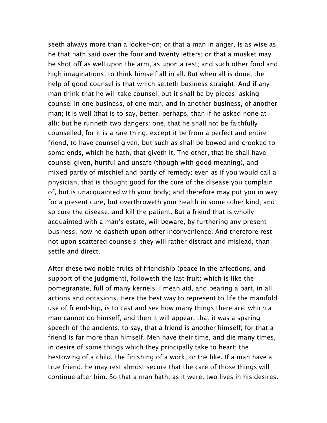seeth always more than a looker–on; or that a man in anger, is as wise as he that hath said over the four and twenty letters; or that a musket may be shot off as well upon the arm, as upon a rest; and such other fond and high imaginations, to think himself all in all. But when all is done, the help of good counsel is that which setteth business straight. And if any man think that he will take counsel, but it shall be by pieces; asking counsel in one business, of one man, and in another business, of another man; it is well (that is to say, better, perhaps, than if he asked none at all); but he runneth two dangers: one, that he shall not be faithfully counselled; for it is a rare thing, except it be from a perfect and entire friend, to have counsel given, but such as shall be bowed and crooked to some ends, which he hath, that giveth it. The other, that he shall have counsel given, hurtful and unsafe (though with good meaning), and mixed partly of mischief and partly of remedy; even as if you would call a physician, that is thought good for the cure of the disease you complain of, but is unacquainted with your body; and therefore may put you in way for a present cure, but overthroweth your health in some other kind; and so cure the disease, and kill the patient. But a friend that is wholly acquainted with a man's estate, will beware, by furthering any present business, how he dasheth upon other inconvenience. And therefore rest not upon scattered counsels; they will rather distract and mislead, than settle and direct.

After these two noble fruits of friendship (peace in the affections, and support of the judgment), followeth the last fruit; which is like the pomegranate, full of many kernels; I mean aid, and bearing a part, in all actions and occasions. Here the best way to represent to life the manifold use of friendship, is to cast and see how many things there are, which a man cannot do himself; and then it will appear, that it was a sparing speech of the ancients, to say, that a friend is another himself; for that a friend is far more than himself. Men have their time, and die many times, in desire of some things which they principally take to heart; the bestowing of a child, the finishing of a work, or the like. If a man have a true friend, he may rest almost secure that the care of those things will continue after him. So that a man hath, as it were, two lives in his desires.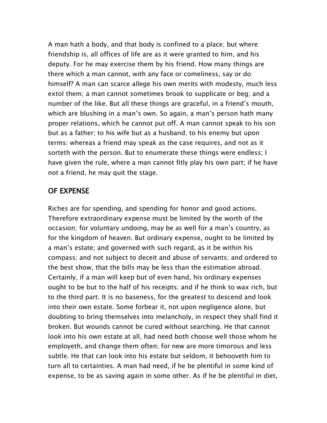A man hath a body, and that body is confined to a place; but where friendship is, all offices of life are as it were granted to him, and his deputy. For he may exercise them by his friend. How many things are there which a man cannot, with any face or comeliness, say or do himself? A man can scarce allege his own merits with modesty, much less extol them; a man cannot sometimes brook to supplicate or beg; and a number of the like. But all these things are graceful, in a friend's mouth, which are blushing in a man's own. So again, a man's person hath many proper relations, which he cannot put off. A man cannot speak to his son but as a father; to his wife but as a husband; to his enemy but upon terms: whereas a friend may speak as the case requires, and not as it sorteth with the person. But to enumerate these things were endless; I have given the rule, where a man cannot fitly play his own part; if he have not a friend, he may quit the stage.

#### OF EXPENSE

Riches are for spending, and spending for honor and good actions. Therefore extraordinary expense must be limited by the worth of the occasion; for voluntary undoing, may be as well for a man's country, as for the kingdom of heaven. But ordinary expense, ought to be limited by a man's estate; and governed with such regard, as it be within his compass; and not subject to deceit and abuse of servants; and ordered to the best show, that the bills may be less than the estimation abroad. Certainly, if a man will keep but of even hand, his ordinary expenses ought to be but to the half of his receipts; and if he think to wax rich, but to the third part. It is no baseness, for the greatest to descend and look into their own estate. Some forbear it, not upon negligence alone, but doubting to bring themselves into melancholy, in respect they shall find it broken. But wounds cannot be cured without searching. He that cannot look into his own estate at all, had need both choose well those whom he employeth, and change them often; for new are more timorous and less subtle. He that can look into his estate but seldom, it behooveth him to turn all to certainties. A man had need, if he be plentiful in some kind of expense, to be as saving again in some other. As if he be plentiful in diet,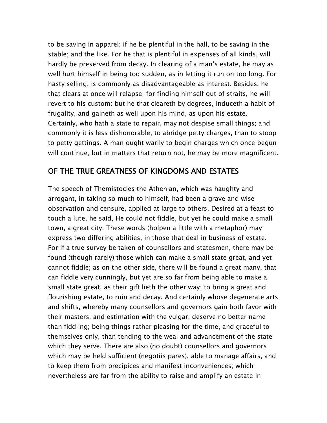to be saving in apparel; if he be plentiful in the hall, to be saving in the stable; and the like. For he that is plentiful in expenses of all kinds, will hardly be preserved from decay. In clearing of a man's estate, he may as well hurt himself in being too sudden, as in letting it run on too long. For hasty selling, is commonly as disadvantageable as interest. Besides, he that clears at once will relapse; for finding himself out of straits, he will revert to his custom: but he that cleareth by degrees, induceth a habit of frugality, and gaineth as well upon his mind, as upon his estate. Certainly, who hath a state to repair, may not despise small things; and commonly it is less dishonorable, to abridge petty charges, than to stoop to petty gettings. A man ought warily to begin charges which once begun will continue; but in matters that return not, he may be more magnificent.

## OF THE TRUE GREATNESS OF KINGDOMS AND ESTATES

The speech of Themistocles the Athenian, which was haughty and arrogant, in taking so much to himself, had been a grave and wise observation and censure, applied at large to others. Desired at a feast to touch a lute, he said, He could not fiddle, but yet he could make a small town, a great city. These words (holpen a little with a metaphor) may express two differing abilities, in those that deal in business of estate. For if a true survey be taken of counsellors and statesmen, there may be found (though rarely) those which can make a small state great, and yet cannot fiddle; as on the other side, there will be found a great many, that can fiddle very cunningly, but yet are so far from being able to make a small state great, as their gift lieth the other way; to bring a great and flourishing estate, to ruin and decay. And certainly whose degenerate arts and shifts, whereby many counsellors and governors gain both favor with their masters, and estimation with the vulgar, deserve no better name than fiddling; being things rather pleasing for the time, and graceful to themselves only, than tending to the weal and advancement of the state which they serve. There are also (no doubt) counsellors and governors which may be held sufficient (negotiis pares), able to manage affairs, and to keep them from precipices and manifest inconveniences; which nevertheless are far from the ability to raise and amplify an estate in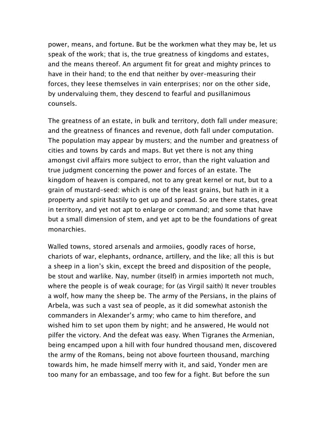power, means, and fortune. But be the workmen what they may be, let us speak of the work; that is, the true greatness of kingdoms and estates, and the means thereof. An argument fit for great and mighty princes to have in their hand; to the end that neither by over–measuring their forces, they leese themselves in vain enterprises; nor on the other side, by undervaluing them, they descend to fearful and pusillanimous counsels.

The greatness of an estate, in bulk and territory, doth fall under measure; and the greatness of finances and revenue, doth fall under computation. The population may appear by musters; and the number and greatness of cities and towns by cards and maps. But yet there is not any thing amongst civil affairs more subject to error, than the right valuation and true judgment concerning the power and forces of an estate. The kingdom of heaven is compared, not to any great kernel or nut, but to a grain of mustard–seed: which is one of the least grains, but hath in it a property and spirit hastily to get up and spread. So are there states, great in territory, and yet not apt to enlarge or command; and some that have but a small dimension of stem, and yet apt to be the foundations of great monarchies.

Walled towns, stored arsenals and armoiies, goodly races of horse, chariots of war, elephants, ordnance, artillery, and the like; all this is but a sheep in a lion's skin, except the breed and disposition of the people, be stout and warlike. Nay, number (itself) in armies importeth not much, where the people is of weak courage; for (as Virgil saith) It never troubles a wolf, how many the sheep be. The army of the Persians, in the plains of Arbela, was such a vast sea of people, as it did somewhat astonish the commanders in Alexander's army; who came to him therefore, and wished him to set upon them by night; and he answered, He would not pilfer the victory. And the defeat was easy. When Tigranes the Armenian, being encamped upon a hill with four hundred thousand men, discovered the army of the Romans, being not above fourteen thousand, marching towards him, he made himself merry with it, and said, Yonder men are too many for an embassage, and too few for a fight. But before the sun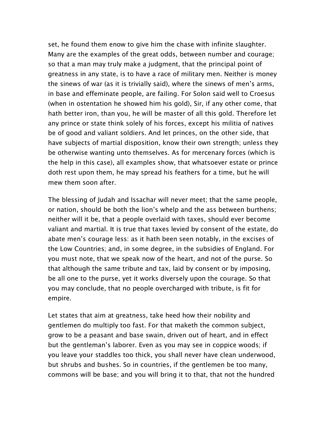set, he found them enow to give him the chase with infinite slaughter. Many are the examples of the great odds, between number and courage; so that a man may truly make a judgment, that the principal point of greatness in any state, is to have a race of military men. Neither is money the sinews of war (as it is trivially said), where the sinews of men's arms, in base and effeminate people, are failing. For Solon said well to Croesus (when in ostentation he showed him his gold), Sir, if any other come, that hath better iron, than you, he will be master of all this gold. Therefore let any prince or state think solely of his forces, except his militia of natives be of good and valiant soldiers. And let princes, on the other side, that have subjects of martial disposition, know their own strength; unless they be otherwise wanting unto themselves. As for mercenary forces (which is the help in this case), all examples show, that whatsoever estate or prince doth rest upon them, he may spread his feathers for a time, but he will mew them soon after.

The blessing of Judah and Issachar will never meet; that the same people, or nation, should be both the lion's whelp and the ass between burthens; neither will it be, that a people overlaid with taxes, should ever become valiant and martial. It is true that taxes levied by consent of the estate, do abate men's courage less: as it hath been seen notably, in the excises of the Low Countries; and, in some degree, in the subsidies of England. For you must note, that we speak now of the heart, and not of the purse. So that although the same tribute and tax, laid by consent or by imposing, be all one to the purse, yet it works diversely upon the courage. So that you may conclude, that no people overcharged with tribute, is fit for empire.

Let states that aim at greatness, take heed how their nobility and gentlemen do multiply too fast. For that maketh the common subject, grow to be a peasant and base swain, driven out of heart, and in effect but the gentleman's laborer. Even as you may see in coppice woods; if you leave your staddles too thick, you shall never have clean underwood, but shrubs and bushes. So in countries, if the gentlemen be too many, commons will be base; and you will bring it to that, that not the hundred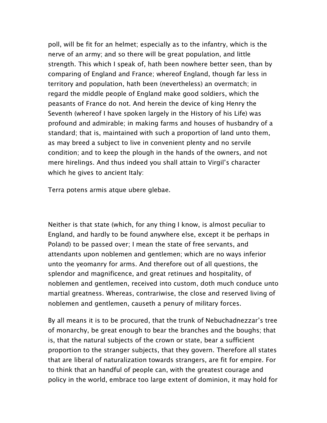poll, will be fit for an helmet; especially as to the infantry, which is the nerve of an army; and so there will be great population, and little strength. This which I speak of, hath been nowhere better seen, than by comparing of England and France; whereof England, though far less in territory and population, hath been (nevertheless) an overmatch; in regard the middle people of England make good soldiers, which the peasants of France do not. And herein the device of king Henry the Seventh (whereof I have spoken largely in the History of his Life) was profound and admirable; in making farms and houses of husbandry of a standard; that is, maintained with such a proportion of land unto them, as may breed a subject to live in convenient plenty and no servile condition; and to keep the plough in the hands of the owners, and not mere hirelings. And thus indeed you shall attain to Virgil's character which he gives to ancient Italy:

Terra potens armis atque ubere glebae.

Neither is that state (which, for any thing I know, is almost peculiar to England, and hardly to be found anywhere else, except it be perhaps in Poland) to be passed over; I mean the state of free servants, and attendants upon noblemen and gentlemen; which are no ways inferior unto the yeomanry for arms. And therefore out of all questions, the splendor and magnificence, and great retinues and hospitality, of noblemen and gentlemen, received into custom, doth much conduce unto martial greatness. Whereas, contrariwise, the close and reserved living of noblemen and gentlemen, causeth a penury of military forces.

By all means it is to be procured, that the trunk of Nebuchadnezzar's tree of monarchy, be great enough to bear the branches and the boughs; that is, that the natural subjects of the crown or state, bear a sufficient proportion to the stranger subjects, that they govern. Therefore all states that are liberal of naturalization towards strangers, are fit for empire. For to think that an handful of people can, with the greatest courage and policy in the world, embrace too large extent of dominion, it may hold for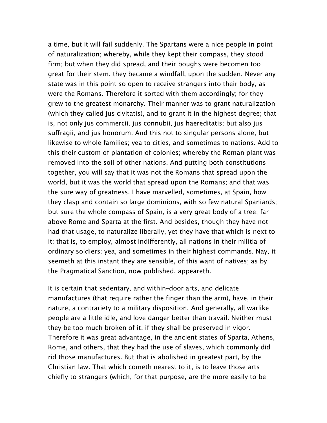a time, but it will fail suddenly. The Spartans were a nice people in point of naturalization; whereby, while they kept their compass, they stood firm; but when they did spread, and their boughs were becomen too great for their stem, they became a windfall, upon the sudden. Never any state was in this point so open to receive strangers into their body, as were the Romans. Therefore it sorted with them accordingly; for they grew to the greatest monarchy. Their manner was to grant naturalization (which they called jus civitatis), and to grant it in the highest degree; that is, not only jus commercii, jus connubii, jus haereditatis; but also jus suffragii, and jus honorum. And this not to singular persons alone, but likewise to whole families; yea to cities, and sometimes to nations. Add to this their custom of plantation of colonies; whereby the Roman plant was removed into the soil of other nations. And putting both constitutions together, you will say that it was not the Romans that spread upon the world, but it was the world that spread upon the Romans; and that was the sure way of greatness. I have marvelled, sometimes, at Spain, how they clasp and contain so large dominions, with so few natural Spaniards; but sure the whole compass of Spain, is a very great body of a tree; far above Rome and Sparta at the first. And besides, though they have not had that usage, to naturalize liberally, yet they have that which is next to it; that is, to employ, almost indifferently, all nations in their militia of ordinary soldiers; yea, and sometimes in their highest commands. Nay, it seemeth at this instant they are sensible, of this want of natives; as by the Pragmatical Sanction, now published, appeareth.

It is certain that sedentary, and within–door arts, and delicate manufactures (that require rather the finger than the arm), have, in their nature, a contrariety to a military disposition. And generally, all warlike people are a little idle, and love danger better than travail. Neither must they be too much broken of it, if they shall be preserved in vigor. Therefore it was great advantage, in the ancient states of Sparta, Athens, Rome, and others, that they had the use of slaves, which commonly did rid those manufactures. But that is abolished in greatest part, by the Christian law. That which cometh nearest to it, is to leave those arts chiefly to strangers (which, for that purpose, are the more easily to be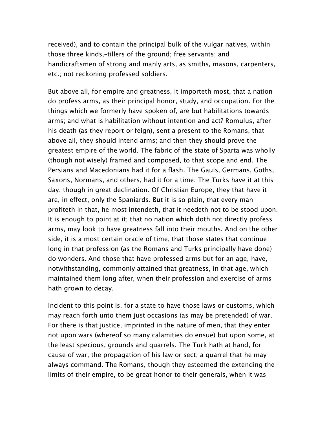received), and to contain the principal bulk of the vulgar natives, within those three kinds,–tillers of the ground; free servants; and handicraftsmen of strong and manly arts, as smiths, masons, carpenters, etc.; not reckoning professed soldiers.

But above all, for empire and greatness, it importeth most, that a nation do profess arms, as their principal honor, study, and occupation. For the things which we formerly have spoken of, are but habilitations towards arms; and what is habilitation without intention and act? Romulus, after his death (as they report or feign), sent a present to the Romans, that above all, they should intend arms; and then they should prove the greatest empire of the world. The fabric of the state of Sparta was wholly (though not wisely) framed and composed, to that scope and end. The Persians and Macedonians had it for a flash. The Gauls, Germans, Goths, Saxons, Normans, and others, had it for a time. The Turks have it at this day, though in great declination. Of Christian Europe, they that have it are, in effect, only the Spaniards. But it is so plain, that every man profiteth in that, he most intendeth, that it needeth not to be stood upon. It is enough to point at it; that no nation which doth not directly profess arms, may look to have greatness fall into their mouths. And on the other side, it is a most certain oracle of time, that those states that continue long in that profession (as the Romans and Turks principally have done) do wonders. And those that have professed arms but for an age, have, notwithstanding, commonly attained that greatness, in that age, which maintained them long after, when their profession and exercise of arms hath grown to decay.

Incident to this point is, for a state to have those laws or customs, which may reach forth unto them just occasions (as may be pretended) of war. For there is that justice, imprinted in the nature of men, that they enter not upon wars (whereof so many calamities do ensue) but upon some, at the least specious, grounds and quarrels. The Turk hath at hand, for cause of war, the propagation of his law or sect; a quarrel that he may always command. The Romans, though they esteemed the extending the limits of their empire, to be great honor to their generals, when it was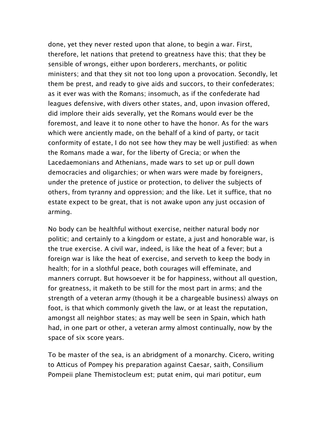done, yet they never rested upon that alone, to begin a war. First, therefore, let nations that pretend to greatness have this; that they be sensible of wrongs, either upon borderers, merchants, or politic ministers; and that they sit not too long upon a provocation. Secondly, let them be prest, and ready to give aids and succors, to their confederates; as it ever was with the Romans; insomuch, as if the confederate had leagues defensive, with divers other states, and, upon invasion offered, did implore their aids severally, yet the Romans would ever be the foremost, and leave it to none other to have the honor. As for the wars which were anciently made, on the behalf of a kind of party, or tacit conformity of estate, I do not see how they may be well justified: as when the Romans made a war, for the liberty of Grecia; or when the Lacedaemonians and Athenians, made wars to set up or pull down democracies and oligarchies; or when wars were made by foreigners, under the pretence of justice or protection, to deliver the subjects of others, from tyranny and oppression; and the like. Let it suffice, that no estate expect to be great, that is not awake upon any just occasion of arming.

No body can be healthful without exercise, neither natural body nor politic; and certainly to a kingdom or estate, a just and honorable war, is the true exercise. A civil war, indeed, is like the heat of a fever; but a foreign war is like the heat of exercise, and serveth to keep the body in health; for in a slothful peace, both courages will effeminate, and manners corrupt. But howsoever it be for happiness, without all question, for greatness, it maketh to be still for the most part in arms; and the strength of a veteran army (though it be a chargeable business) always on foot, is that which commonly giveth the law, or at least the reputation, amongst all neighbor states; as may well be seen in Spain, which hath had, in one part or other, a veteran army almost continually, now by the space of six score years.

To be master of the sea, is an abridgment of a monarchy. Cicero, writing to Atticus of Pompey his preparation against Caesar, saith, Consilium Pompeii plane Themistocleum est; putat enim, qui mari potitur, eum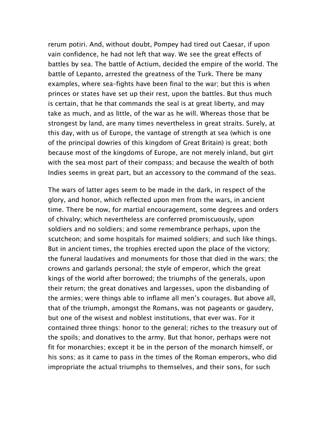rerum potiri. And, without doubt, Pompey had tired out Caesar, if upon vain confidence, he had not left that way. We see the great effects of battles by sea. The battle of Actium, decided the empire of the world. The battle of Lepanto, arrested the greatness of the Turk. There be many examples, where sea–fights have been final to the war; but this is when princes or states have set up their rest, upon the battles. But thus much is certain, that he that commands the seal is at great liberty, and may take as much, and as little, of the war as he will. Whereas those that be strongest by land, are many times nevertheless in great straits. Surely, at this day, with us of Europe, the vantage of strength at sea (which is one of the principal dowries of this kingdom of Great Britain) is great; both because most of the kingdoms of Europe, are not merely inland, but girt with the sea most part of their compass; and because the wealth of both Indies seems in great part, but an accessory to the command of the seas.

The wars of latter ages seem to be made in the dark, in respect of the glory, and honor, which reflected upon men from the wars, in ancient time. There be now, for martial encouragement, some degrees and orders of chivalry; which nevertheless are conferred promiscuously, upon soldiers and no soldiers; and some remembrance perhaps, upon the scutcheon; and some hospitals for maimed soldiers; and such like things. But in ancient times, the trophies erected upon the place of the victory; the funeral laudatives and monuments for those that died in the wars; the crowns and garlands personal; the style of emperor, which the great kings of the world after borrowed; the triumphs of the generals, upon their return; the great donatives and largesses, upon the disbanding of the armies; were things able to inflame all men's courages. But above all, that of the triumph, amongst the Romans, was not pageants or gaudery, but one of the wisest and noblest institutions, that ever was. For it contained three things: honor to the general; riches to the treasury out of the spoils; and donatives to the army. But that honor, perhaps were not fit for monarchies; except it be in the person of the monarch himself, or his sons; as it came to pass in the times of the Roman emperors, who did impropriate the actual triumphs to themselves, and their sons, for such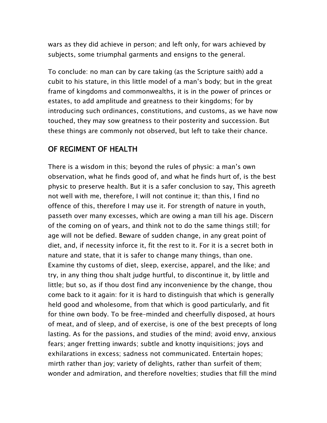wars as they did achieve in person; and left only, for wars achieved by subjects, some triumphal garments and ensigns to the general.

To conclude: no man can by care taking (as the Scripture saith) add a cubit to his stature, in this little model of a man's body; but in the great frame of kingdoms and commonwealths, it is in the power of princes or estates, to add amplitude and greatness to their kingdoms; for by introducing such ordinances, constitutions, and customs, as we have now touched, they may sow greatness to their posterity and succession. But these things are commonly not observed, but left to take their chance.

### OF REGIMENT OF HEALTH

There is a wisdom in this; beyond the rules of physic: a man's own observation, what he finds good of, and what he finds hurt of, is the best physic to preserve health. But it is a safer conclusion to say, This agreeth not well with me, therefore, I will not continue it; than this, I find no offence of this, therefore I may use it. For strength of nature in youth, passeth over many excesses, which are owing a man till his age. Discern of the coming on of years, and think not to do the same things still; for age will not be defied. Beware of sudden change, in any great point of diet, and, if necessity inforce it, fit the rest to it. For it is a secret both in nature and state, that it is safer to change many things, than one. Examine thy customs of diet, sleep, exercise, apparel, and the like; and try, in any thing thou shalt judge hurtful, to discontinue it, by little and little; but so, as if thou dost find any inconvenience by the change, thou come back to it again: for it is hard to distinguish that which is generally held good and wholesome, from that which is good particularly, and fit for thine own body. To be free–minded and cheerfully disposed, at hours of meat, and of sleep, and of exercise, is one of the best precepts of long lasting. As for the passions, and studies of the mind; avoid envy, anxious fears; anger fretting inwards; subtle and knotty inquisitions; joys and exhilarations in excess; sadness not communicated. Entertain hopes; mirth rather than joy; variety of delights, rather than surfeit of them; wonder and admiration, and therefore novelties; studies that fill the mind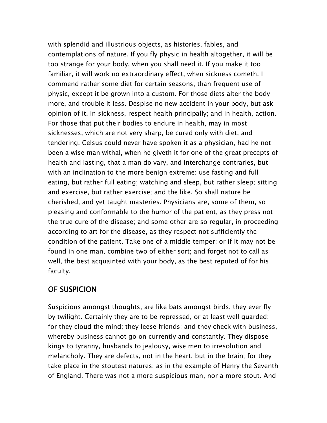with splendid and illustrious objects, as histories, fables, and contemplations of nature. If you fly physic in health altogether, it will be too strange for your body, when you shall need it. If you make it too familiar, it will work no extraordinary effect, when sickness cometh. I commend rather some diet for certain seasons, than frequent use of physic, except it be grown into a custom. For those diets alter the body more, and trouble it less. Despise no new accident in your body, but ask opinion of it. In sickness, respect health principally; and in health, action. For those that put their bodies to endure in health, may in most sicknesses, which are not very sharp, be cured only with diet, and tendering. Celsus could never have spoken it as a physician, had he not been a wise man withal, when he giveth it for one of the great precepts of health and lasting, that a man do vary, and interchange contraries, but with an inclination to the more benign extreme: use fasting and full eating, but rather full eating; watching and sleep, but rather sleep; sitting and exercise, but rather exercise; and the like. So shall nature be cherished, and yet taught masteries. Physicians are, some of them, so pleasing and conformable to the humor of the patient, as they press not the true cure of the disease; and some other are so regular, in proceeding according to art for the disease, as they respect not sufficiently the condition of the patient. Take one of a middle temper; or if it may not be found in one man, combine two of either sort; and forget not to call as well, the best acquainted with your body, as the best reputed of for his faculty.

## OF SUSPICION

Suspicions amongst thoughts, are like bats amongst birds, they ever fly by twilight. Certainly they are to be repressed, or at least well guarded: for they cloud the mind; they leese friends; and they check with business, whereby business cannot go on currently and constantly. They dispose kings to tyranny, husbands to jealousy, wise men to irresolution and melancholy. They are defects, not in the heart, but in the brain; for they take place in the stoutest natures; as in the example of Henry the Seventh of England. There was not a more suspicious man, nor a more stout. And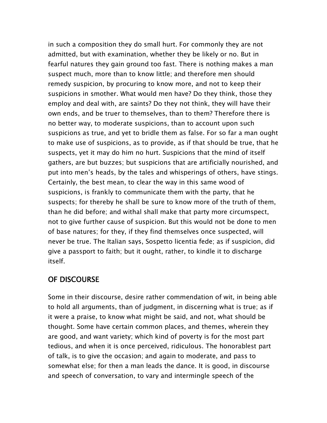in such a composition they do small hurt. For commonly they are not admitted, but with examination, whether they be likely or no. But in fearful natures they gain ground too fast. There is nothing makes a man suspect much, more than to know little; and therefore men should remedy suspicion, by procuring to know more, and not to keep their suspicions in smother. What would men have? Do they think, those they employ and deal with, are saints? Do they not think, they will have their own ends, and be truer to themselves, than to them? Therefore there is no better way, to moderate suspicions, than to account upon such suspicions as true, and yet to bridle them as false. For so far a man ought to make use of suspicions, as to provide, as if that should be true, that he suspects, yet it may do him no hurt. Suspicions that the mind of itself gathers, are but buzzes; but suspicions that are artificially nourished, and put into men's heads, by the tales and whisperings of others, have stings. Certainly, the best mean, to clear the way in this same wood of suspicions, is frankly to communicate them with the party, that he suspects; for thereby he shall be sure to know more of the truth of them, than he did before; and withal shall make that party more circumspect, not to give further cause of suspicion. But this would not be done to men of base natures; for they, if they find themselves once suspected, will never be true. The Italian says, Sospetto licentia fede; as if suspicion, did give a passport to faith; but it ought, rather, to kindle it to discharge itself.

# OF DISCOURSE

Some in their discourse, desire rather commendation of wit, in being able to hold all arguments, than of judgment, in discerning what is true; as if it were a praise, to know what might be said, and not, what should be thought. Some have certain common places, and themes, wherein they are good, and want variety; which kind of poverty is for the most part tedious, and when it is once perceived, ridiculous. The honorablest part of talk, is to give the occasion; and again to moderate, and pass to somewhat else; for then a man leads the dance. It is good, in discourse and speech of conversation, to vary and intermingle speech of the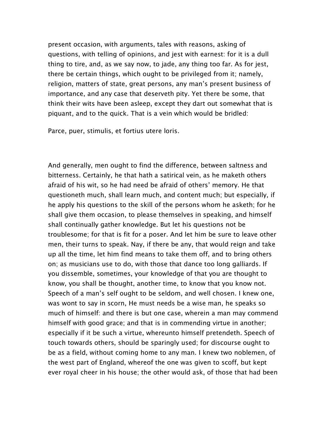present occasion, with arguments, tales with reasons, asking of questions, with telling of opinions, and jest with earnest: for it is a dull thing to tire, and, as we say now, to jade, any thing too far. As for jest, there be certain things, which ought to be privileged from it; namely, religion, matters of state, great persons, any man's present business of importance, and any case that deserveth pity. Yet there be some, that think their wits have been asleep, except they dart out somewhat that is piquant, and to the quick. That is a vein which would be bridled:

Parce, puer, stimulis, et fortius utere loris.

And generally, men ought to find the difference, between saltness and bitterness. Certainly, he that hath a satirical vein, as he maketh others afraid of his wit, so he had need be afraid of others' memory. He that questioneth much, shall learn much, and content much; but especially, if he apply his questions to the skill of the persons whom he asketh; for he shall give them occasion, to please themselves in speaking, and himself shall continually gather knowledge. But let his questions not be troublesome; for that is fit for a poser. And let him be sure to leave other men, their turns to speak. Nay, if there be any, that would reign and take up all the time, let him find means to take them off, and to bring others on; as musicians use to do, with those that dance too long galliards. If you dissemble, sometimes, your knowledge of that you are thought to know, you shall be thought, another time, to know that you know not. Speech of a man's self ought to be seldom, and well chosen. I knew one, was wont to say in scorn, He must needs be a wise man, he speaks so much of himself: and there is but one case, wherein a man may commend himself with good grace; and that is in commending virtue in another; especially if it be such a virtue, whereunto himself pretendeth. Speech of touch towards others, should be sparingly used; for discourse ought to be as a field, without coming home to any man. I knew two noblemen, of the west part of England, whereof the one was given to scoff, but kept ever royal cheer in his house; the other would ask, of those that had been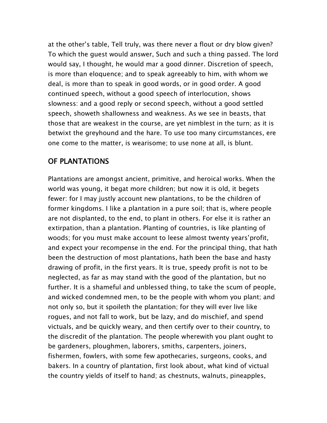at the other's table, Tell truly, was there never a flout or dry blow given? To which the guest would answer, Such and such a thing passed. The lord would say, I thought, he would mar a good dinner. Discretion of speech, is more than eloquence; and to speak agreeably to him, with whom we deal, is more than to speak in good words, or in good order. A good continued speech, without a good speech of interlocution, shows slowness: and a good reply or second speech, without a good settled speech, showeth shallowness and weakness. As we see in beasts, that those that are weakest in the course, are yet nimblest in the turn; as it is betwixt the greyhound and the hare. To use too many circumstances, ere one come to the matter, is wearisome; to use none at all, is blunt.

# OF PLANTATIONS

Plantations are amongst ancient, primitive, and heroical works. When the world was young, it begat more children; but now it is old, it begets fewer: for I may justly account new plantations, to be the children of former kingdoms. I like a plantation in a pure soil; that is, where people are not displanted, to the end, to plant in others. For else it is rather an extirpation, than a plantation. Planting of countries, is like planting of woods; for you must make account to leese almost twenty years'profit, and expect your recompense in the end. For the principal thing, that hath been the destruction of most plantations, hath been the base and hasty drawing of profit, in the first years. It is true, speedy profit is not to be neglected, as far as may stand with the good of the plantation, but no further. It is a shameful and unblessed thing, to take the scum of people, and wicked condemned men, to be the people with whom you plant; and not only so, but it spoileth the plantation; for they will ever live like rogues, and not fall to work, but be lazy, and do mischief, and spend victuals, and be quickly weary, and then certify over to their country, to the discredit of the plantation. The people wherewith you plant ought to be gardeners, ploughmen, laborers, smiths, carpenters, joiners, fishermen, fowlers, with some few apothecaries, surgeons, cooks, and bakers. In a country of plantation, first look about, what kind of victual the country yields of itself to hand; as chestnuts, walnuts, pineapples,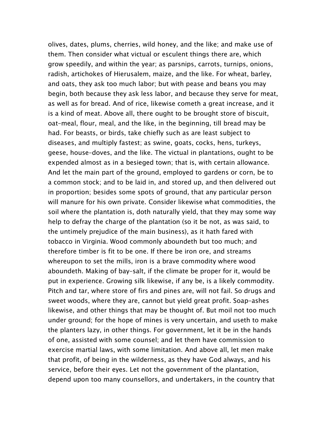olives, dates, plums, cherries, wild honey, and the like; and make use of them. Then consider what victual or esculent things there are, which grow speedily, and within the year; as parsnips, carrots, turnips, onions, radish, artichokes of Hierusalem, maize, and the like. For wheat, barley, and oats, they ask too much labor; but with pease and beans you may begin, both because they ask less labor, and because they serve for meat, as well as for bread. And of rice, likewise cometh a great increase, and it is a kind of meat. Above all, there ought to be brought store of biscuit, oat–meal, flour, meal, and the like, in the beginning, till bread may be had. For beasts, or birds, take chiefly such as are least subject to diseases, and multiply fastest; as swine, goats, cocks, hens, turkeys, geese, house–doves, and the like. The victual in plantations, ought to be expended almost as in a besieged town; that is, with certain allowance. And let the main part of the ground, employed to gardens or corn, be to a common stock; and to be laid in, and stored up, and then delivered out in proportion; besides some spots of ground, that any particular person will manure for his own private. Consider likewise what commodities, the soil where the plantation is, doth naturally yield, that they may some way help to defray the charge of the plantation (so it be not, as was said, to the untimely prejudice of the main business), as it hath fared with tobacco in Virginia. Wood commonly aboundeth but too much; and therefore timber is fit to be one. If there be iron ore, and streams whereupon to set the mills, iron is a brave commodity where wood aboundeth. Making of bay–salt, if the climate be proper for it, would be put in experience. Growing silk likewise, if any be, is a likely commodity. Pitch and tar, where store of firs and pines are, will not fail. So drugs and sweet woods, where they are, cannot but yield great profit. Soap–ashes likewise, and other things that may be thought of. But moil not too much under ground; for the hope of mines is very uncertain, and useth to make the planters lazy, in other things. For government, let it be in the hands of one, assisted with some counsel; and let them have commission to exercise martial laws, with some limitation. And above all, let men make that profit, of being in the wilderness, as they have God always, and his service, before their eyes. Let not the government of the plantation, depend upon too many counsellors, and undertakers, in the country that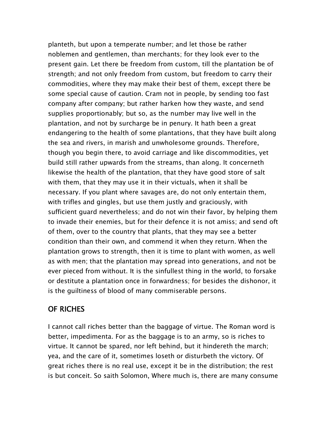planteth, but upon a temperate number; and let those be rather noblemen and gentlemen, than merchants; for they look ever to the present gain. Let there be freedom from custom, till the plantation be of strength; and not only freedom from custom, but freedom to carry their commodities, where they may make their best of them, except there be some special cause of caution. Cram not in people, by sending too fast company after company; but rather harken how they waste, and send supplies proportionably; but so, as the number may live well in the plantation, and not by surcharge be in penury. It hath been a great endangering to the health of some plantations, that they have built along the sea and rivers, in marish and unwholesome grounds. Therefore, though you begin there, to avoid carriage and like discommodities, yet build still rather upwards from the streams, than along. It concerneth likewise the health of the plantation, that they have good store of salt with them, that they may use it in their victuals, when it shall be necessary. If you plant where savages are, do not only entertain them, with trifles and gingles, but use them justly and graciously, with sufficient guard nevertheless; and do not win their favor, by helping them to invade their enemies, but for their defence it is not amiss; and send oft of them, over to the country that plants, that they may see a better condition than their own, and commend it when they return. When the plantation grows to strength, then it is time to plant with women, as well as with men; that the plantation may spread into generations, and not be ever pieced from without. It is the sinfullest thing in the world, to forsake or destitute a plantation once in forwardness; for besides the dishonor, it is the guiltiness of blood of many commiserable persons.

## OF RICHES

I cannot call riches better than the baggage of virtue. The Roman word is better, impedimenta. For as the baggage is to an army, so is riches to virtue. It cannot be spared, nor left behind, but it hindereth the march; yea, and the care of it, sometimes loseth or disturbeth the victory. Of great riches there is no real use, except it be in the distribution; the rest is but conceit. So saith Solomon, Where much is, there are many consume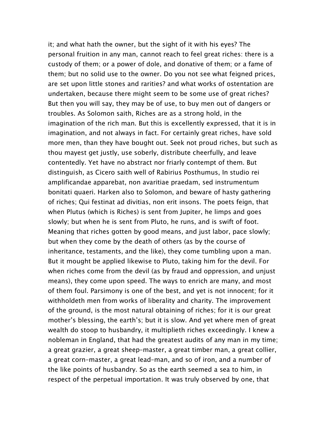it; and what hath the owner, but the sight of it with his eyes? The personal fruition in any man, cannot reach to feel great riches: there is a custody of them; or a power of dole, and donative of them; or a fame of them; but no solid use to the owner. Do you not see what feigned prices, are set upon little stones and rarities? and what works of ostentation are undertaken, because there might seem to be some use of great riches? But then you will say, they may be of use, to buy men out of dangers or troubles. As Solomon saith, Riches are as a strong hold, in the imagination of the rich man. But this is excellently expressed, that it is in imagination, and not always in fact. For certainly great riches, have sold more men, than they have bought out. Seek not proud riches, but such as thou mayest get justly, use soberly, distribute cheerfully, and leave contentedly. Yet have no abstract nor friarly contempt of them. But distinguish, as Cicero saith well of Rabirius Posthumus, In studio rei amplificandae apparebat, non avaritiae praedam, sed instrumentum bonitati quaeri. Harken also to Solomon, and beware of hasty gathering of riches; Qui festinat ad divitias, non erit insons. The poets feign, that when Plutus (which is Riches) is sent from Jupiter, he limps and goes slowly; but when he is sent from Pluto, he runs, and is swift of foot. Meaning that riches gotten by good means, and just labor, pace slowly; but when they come by the death of others (as by the course of inheritance, testaments, and the like), they come tumbling upon a man. But it mought be applied likewise to Pluto, taking him for the devil. For when riches come from the devil (as by fraud and oppression, and unjust means), they come upon speed. The ways to enrich are many, and most of them foul. Parsimony is one of the best, and yet is not innocent; for it withholdeth men from works of liberality and charity. The improvement of the ground, is the most natural obtaining of riches; for it is our great mother's blessing, the earth's; but it is slow. And yet where men of great wealth do stoop to husbandry, it multiplieth riches exceedingly. I knew a nobleman in England, that had the greatest audits of any man in my time; a great grazier, a great sheep–master, a great timber man, a great collier, a great corn–master, a great lead–man, and so of iron, and a number of the like points of husbandry. So as the earth seemed a sea to him, in respect of the perpetual importation. It was truly observed by one, that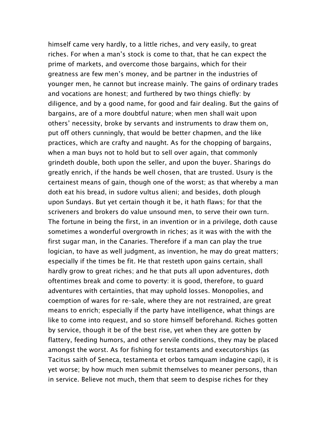himself came very hardly, to a little riches, and very easily, to great riches. For when a man's stock is come to that, that he can expect the prime of markets, and overcome those bargains, which for their greatness are few men's money, and be partner in the industries of younger men, he cannot but increase mainly. The gains of ordinary trades and vocations are honest; and furthered by two things chiefly: by diligence, and by a good name, for good and fair dealing. But the gains of bargains, are of a more doubtful nature; when men shall wait upon others' necessity, broke by servants and instruments to draw them on, put off others cunningly, that would be better chapmen, and the like practices, which are crafty and naught. As for the chopping of bargains, when a man buys not to hold but to sell over again, that commonly grindeth double, both upon the seller, and upon the buyer. Sharings do greatly enrich, if the hands be well chosen, that are trusted. Usury is the certainest means of gain, though one of the worst; as that whereby a man doth eat his bread, in sudore vultus alieni; and besides, doth plough upon Sundays. But yet certain though it be, it hath flaws; for that the scriveners and brokers do value unsound men, to serve their own turn. The fortune in being the first, in an invention or in a privilege, doth cause sometimes a wonderful overgrowth in riches; as it was with the with the first sugar man, in the Canaries. Therefore if a man can play the true logician, to have as well judgment, as invention, he may do great matters; especially if the times be fit. He that resteth upon gains certain, shall hardly grow to great riches; and he that puts all upon adventures, doth oftentimes break and come to poverty: it is good, therefore, to guard adventures with certainties, that may uphold losses. Monopolies, and coemption of wares for re–sale, where they are not restrained, are great means to enrich; especially if the party have intelligence, what things are like to come into request, and so store himself beforehand. Riches gotten by service, though it be of the best rise, yet when they are gotten by flattery, feeding humors, and other servile conditions, they may be placed amongst the worst. As for fishing for testaments and executorships (as Tacitus saith of Seneca, testamenta et orbos tamquam indagine capi), it is yet worse; by how much men submit themselves to meaner persons, than in service. Believe not much, them that seem to despise riches for they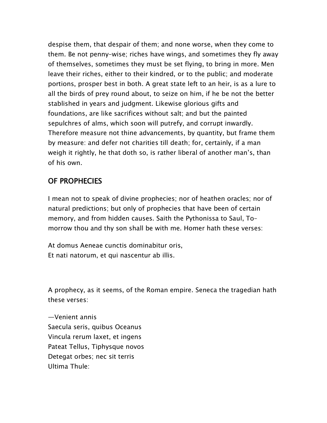despise them, that despair of them; and none worse, when they come to them. Be not penny–wise; riches have wings, and sometimes they fly away of themselves, sometimes they must be set flying, to bring in more. Men leave their riches, either to their kindred, or to the public; and moderate portions, prosper best in both. A great state left to an heir, is as a lure to all the birds of prey round about, to seize on him, if he be not the better stablished in years and judgment. Likewise glorious gifts and foundations, are like sacrifices without salt; and but the painted sepulchres of alms, which soon will putrefy, and corrupt inwardly. Therefore measure not thine advancements, by quantity, but frame them by measure: and defer not charities till death; for, certainly, if a man weigh it rightly, he that doth so, is rather liberal of another man's, than of his own.

## OF PROPHECIES

I mean not to speak of divine prophecies; nor of heathen oracles; nor of natural predictions; but only of prophecies that have been of certain memory, and from hidden causes. Saith the Pythonissa to Saul, To– morrow thou and thy son shall be with me. Homer hath these verses:

At domus Aeneae cunctis dominabitur oris, Et nati natorum, et qui nascentur ab illis.

A prophecy, as it seems, of the Roman empire. Seneca the tragedian hath these verses:

—Venient annis Saecula seris, quibus Oceanus Vincula rerum laxet, et ingens Pateat Tellus, Tiphysque novos Detegat orbes; nec sit terris Ultima Thule: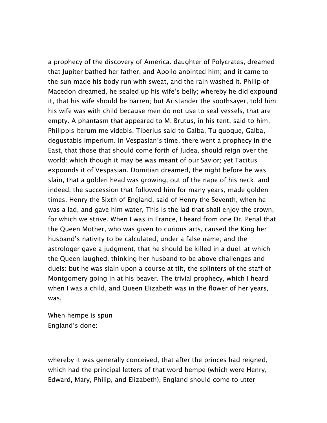a prophecy of the discovery of America. daughter of Polycrates, dreamed that Jupiter bathed her father, and Apollo anointed him; and it came to the sun made his body run with sweat, and the rain washed it. Philip of Macedon dreamed, he sealed up his wife's belly; whereby he did expound it, that his wife should be barren; but Aristander the soothsayer, told him his wife was with child because men do not use to seal vessels, that are empty. A phantasm that appeared to M. Brutus, in his tent, said to him, Philippis iterum me videbis. Tiberius said to Galba, Tu quoque, Galba, degustabis imperium. In Vespasian's time, there went a prophecy in the East, that those that should come forth of Judea, should reign over the world: which though it may be was meant of our Savior; yet Tacitus expounds it of Vespasian. Domitian dreamed, the night before he was slain, that a golden head was growing, out of the nape of his neck: and indeed, the succession that followed him for many years, made golden times. Henry the Sixth of England, said of Henry the Seventh, when he was a lad, and gave him water, This is the lad that shall enjoy the crown, for which we strive. When I was in France, I heard from one Dr. Penal that the Queen Mother, who was given to curious arts, caused the King her husband's nativity to be calculated, under a false name; and the astrologer gave a judgment, that he should be killed in a duel; at which the Queen laughed, thinking her husband to be above challenges and duels: but he was slain upon a course at tilt, the splinters of the staff of Montgomery going in at his beaver. The trivial prophecy, which I heard when I was a child, and Queen Elizabeth was in the flower of her years, was,

When hempe is spun England's done:

whereby it was generally conceived, that after the princes had reigned, which had the principal letters of that word hempe (which were Henry, Edward, Mary, Philip, and Elizabeth), England should come to utter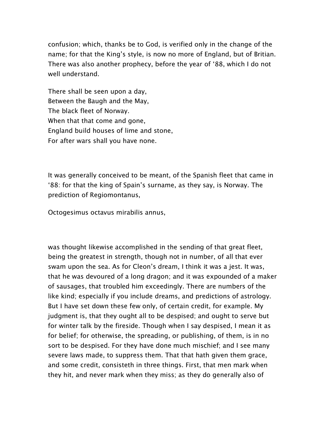confusion; which, thanks be to God, is verified only in the change of the name; for that the King's style, is now no more of England, but of Britian. There was also another prophecy, before the year of '88, which I do not well understand.

There shall be seen upon a day, Between the Baugh and the May, The black fleet of Norway. When that that come and gone, England build houses of lime and stone, For after wars shall you have none.

It was generally conceived to be meant, of the Spanish fleet that came in '88: for that the king of Spain's surname, as they say, is Norway. The prediction of Regiomontanus,

Octogesimus octavus mirabilis annus,

was thought likewise accomplished in the sending of that great fleet, being the greatest in strength, though not in number, of all that ever swam upon the sea. As for Cleon's dream, I think it was a jest. It was, that he was devoured of a long dragon; and it was expounded of a maker of sausages, that troubled him exceedingly. There are numbers of the like kind; especially if you include dreams, and predictions of astrology. But I have set down these few only, of certain credit, for example. My judgment is, that they ought all to be despised; and ought to serve but for winter talk by the fireside. Though when I say despised, I mean it as for belief; for otherwise, the spreading, or publishing, of them, is in no sort to be despised. For they have done much mischief; and I see many severe laws made, to suppress them. That that hath given them grace, and some credit, consisteth in three things. First, that men mark when they hit, and never mark when they miss; as they do generally also of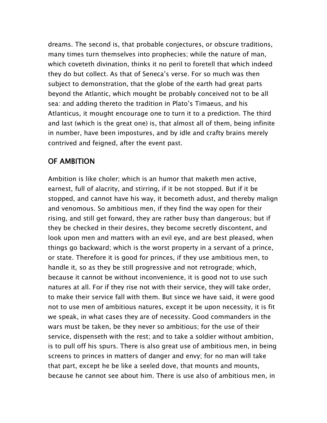dreams. The second is, that probable conjectures, or obscure traditions, many times turn themselves into prophecies; while the nature of man, which coveteth divination, thinks it no peril to foretell that which indeed they do but collect. As that of Seneca's verse. For so much was then subject to demonstration, that the globe of the earth had great parts beyond the Atlantic, which mought be probably conceived not to be all sea: and adding thereto the tradition in Plato's Timaeus, and his Atlanticus, it mought encourage one to turn it to a prediction. The third and last (which is the great one) is, that almost all of them, being infinite in number, have been impostures, and by idle and crafty brains merely contrived and feigned, after the event past.

# OF AMBITION

Ambition is like choler; which is an humor that maketh men active, earnest, full of alacrity, and stirring, if it be not stopped. But if it be stopped, and cannot have his way, it becometh adust, and thereby malign and venomous. So ambitious men, if they find the way open for their rising, and still get forward, they are rather busy than dangerous; but if they be checked in their desires, they become secretly discontent, and look upon men and matters with an evil eye, and are best pleased, when things go backward; which is the worst property in a servant of a prince, or state. Therefore it is good for princes, if they use ambitious men, to handle it, so as they be still progressive and not retrograde; which, because it cannot be without inconvenience, it is good not to use such natures at all. For if they rise not with their service, they will take order, to make their service fall with them. But since we have said, it were good not to use men of ambitious natures, except it be upon necessity, it is fit we speak, in what cases they are of necessity. Good commanders in the wars must be taken, be they never so ambitious; for the use of their service, dispenseth with the rest; and to take a soldier without ambition, is to pull off his spurs. There is also great use of ambitious men, in being screens to princes in matters of danger and envy; for no man will take that part, except he be like a seeled dove, that mounts and mounts, because he cannot see about him. There is use also of ambitious men, in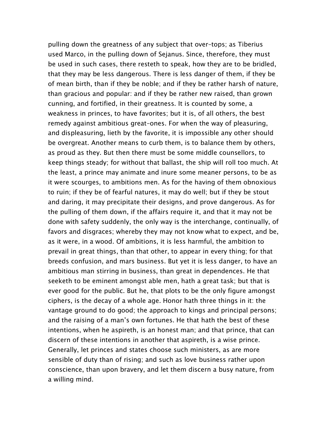pulling down the greatness of any subject that over–tops; as Tiberius used Marco, in the pulling down of Sejanus. Since, therefore, they must be used in such cases, there resteth to speak, how they are to be bridled, that they may be less dangerous. There is less danger of them, if they be of mean birth, than if they be noble; and if they be rather harsh of nature, than gracious and popular: and if they be rather new raised, than grown cunning, and fortified, in their greatness. It is counted by some, a weakness in princes, to have favorites; but it is, of all others, the best remedy against ambitious great–ones. For when the way of pleasuring, and displeasuring, lieth by the favorite, it is impossible any other should be overgreat. Another means to curb them, is to balance them by others, as proud as they. But then there must be some middle counsellors, to keep things steady; for without that ballast, the ship will roll too much. At the least, a prince may animate and inure some meaner persons, to be as it were scourges, to ambitions men. As for the having of them obnoxious to ruin; if they be of fearful natures, it may do well; but if they be stout and daring, it may precipitate their designs, and prove dangerous. As for the pulling of them down, if the affairs require it, and that it may not be done with safety suddenly, the only way is the interchange, continually, of favors and disgraces; whereby they may not know what to expect, and be, as it were, in a wood. Of ambitions, it is less harmful, the ambition to prevail in great things, than that other, to appear in every thing; for that breeds confusion, and mars business. But yet it is less danger, to have an ambitious man stirring in business, than great in dependences. He that seeketh to be eminent amongst able men, hath a great task; but that is ever good for the public. But he, that plots to be the only figure amongst ciphers, is the decay of a whole age. Honor hath three things in it: the vantage ground to do good; the approach to kings and principal persons; and the raising of a man's own fortunes. He that hath the best of these intentions, when he aspireth, is an honest man; and that prince, that can discern of these intentions in another that aspireth, is a wise prince. Generally, let princes and states choose such ministers, as are more sensible of duty than of rising; and such as love business rather upon conscience, than upon bravery, and let them discern a busy nature, from a willing mind.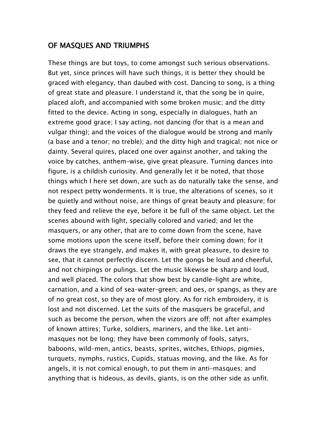#### OF MASQUES AND TRIUMPHS

These things are but toys, to come amongst such serious observations. But yet, since princes will have such things, it is better they should be graced with elegancy, than daubed with cost. Dancing to song, is a thing of great state and pleasure. I understand it, that the song be in quire, placed aloft, and accompanied with some broken music; and the ditty fitted to the device. Acting in song, especially in dialogues, hath an extreme good grace; I say acting, not dancing (for that is a mean and vulgar thing); and the voices of the dialogue would be strong and manly (a base and a tenor; no treble); and the ditty high and tragical; not nice or dainty. Several quires, placed one over against another, and taking the voice by catches, anthem–wise, give great pleasure. Turning dances into figure, is a childish curiosity. And generally let it be noted, that those things which I here set down, are such as do naturally take the sense, and not respect petty wonderments. It is true, the alterations of scenes, so it be quietly and without noise, are things of great beauty and pleasure; for they feed and relieve the eye, before it be full of the same object. Let the scenes abound with light, specially colored and varied; and let the masquers, or any other, that are to come down from the scene, have some motions upon the scene itself, before their coming down; for it draws the eye strangely, and makes it, with great pleasure, to desire to see, that it cannot perfectly discern. Let the gongs be loud and cheerful, and not chirpings or pulings. Let the music likewise be sharp and loud, and well placed. The colors that show best by candle–light are white, carnation, and a kind of sea–water–green; and oes, or spangs, as they are of no great cost, so they are of most glory. As for rich embroidery, it is lost and not discerned. Let the suits of the masquers be graceful, and such as become the person, when the vizors are off; not after examples of known attires; Turke, soldiers, mariners, and the like. Let anti– masques not be long; they have been commonly of fools, satyrs, baboons, wild–men, antics, beasts, sprites, witches, Ethiops, pigmies, turquets, nymphs, rustics, Cupids, statuas moving, and the like. As for angels, it is not comical enough, to put them in anti–masques; and anything that is hideous, as devils, giants, is on the other side as unfit.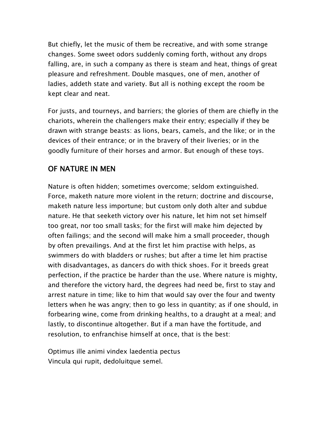But chiefly, let the music of them be recreative, and with some strange changes. Some sweet odors suddenly coming forth, without any drops falling, are, in such a company as there is steam and heat, things of great pleasure and refreshment. Double masques, one of men, another of ladies, addeth state and variety. But all is nothing except the room be kept clear and neat.

For justs, and tourneys, and barriers; the glories of them are chiefly in the chariots, wherein the challengers make their entry; especially if they be drawn with strange beasts: as lions, bears, camels, and the like; or in the devices of their entrance; or in the bravery of their liveries; or in the goodly furniture of their horses and armor. But enough of these toys.

#### OF NATURE IN MEN

Nature is often hidden; sometimes overcome; seldom extinguished. Force, maketh nature more violent in the return; doctrine and discourse, maketh nature less importune; but custom only doth alter and subdue nature. He that seeketh victory over his nature, let him not set himself too great, nor too small tasks; for the first will make him dejected by often failings; and the second will make him a small proceeder, though by often prevailings. And at the first let him practise with helps, as swimmers do with bladders or rushes; but after a time let him practise with disadvantages, as dancers do with thick shoes. For it breeds great perfection, if the practice be harder than the use. Where nature is mighty, and therefore the victory hard, the degrees had need be, first to stay and arrest nature in time; like to him that would say over the four and twenty letters when he was angry; then to go less in quantity; as if one should, in forbearing wine, come from drinking healths, to a draught at a meal; and lastly, to discontinue altogether. But if a man have the fortitude, and resolution, to enfranchise himself at once, that is the best:

Optimus ille animi vindex laedentia pectus Vincula qui rupit, dedoluitque semel.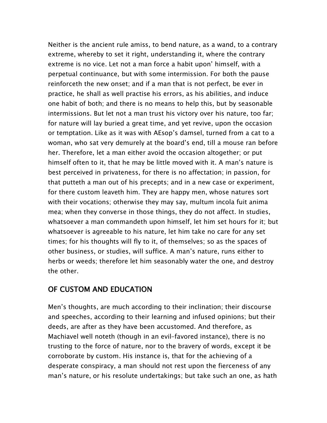Neither is the ancient rule amiss, to bend nature, as a wand, to a contrary extreme, whereby to set it right, understanding it, where the contrary extreme is no vice. Let not a man force a habit upon' himself, with a perpetual continuance, but with some intermission. For both the pause reinforceth the new onset; and if a man that is not perfect, be ever in practice, he shall as well practise his errors, as his abilities, and induce one habit of both; and there is no means to help this, but by seasonable intermissions. But let not a man trust his victory over his nature, too far; for nature will lay buried a great time, and yet revive, upon the occasion or temptation. Like as it was with AEsop's damsel, turned from a cat to a woman, who sat very demurely at the board's end, till a mouse ran before her. Therefore, let a man either avoid the occasion altogether; or put himself often to it, that he may be little moved with it. A man's nature is best perceived in privateness, for there is no affectation; in passion, for that putteth a man out of his precepts; and in a new case or experiment, for there custom leaveth him. They are happy men, whose natures sort with their vocations; otherwise they may say, multum incola fuit anima mea; when they converse in those things, they do not affect. In studies, whatsoever a man commandeth upon himself, let him set hours for it; but whatsoever is agreeable to his nature, let him take no care for any set times; for his thoughts will fly to it, of themselves; so as the spaces of other business, or studies, will suffice. A man's nature, runs either to herbs or weeds; therefore let him seasonably water the one, and destroy the other.

## OF CUSTOM AND EDUCATION

Men's thoughts, are much according to their inclination; their discourse and speeches, according to their learning and infused opinions; but their deeds, are after as they have been accustomed. And therefore, as Machiavel well noteth (though in an evil–favored instance), there is no trusting to the force of nature, nor to the bravery of words, except it be corroborate by custom. His instance is, that for the achieving of a desperate conspiracy, a man should not rest upon the fierceness of any man's nature, or his resolute undertakings; but take such an one, as hath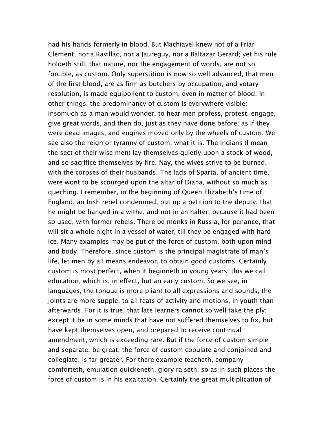had his hands formerly in blood. But Machiavel knew not of a Friar Clement, nor a Ravillac, nor a Jaureguy, nor a Baltazar Gerard; yet his rule holdeth still, that nature, nor the engagement of words, are not so forcible, as custom. Only superstition is now so well advanced, that men of the first blood, are as firm as butchers by occupation; and votary resolution, is made equipollent to custom, even in matter of blood. In other things, the predominancy of custom is everywhere visible; insomuch as a man would wonder, to hear men profess, protest, engage, give great words, and then do, just as they have done before; as if they were dead images, and engines moved only by the wheels of custom. We see also the reign or tyranny of custom, what it is. The Indians (I mean the sect of their wise men) lay themselves quietly upon a stock of wood, and so sacrifice themselves by fire. Nay, the wives strive to be burned, with the corpses of their husbands. The lads of Sparta, of ancient time, were wont to be scourged upon the altar of Diana, without so much as queching. I remember, in the beginning of Queen Elizabeth's time of England, an Irish rebel condemned, put up a petition to the deputy, that he might be hanged in a withe, and not in an halter; because it had been so used, with former rebels. There be monks in Russia, for penance, that will sit a whole night in a vessel of water, till they be engaged with hard ice. Many examples may be put of the force of custom, both upon mind and body. Therefore, since custom is the principal magistrate of man's life, let men by all means endeavor, to obtain good customs. Certainly custom is most perfect, when it beginneth in young years: this we call education; which is, in effect, but an early custom. So we see, in languages, the tongue is more pliant to all expressions and sounds, the joints are more supple, to all feats of activity and motions, in youth than afterwards. For it is true, that late learners cannot so well take the ply; except it be in some minds that have not suffered themselves to fix, but have kept themselves open, and prepared to receive continual amendment, which is exceeding rare. But if the force of custom simple and separate, be great, the force of custom copulate and conjoined and collegiate, is far greater. For there example teacheth, company comforteth, emulation quickeneth, glory raiseth: so as in such places the force of custom is in his exaltation. Certainly the great multiplication of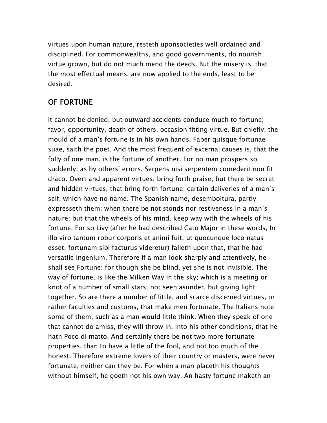virtues upon human nature, resteth uponsocieties well ordained and disciplined. For commonwealths, and good governments, do nourish virtue grown, but do not much mend the deeds. But the misery is, that the most effectual means, are now applied to the ends, least to be desired.

## OF FORTUNE

It cannot be denied, but outward accidents conduce much to fortune; favor, opportunity, death of others, occasion fitting virtue. But chiefly, the mould of a man's fortune is in his own hands. Faber quisque fortunae suae, saith the poet. And the most frequent of external causes is, that the folly of one man, is the fortune of another. For no man prospers so suddenly, as by others' errors. Serpens nisi serpentem comederit non fit draco. Overt and apparent virtues, bring forth praise; but there be secret and hidden virtues, that bring forth fortune; certain deliveries of a man's self, which have no name. The Spanish name, desemboltura, partly expresseth them; when there be not stonds nor restiveness in a man's nature; but that the wheels of his mind, keep way with the wheels of his fortune. For so Livy (after he had described Cato Major in these words, In illo viro tantum robur corporis et animi fuit, ut quocunque loco natus esset, fortunam sibi facturus videretur) falleth upon that, that he had versatile ingenium. Therefore if a man look sharply and attentively, he shall see Fortune: for though she be blind, yet she is not invisible. The way of fortune, is like the Milken Way in the sky; which is a meeting or knot of a number of small stars; not seen asunder, but giving light together. So are there a number of little, and scarce discerned virtues, or rather faculties and customs, that make men fortunate. The Italians note some of them, such as a man would little think. When they speak of one that cannot do amiss, they will throw in, into his other conditions, that he hath Poco di matto. And certainly there be not two more fortunate properties, than to have a little of the fool, and not too much of the honest. Therefore extreme lovers of their country or masters, were never fortunate, neither can they be. For when a man placeth his thoughts without himself, he goeth not his own way. An hasty fortune maketh an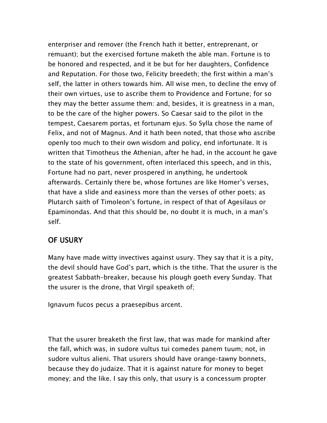enterpriser and remover (the French hath it better, entreprenant, or remuant); but the exercised fortune maketh the able man. Fortune is to be honored and respected, and it be but for her daughters, Confidence and Reputation. For those two, Felicity breedeth; the first within a man's self, the latter in others towards him. All wise men, to decline the envy of their own virtues, use to ascribe them to Providence and Fortune; for so they may the better assume them: and, besides, it is greatness in a man, to be the care of the higher powers. So Caesar said to the pilot in the tempest, Caesarem portas, et fortunam ejus. So Sylla chose the name of Felix, and not of Magnus. And it hath been noted, that those who ascribe openly too much to their own wisdom and policy, end infortunate. It is written that Timotheus the Athenian, after he had, in the account he gave to the state of his government, often interlaced this speech, and in this, Fortune had no part, never prospered in anything, he undertook afterwards. Certainly there be, whose fortunes are like Homer's verses, that have a slide and easiness more than the verses of other poets; as Plutarch saith of Timoleon's fortune, in respect of that of Agesilaus or Epaminondas. And that this should be, no doubt it is much, in a man's self.

#### OF USURY

Many have made witty invectives against usury. They say that it is a pity, the devil should have God's part, which is the tithe. That the usurer is the greatest Sabbath–breaker, because his plough goeth every Sunday. That the usurer is the drone, that Virgil speaketh of;

Ignavum fucos pecus a praesepibus arcent.

That the usurer breaketh the first law, that was made for mankind after the fall, which was, in sudore vultus tui comedes panem tuum; not, in sudore vultus alieni. That usurers should have orange–tawny bonnets, because they do judaize. That it is against nature for money to beget money; and the like. I say this only, that usury is a concessum propter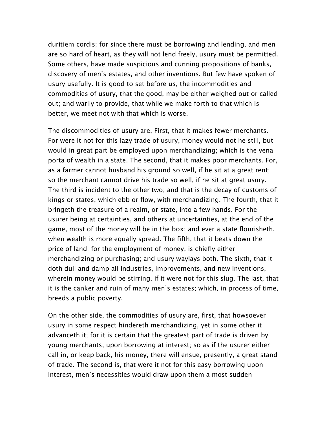duritiem cordis; for since there must be borrowing and lending, and men are so hard of heart, as they will not lend freely, usury must be permitted. Some others, have made suspicious and cunning propositions of banks, discovery of men's estates, and other inventions. But few have spoken of usury usefully. It is good to set before us, the incommodities and commodities of usury, that the good, may be either weighed out or called out; and warily to provide, that while we make forth to that which is better, we meet not with that which is worse.

The discommodities of usury are, First, that it makes fewer merchants. For were it not for this lazy trade of usury, money would not he still, but would in great part be employed upon merchandizing; which is the vena porta of wealth in a state. The second, that it makes poor merchants. For, as a farmer cannot husband his ground so well, if he sit at a great rent; so the merchant cannot drive his trade so well, if he sit at great usury. The third is incident to the other two; and that is the decay of customs of kings or states, which ebb or flow, with merchandizing. The fourth, that it bringeth the treasure of a realm, or state, into a few hands. For the usurer being at certainties, and others at uncertainties, at the end of the game, most of the money will be in the box; and ever a state flourisheth, when wealth is more equally spread. The fifth, that it beats down the price of land; for the employment of money, is chiefly either merchandizing or purchasing; and usury waylays both. The sixth, that it doth dull and damp all industries, improvements, and new inventions, wherein money would be stirring, if it were not for this slug. The last, that it is the canker and ruin of many men's estates; which, in process of time, breeds a public poverty.

On the other side, the commodities of usury are, first, that howsoever usury in some respect hindereth merchandizing, yet in some other it advanceth it; for it is certain that the greatest part of trade is driven by young merchants, upon borrowing at interest; so as if the usurer either call in, or keep back, his money, there will ensue, presently, a great stand of trade. The second is, that were it not for this easy borrowing upon interest, men's necessities would draw upon them a most sudden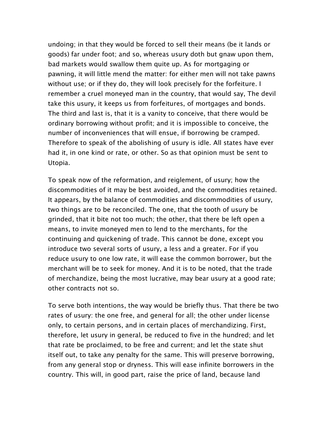undoing; in that they would be forced to sell their means (be it lands or goods) far under foot; and so, whereas usury doth but gnaw upon them, bad markets would swallow them quite up. As for mortgaging or pawning, it will little mend the matter: for either men will not take pawns without use; or if they do, they will look precisely for the forfeiture. I remember a cruel moneyed man in the country, that would say, The devil take this usury, it keeps us from forfeitures, of mortgages and bonds. The third and last is, that it is a vanity to conceive, that there would be ordinary borrowing without profit; and it is impossible to conceive, the number of inconveniences that will ensue, if borrowing be cramped. Therefore to speak of the abolishing of usury is idle. All states have ever had it, in one kind or rate, or other. So as that opinion must be sent to Utopia.

To speak now of the reformation, and reiglement, of usury; how the discommodities of it may be best avoided, and the commodities retained. It appears, by the balance of commodities and discommodities of usury, two things are to be reconciled. The one, that the tooth of usury be grinded, that it bite not too much; the other, that there be left open a means, to invite moneyed men to lend to the merchants, for the continuing and quickening of trade. This cannot be done, except you introduce two several sorts of usury, a less and a greater. For if you reduce usury to one low rate, it will ease the common borrower, but the merchant will be to seek for money. And it is to be noted, that the trade of merchandize, being the most lucrative, may bear usury at a good rate; other contracts not so.

To serve both intentions, the way would be briefly thus. That there be two rates of usury: the one free, and general for all; the other under license only, to certain persons, and in certain places of merchandizing. First, therefore, let usury in general, be reduced to five in the hundred; and let that rate be proclaimed, to be free and current; and let the state shut itself out, to take any penalty for the same. This will preserve borrowing, from any general stop or dryness. This will ease infinite borrowers in the country. This will, in good part, raise the price of land, because land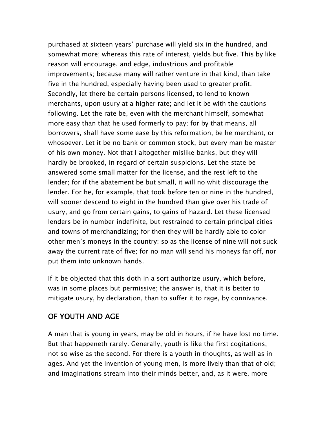purchased at sixteen years' purchase will yield six in the hundred, and somewhat more; whereas this rate of interest, yields but five. This by like reason will encourage, and edge, industrious and profitable improvements; because many will rather venture in that kind, than take five in the hundred, especially having been used to greater profit. Secondly, let there be certain persons licensed, to lend to known merchants, upon usury at a higher rate; and let it be with the cautions following. Let the rate be, even with the merchant himself, somewhat more easy than that he used formerly to pay; for by that means, all borrowers, shall have some ease by this reformation, be he merchant, or whosoever. Let it be no bank or common stock, but every man be master of his own money. Not that I altogether mislike banks, but they will hardly be brooked, in regard of certain suspicions. Let the state be answered some small matter for the license, and the rest left to the lender; for if the abatement be but small, it will no whit discourage the lender. For he, for example, that took before ten or nine in the hundred, will sooner descend to eight in the hundred than give over his trade of usury, and go from certain gains, to gains of hazard. Let these licensed lenders be in number indefinite, but restrained to certain principal cities and towns of merchandizing; for then they will be hardly able to color other men's moneys in the country: so as the license of nine will not suck away the current rate of five; for no man will send his moneys far off, nor put them into unknown hands.

If it be objected that this doth in a sort authorize usury, which before, was in some places but permissive; the answer is, that it is better to mitigate usury, by declaration, than to suffer it to rage, by connivance.

## OF YOUTH AND AGE

A man that is young in years, may be old in hours, if he have lost no time. But that happeneth rarely. Generally, youth is like the first cogitations, not so wise as the second. For there is a youth in thoughts, as well as in ages. And yet the invention of young men, is more lively than that of old; and imaginations stream into their minds better, and, as it were, more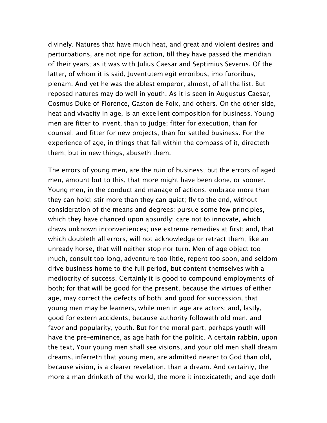divinely. Natures that have much heat, and great and violent desires and perturbations, are not ripe for action, till they have passed the meridian of their years; as it was with Julius Caesar and Septimius Severus. Of the latter, of whom it is said, Juventutem egit erroribus, imo furoribus, plenam. And yet he was the ablest emperor, almost, of all the list. But reposed natures may do well in youth. As it is seen in Augustus Caesar, Cosmus Duke of Florence, Gaston de Foix, and others. On the other side, heat and vivacity in age, is an excellent composition for business. Young men are fitter to invent, than to judge; fitter for execution, than for counsel; and fitter for new projects, than for settled business. For the experience of age, in things that fall within the compass of it, directeth them; but in new things, abuseth them.

The errors of young men, are the ruin of business; but the errors of aged men, amount but to this, that more might have been done, or sooner. Young men, in the conduct and manage of actions, embrace more than they can hold; stir more than they can quiet; fly to the end, without consideration of the means and degrees; pursue some few principles, which they have chanced upon absurdly; care not to innovate, which draws unknown inconveniences; use extreme remedies at first; and, that which doubleth all errors, will not acknowledge or retract them; like an unready horse, that will neither stop nor turn. Men of age object too much, consult too long, adventure too little, repent too soon, and seldom drive business home to the full period, but content themselves with a mediocrity of success. Certainly it is good to compound employments of both; for that will be good for the present, because the virtues of either age, may correct the defects of both; and good for succession, that young men may be learners, while men in age are actors; and, lastly, good for extern accidents, because authority followeth old men, and favor and popularity, youth. But for the moral part, perhaps youth will have the pre–eminence, as age hath for the politic. A certain rabbin, upon the text, Your young men shall see visions, and your old men shall dream dreams, inferreth that young men, are admitted nearer to God than old, because vision, is a clearer revelation, than a dream. And certainly, the more a man drinketh of the world, the more it intoxicateth; and age doth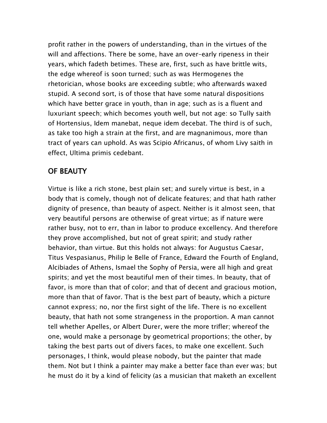profit rather in the powers of understanding, than in the virtues of the will and affections. There be some, have an over–early ripeness in their years, which fadeth betimes. These are, first, such as have brittle wits, the edge whereof is soon turned; such as was Hermogenes the rhetorician, whose books are exceeding subtle; who afterwards waxed stupid. A second sort, is of those that have some natural dispositions which have better grace in youth, than in age; such as is a fluent and luxuriant speech; which becomes youth well, but not age: so Tully saith of Hortensius, Idem manebat, neque idem decebat. The third is of such, as take too high a strain at the first, and are magnanimous, more than tract of years can uphold. As was Scipio Africanus, of whom Livy saith in effect, Ultima primis cedebant.

## OF BEAUTY

Virtue is like a rich stone, best plain set; and surely virtue is best, in a body that is comely, though not of delicate features; and that hath rather dignity of presence, than beauty of aspect. Neither is it almost seen, that very beautiful persons are otherwise of great virtue; as if nature were rather busy, not to err, than in labor to produce excellency. And therefore they prove accomplished, but not of great spirit; and study rather behavior, than virtue. But this holds not always: for Augustus Caesar, Titus Vespasianus, Philip le Belle of France, Edward the Fourth of England, Alcibiades of Athens, Ismael the Sophy of Persia, were all high and great spirits; and yet the most beautiful men of their times. In beauty, that of favor, is more than that of color; and that of decent and gracious motion, more than that of favor. That is the best part of beauty, which a picture cannot express; no, nor the first sight of the life. There is no excellent beauty, that hath not some strangeness in the proportion. A man cannot tell whether Apelles, or Albert Durer, were the more trifler; whereof the one, would make a personage by geometrical proportions; the other, by taking the best parts out of divers faces, to make one excellent. Such personages, I think, would please nobody, but the painter that made them. Not but I think a painter may make a better face than ever was; but he must do it by a kind of felicity (as a musician that maketh an excellent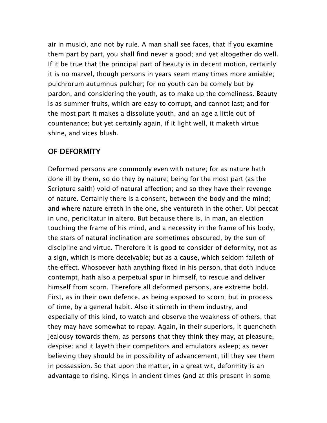air in music), and not by rule. A man shall see faces, that if you examine them part by part, you shall find never a good; and yet altogether do well. If it be true that the principal part of beauty is in decent motion, certainly it is no marvel, though persons in years seem many times more amiable; pulchrorum autumnus pulcher; for no youth can be comely but by pardon, and considering the youth, as to make up the comeliness. Beauty is as summer fruits, which are easy to corrupt, and cannot last; and for the most part it makes a dissolute youth, and an age a little out of countenance; but yet certainly again, if it light well, it maketh virtue shine, and vices blush.

## OF DEFORMITY

Deformed persons are commonly even with nature; for as nature hath done ill by them, so do they by nature; being for the most part (as the Scripture saith) void of natural affection; and so they have their revenge of nature. Certainly there is a consent, between the body and the mind; and where nature erreth in the one, she ventureth in the other. Ubi peccat in uno, periclitatur in altero. But because there is, in man, an election touching the frame of his mind, and a necessity in the frame of his body, the stars of natural inclination are sometimes obscured, by the sun of discipline and virtue. Therefore it is good to consider of deformity, not as a sign, which is more deceivable; but as a cause, which seldom faileth of the effect. Whosoever hath anything fixed in his person, that doth induce contempt, hath also a perpetual spur in himself, to rescue and deliver himself from scorn. Therefore all deformed persons, are extreme bold. First, as in their own defence, as being exposed to scorn; but in process of time, by a general habit. Also it stirreth in them industry, and especially of this kind, to watch and observe the weakness of others, that they may have somewhat to repay. Again, in their superiors, it quencheth jealousy towards them, as persons that they think they may, at pleasure, despise: and it layeth their competitors and emulators asleep; as never believing they should be in possibility of advancement, till they see them in possession. So that upon the matter, in a great wit, deformity is an advantage to rising. Kings in ancient times (and at this present in some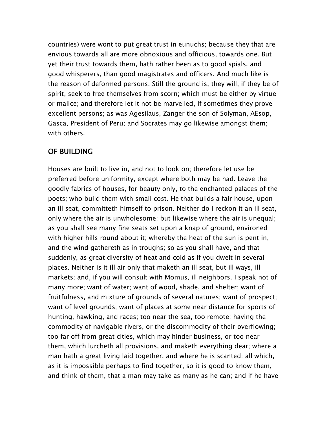countries) were wont to put great trust in eunuchs; because they that are envious towards all are more obnoxious and officious, towards one. But yet their trust towards them, hath rather been as to good spials, and good whisperers, than good magistrates and officers. And much like is the reason of deformed persons. Still the ground is, they will, if they be of spirit, seek to free themselves from scorn; which must be either by virtue or malice; and therefore let it not be marvelled, if sometimes they prove excellent persons; as was Agesilaus, Zanger the son of Solyman, AEsop, Gasca, President of Peru; and Socrates may go likewise amongst them; with others.

## OF BUILDING

Houses are built to live in, and not to look on; therefore let use be preferred before uniformity, except where both may be had. Leave the goodly fabrics of houses, for beauty only, to the enchanted palaces of the poets; who build them with small cost. He that builds a fair house, upon an ill seat, committeth himself to prison. Neither do I reckon it an ill seat, only where the air is unwholesome; but likewise where the air is unequal; as you shall see many fine seats set upon a knap of ground, environed with higher hills round about it; whereby the heat of the sun is pent in, and the wind gathereth as in troughs; so as you shall have, and that suddenly, as great diversity of heat and cold as if you dwelt in several places. Neither is it ill air only that maketh an ill seat, but ill ways, ill markets; and, if you will consult with Momus, ill neighbors. I speak not of many more; want of water; want of wood, shade, and shelter; want of fruitfulness, and mixture of grounds of several natures; want of prospect; want of level grounds; want of places at some near distance for sports of hunting, hawking, and races; too near the sea, too remote; having the commodity of navigable rivers, or the discommodity of their overflowing; too far off from great cities, which may hinder business, or too near them, which lurcheth all provisions, and maketh everything dear; where a man hath a great living laid together, and where he is scanted: all which, as it is impossible perhaps to find together, so it is good to know them, and think of them, that a man may take as many as he can; and if he have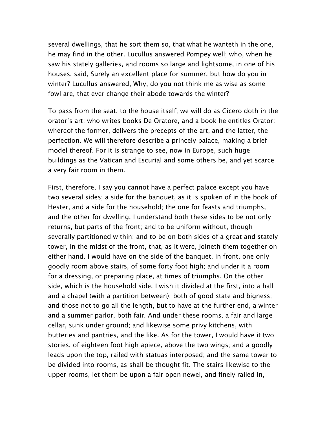several dwellings, that he sort them so, that what he wanteth in the one, he may find in the other. Lucullus answered Pompey well; who, when he saw his stately galleries, and rooms so large and lightsome, in one of his houses, said, Surely an excellent place for summer, but how do you in winter? Lucullus answered, Why, do you not think me as wise as some fowl are, that ever change their abode towards the winter?

To pass from the seat, to the house itself; we will do as Cicero doth in the orator's art; who writes books De Oratore, and a book he entitles Orator; whereof the former, delivers the precepts of the art, and the latter, the perfection. We will therefore describe a princely palace, making a brief model thereof. For it is strange to see, now in Europe, such huge buildings as the Vatican and Escurial and some others be, and yet scarce a very fair room in them.

First, therefore, I say you cannot have a perfect palace except you have two several sides; a side for the banquet, as it is spoken of in the book of Hester, and a side for the household; the one for feasts and triumphs, and the other for dwelling. I understand both these sides to be not only returns, but parts of the front; and to be uniform without, though severally partitioned within; and to be on both sides of a great and stately tower, in the midst of the front, that, as it were, joineth them together on either hand. I would have on the side of the banquet, in front, one only goodly room above stairs, of some forty foot high; and under it a room for a dressing, or preparing place, at times of triumphs. On the other side, which is the household side, I wish it divided at the first, into a hall and a chapel (with a partition between); both of good state and bigness; and those not to go all the length, but to have at the further end, a winter and a summer parlor, both fair. And under these rooms, a fair and large cellar, sunk under ground; and likewise some privy kitchens, with butteries and pantries, and the like. As for the tower, I would have it two stories, of eighteen foot high apiece, above the two wings; and a goodly leads upon the top, railed with statuas interposed; and the same tower to be divided into rooms, as shall be thought fit. The stairs likewise to the upper rooms, let them be upon a fair open newel, and finely railed in,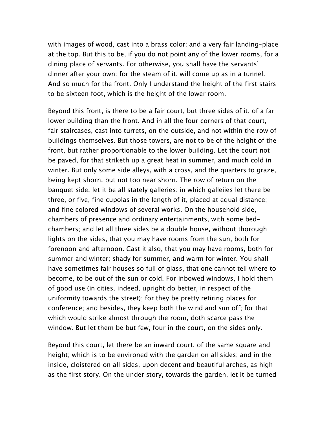with images of wood, cast into a brass color; and a very fair landing–place at the top. But this to be, if you do not point any of the lower rooms, for a dining place of servants. For otherwise, you shall have the servants' dinner after your own: for the steam of it, will come up as in a tunnel. And so much for the front. Only I understand the height of the first stairs to be sixteen foot, which is the height of the lower room.

Beyond this front, is there to be a fair court, but three sides of it, of a far lower building than the front. And in all the four corners of that court, fair staircases, cast into turrets, on the outside, and not within the row of buildings themselves. But those towers, are not to be of the height of the front, but rather proportionable to the lower building. Let the court not be paved, for that striketh up a great heat in summer, and much cold in winter. But only some side alleys, with a cross, and the quarters to graze, being kept shorn, but not too near shorn. The row of return on the banquet side, let it be all stately galleries: in which galleiies let there be three, or five, fine cupolas in the length of it, placed at equal distance; and fine colored windows of several works. On the household side, chambers of presence and ordinary entertainments, with some bed– chambers; and let all three sides be a double house, without thorough lights on the sides, that you may have rooms from the sun, both for forenoon and afternoon. Cast it also, that you may have rooms, both for summer and winter; shady for summer, and warm for winter. You shall have sometimes fair houses so full of glass, that one cannot tell where to become, to be out of the sun or cold. For inbowed windows, I hold them of good use (in cities, indeed, upright do better, in respect of the uniformity towards the street); for they be pretty retiring places for conference; and besides, they keep both the wind and sun off; for that which would strike almost through the room, doth scarce pass the window. But let them be but few, four in the court, on the sides only.

Beyond this court, let there be an inward court, of the same square and height; which is to be environed with the garden on all sides; and in the inside, cloistered on all sides, upon decent and beautiful arches, as high as the first story. On the under story, towards the garden, let it be turned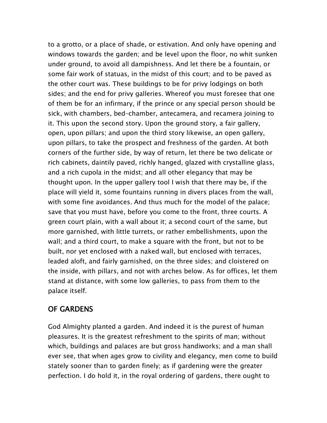to a grotto, or a place of shade, or estivation. And only have opening and windows towards the garden; and be level upon the floor, no whit sunken under ground, to avoid all dampishness. And let there be a fountain, or some fair work of statuas, in the midst of this court; and to be paved as the other court was. These buildings to be for privy lodgings on both sides; and the end for privy galleries. Whereof you must foresee that one of them be for an infirmary, if the prince or any special person should be sick, with chambers, bed–chamber, antecamera, and recamera joining to it. This upon the second story. Upon the ground story, a fair gallery, open, upon pillars; and upon the third story likewise, an open gallery, upon pillars, to take the prospect and freshness of the garden. At both corners of the further side, by way of return, let there be two delicate or rich cabinets, daintily paved, richly hanged, glazed with crystalline glass, and a rich cupola in the midst; and all other elegancy that may be thought upon. In the upper gallery tool I wish that there may be, if the place will yield it, some fountains running in divers places from the wall, with some fine avoidances. And thus much for the model of the palace; save that you must have, before you come to the front, three courts. A green court plain, with a wall about it; a second court of the same, but more garnished, with little turrets, or rather embellishments, upon the wall; and a third court, to make a square with the front, but not to be built, nor yet enclosed with a naked wall, but enclosed with terraces, leaded aloft, and fairly garnished, on the three sides; and cloistered on the inside, with pillars, and not with arches below. As for offices, let them stand at distance, with some low galleries, to pass from them to the palace itself.

## OF GARDENS

God Almighty planted a garden. And indeed it is the purest of human pleasures. It is the greatest refreshment to the spirits of man; without which, buildings and palaces are but gross handiworks; and a man shall ever see, that when ages grow to civility and elegancy, men come to build stately sooner than to garden finely; as if gardening were the greater perfection. I do hold it, in the royal ordering of gardens, there ought to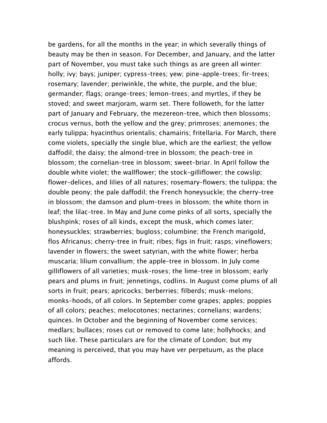be gardens, for all the months in the year; in which severally things of beauty may be then in season. For December, and January, and the latter part of November, you must take such things as are green all winter: holly; ivy; bays; juniper; cypress–trees; yew; pine–apple–trees; fir–trees; rosemary; lavender; periwinkle, the white, the purple, and the blue; germander; flags; orange–trees; lemon–trees; and myrtles, if they be stoved; and sweet marjoram, warm set. There followeth, for the latter part of January and February, the mezereon–tree, which then blossoms; crocus vernus, both the yellow and the grey; primroses; anemones; the early tulippa; hyacinthus orientalis; chamairis; fritellaria. For March, there come violets, specially the single blue, which are the earliest; the yellow daffodil; the daisy; the almond–tree in blossom; the peach–tree in blossom; the cornelian–tree in blossom; sweet–briar. In April follow the double white violet; the wallflower; the stock–gilliflower; the cowslip; flower–delices, and lilies of all natures; rosemary–flowers; the tulippa; the double peony; the pale daffodil; the French honeysuckle; the cherry–tree in blossom; the damson and plum–trees in blossom; the white thorn in leaf; the lilac–tree. In May and June come pinks of all sorts, specially the blushpink; roses of all kinds, except the musk, which comes later; honeysuckles; strawberries; bugloss; columbine; the French marigold, flos Africanus; cherry–tree in fruit; ribes; figs in fruit; rasps; vineflowers; lavender in flowers; the sweet satyrian, with the white flower; herba muscaria; lilium convallium; the apple–tree in blossom. In July come gilliflowers of all varieties; musk–roses; the lime–tree in blossom; early pears and plums in fruit; jennetings, codlins. In August come plums of all sorts in fruit; pears; apricocks; berberries; filberds; musk–melons; monks–hoods, of all colors. In September come grapes; apples; poppies of all colors; peaches; melocotones; nectarines; cornelians; wardens; quinces. In October and the beginning of November come services; medlars; bullaces; roses cut or removed to come late; hollyhocks; and such like. These particulars are for the climate of London; but my meaning is perceived, that you may have ver perpetuum, as the place affords.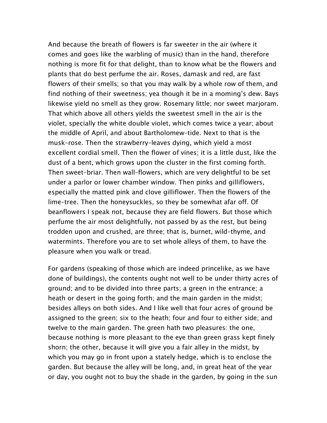And because the breath of flowers is far sweeter in the air (where it comes and goes like the warbling of music) than in the hand, therefore nothing is more fit for that delight, than to know what be the flowers and plants that do best perfume the air. Roses, damask and red, are fast flowers of their smells; so that you may walk by a whole row of them, and find nothing of their sweetness; yea though it be in a moming's dew. Bays likewise yield no smell as they grow. Rosemary little; nor sweet marjoram. That which above all others yields the sweetest smell in the air is the violet, specially the white double violet, which comes twice a year; about the middle of April, and about Bartholomew–tide. Next to that is the musk–rose. Then the strawberry–leaves dying, which yield a most excellent cordial smell. Then the flower of vines; it is a little dust, like the dust of a bent, which grows upon the cluster in the first coming forth. Then sweet–briar. Then wall–flowers, which are very delightful to be set under a parlor or lower chamber window. Then pinks and gilliflowers, especially the matted pink and clove gilliflower. Then the flowers of the lime–tree. Then the honeysuckles, so they be somewhat afar off. Of beanflowers I speak not, because they are field flowers. But those which perfume the air most delightfully, not passed by as the rest, but being trodden upon and crushed, are three; that is, burnet, wild–thyme, and watermints. Therefore you are to set whole alleys of them, to have the pleasure when you walk or tread.

For gardens (speaking of those which are indeed princelike, as we have done of buildings), the contents ought not well to be under thirty acres of ground; and to be divided into three parts; a green in the entrance; a heath or desert in the going forth; and the main garden in the midst; besides alleys on both sides. And I like well that four acres of ground be assigned to the green; six to the heath; four and four to either side; and twelve to the main garden. The green hath two pleasures: the one, because nothing is more pleasant to the eye than green grass kept finely shorn; the other, because it will give you a fair alley in the midst, by which you may go in front upon a stately hedge, which is to enclose the garden. But because the alley will be long, and, in great heat of the year or day, you ought not to buy the shade in the garden, by going in the sun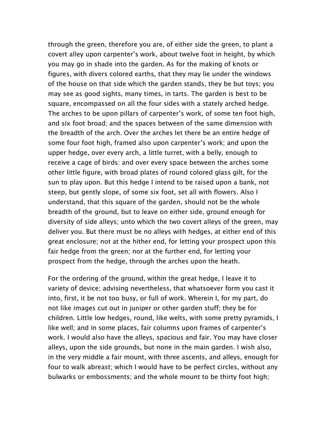through the green, therefore you are, of either side the green, to plant a covert alley upon carpenter's work, about twelve foot in height, by which you may go in shade into the garden. As for the making of knots or figures, with divers colored earths, that they may lie under the windows of the house on that side which the garden stands, they be but toys; you may see as good sights, many times, in tarts. The garden is best to be square, encompassed on all the four sides with a stately arched hedge. The arches to be upon pillars of carpenter's work, of some ten foot high, and six foot broad; and the spaces between of the same dimension with the breadth of the arch. Over the arches let there be an entire hedge of some four foot high, framed also upon carpenter's work; and upon the upper hedge, over every arch, a little turret, with a belly, enough to receive a cage of birds: and over every space between the arches some other little figure, with broad plates of round colored glass gilt, for the sun to play upon. But this hedge I intend to be raised upon a bank, not steep, but gently slope, of some six foot, set all with flowers. Also I understand, that this square of the garden, should not be the whole breadth of the ground, but to leave on either side, ground enough for diversity of side alleys; unto which the two covert alleys of the green, may deliver you. But there must be no alleys with hedges, at either end of this great enclosure; not at the hither end, for letting your prospect upon this fair hedge from the green; nor at the further end, for letting your prospect from the hedge, through the arches upon the heath.

For the ordering of the ground, within the great hedge, I leave it to variety of device; advising nevertheless, that whatsoever form you cast it into, first, it be not too busy, or full of work. Wherein I, for my part, do not like images cut out in juniper or other garden stuff; they be for children. Little low hedges, round, like welts, with some pretty pyramids, I like well; and in some places, fair columns upon frames of carpenter's work. I would also have the alleys, spacious and fair. You may have closer alleys, upon the side grounds, but none in the main garden. I wish also, in the very middle a fair mount, with three ascents, and alleys, enough for four to walk abreast; which I would have to be perfect circles, without any bulwarks or embossments; and the whole mount to be thirty foot high;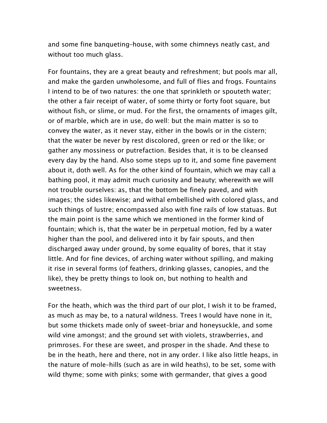and some fine banqueting–house, with some chimneys neatly cast, and without too much glass.

For fountains, they are a great beauty and refreshment; but pools mar all, and make the garden unwholesome, and full of flies and frogs. Fountains I intend to be of two natures: the one that sprinkleth or spouteth water; the other a fair receipt of water, of some thirty or forty foot square, but without fish, or slime, or mud. For the first, the ornaments of images gilt, or of marble, which are in use, do well: but the main matter is so to convey the water, as it never stay, either in the bowls or in the cistern; that the water be never by rest discolored, green or red or the like; or gather any mossiness or putrefaction. Besides that, it is to be cleansed every day by the hand. Also some steps up to it, and some fine pavement about it, doth well. As for the other kind of fountain, which we may call a bathing pool, it may admit much curiosity and beauty; wherewith we will not trouble ourselves: as, that the bottom be finely paved, and with images; the sides likewise; and withal embellished with colored glass, and such things of lustre; encompassed also with fine rails of low statuas. But the main point is the same which we mentioned in the former kind of fountain; which is, that the water be in perpetual motion, fed by a water higher than the pool, and delivered into it by fair spouts, and then discharged away under ground, by some equality of bores, that it stay little. And for fine devices, of arching water without spilling, and making it rise in several forms (of feathers, drinking glasses, canopies, and the like), they be pretty things to look on, but nothing to health and sweetness.

For the heath, which was the third part of our plot, I wish it to be framed, as much as may be, to a natural wildness. Trees I would have none in it, but some thickets made only of sweet–briar and honeysuckle, and some wild vine amongst; and the ground set with violets, strawberries, and primroses. For these are sweet, and prosper in the shade. And these to be in the heath, here and there, not in any order. I like also little heaps, in the nature of mole–hills (such as are in wild heaths), to be set, some with wild thyme; some with pinks; some with germander, that gives a good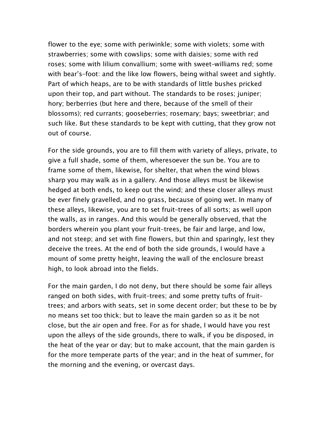flower to the eye; some with periwinkle; some with violets; some with strawberries; some with cowslips; some with daisies; some with red roses; some with lilium convallium; some with sweet–williams red; some with bear's–foot: and the like low flowers, being withal sweet and sightly. Part of which heaps, are to be with standards of little bushes pricked upon their top, and part without. The standards to be roses; juniper; hory; berberries (but here and there, because of the smell of their blossoms); red currants; gooseberries; rosemary; bays; sweetbriar; and such like. But these standards to be kept with cutting, that they grow not out of course.

For the side grounds, you are to fill them with variety of alleys, private, to give a full shade, some of them, wheresoever the sun be. You are to frame some of them, likewise, for shelter, that when the wind blows sharp you may walk as in a gallery. And those alleys must be likewise hedged at both ends, to keep out the wind; and these closer alleys must be ever finely gravelled, and no grass, because of going wet. In many of these alleys, likewise, you are to set fruit–trees of all sorts; as well upon the walls, as in ranges. And this would be generally observed, that the borders wherein you plant your fruit–trees, be fair and large, and low, and not steep; and set with fine flowers, but thin and sparingly, lest they deceive the trees. At the end of both the side grounds, I would have a mount of some pretty height, leaving the wall of the enclosure breast high, to look abroad into the fields.

For the main garden, I do not deny, but there should be some fair alleys ranged on both sides, with fruit–trees; and some pretty tufts of fruit– trees; and arbors with seats, set in some decent order; but these to be by no means set too thick; but to leave the main garden so as it be not close, but the air open and free. For as for shade, I would have you rest upon the alleys of the side grounds, there to walk, if you be disposed, in the heat of the year or day; but to make account, that the main garden is for the more temperate parts of the year; and in the heat of summer, for the morning and the evening, or overcast days.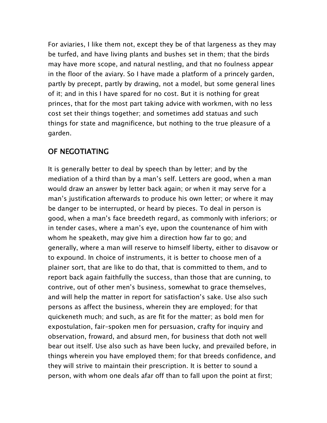For aviaries, I like them not, except they be of that largeness as they may be turfed, and have living plants and bushes set in them; that the birds may have more scope, and natural nestling, and that no foulness appear in the floor of the aviary. So I have made a platform of a princely garden, partly by precept, partly by drawing, not a model, but some general lines of it; and in this I have spared for no cost. But it is nothing for great princes, that for the most part taking advice with workmen, with no less cost set their things together; and sometimes add statuas and such things for state and magnificence, but nothing to the true pleasure of a garden.

#### OF NEGOTIATING

It is generally better to deal by speech than by letter; and by the mediation of a third than by a man's self. Letters are good, when a man would draw an answer by letter back again; or when it may serve for a man's justification afterwards to produce his own letter; or where it may be danger to be interrupted, or heard by pieces. To deal in person is good, when a man's face breedeth regard, as commonly with inferiors; or in tender cases, where a man's eye, upon the countenance of him with whom he speaketh, may give him a direction how far to go; and generally, where a man will reserve to himself liberty, either to disavow or to expound. In choice of instruments, it is better to choose men of a plainer sort, that are like to do that, that is committed to them, and to report back again faithfully the success, than those that are cunning, to contrive, out of other men's business, somewhat to grace themselves, and will help the matter in report for satisfaction's sake. Use also such persons as affect the business, wherein they are employed; for that quickeneth much; and such, as are fit for the matter; as bold men for expostulation, fair–spoken men for persuasion, crafty for inquiry and observation, froward, and absurd men, for business that doth not well bear out itself. Use also such as have been lucky, and prevailed before, in things wherein you have employed them; for that breeds confidence, and they will strive to maintain their prescription. It is better to sound a person, with whom one deals afar off than to fall upon the point at first;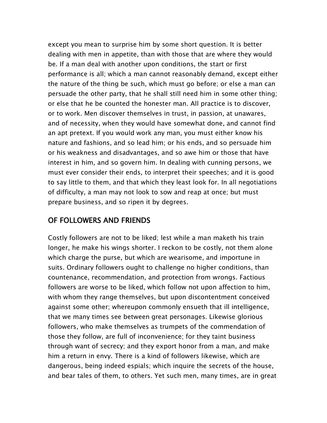except you mean to surprise him by some short question. It is better dealing with men in appetite, than with those that are where they would be. If a man deal with another upon conditions, the start or first performance is all; which a man cannot reasonably demand, except either the nature of the thing be such, which must go before; or else a man can persuade the other party, that he shall still need him in some other thing; or else that he be counted the honester man. All practice is to discover, or to work. Men discover themselves in trust, in passion, at unawares, and of necessity, when they would have somewhat done, and cannot find an apt pretext. If you would work any man, you must either know his nature and fashions, and so lead him; or his ends, and so persuade him or his weakness and disadvantages, and so awe him or those that have interest in him, and so govern him. In dealing with cunning persons, we must ever consider their ends, to interpret their speeches; and it is good to say little to them, and that which they least look for. In all negotiations of difficulty, a man may not look to sow and reap at once; but must prepare business, and so ripen it by degrees.

# OF FOLLOWERS AND FRIENDS

Costly followers are not to be liked; lest while a man maketh his train longer, he make his wings shorter. I reckon to be costly, not them alone which charge the purse, but which are wearisome, and importune in suits. Ordinary followers ought to challenge no higher conditions, than countenance, recommendation, and protection from wrongs. Factious followers are worse to be liked, which follow not upon affection to him, with whom they range themselves, but upon discontentment conceived against some other; whereupon commonly ensueth that ill intelligence, that we many times see between great personages. Likewise glorious followers, who make themselves as trumpets of the commendation of those they follow, are full of inconvenience; for they taint business through want of secrecy; and they export honor from a man, and make him a return in envy. There is a kind of followers likewise, which are dangerous, being indeed espials; which inquire the secrets of the house, and bear tales of them, to others. Yet such men, many times, are in great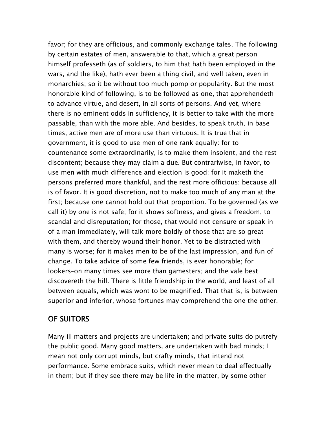favor; for they are officious, and commonly exchange tales. The following by certain estates of men, answerable to that, which a great person himself professeth (as of soldiers, to him that hath been employed in the wars, and the like), hath ever been a thing civil, and well taken, even in monarchies; so it be without too much pomp or popularity. But the most honorable kind of following, is to be followed as one, that apprehendeth to advance virtue, and desert, in all sorts of persons. And yet, where there is no eminent odds in sufficiency, it is better to take with the more passable, than with the more able. And besides, to speak truth, in base times, active men are of more use than virtuous. It is true that in government, it is good to use men of one rank equally: for to countenance some extraordinarily, is to make them insolent, and the rest discontent; because they may claim a due. But contrariwise, in favor, to use men with much difference and election is good; for it maketh the persons preferred more thankful, and the rest more officious: because all is of favor. It is good discretion, not to make too much of any man at the first; because one cannot hold out that proportion. To be governed (as we call it) by one is not safe; for it shows softness, and gives a freedom, to scandal and disreputation; for those, that would not censure or speak in of a man immediately, will talk more boldly of those that are so great with them, and thereby wound their honor. Yet to be distracted with many is worse; for it makes men to be of the last impression, and fun of change. To take advice of some few friends, is ever honorable; for lookers–on many times see more than gamesters; and the vale best discovereth the hill. There is little friendship in the world, and least of all between equals, which was wont to be magnified. That that is, is between superior and inferior, whose fortunes may comprehend the one the other.

# OF SUITORS

Many ill matters and projects are undertaken; and private suits do putrefy the public good. Many good matters, are undertaken with bad minds; I mean not only corrupt minds, but crafty minds, that intend not performance. Some embrace suits, which never mean to deal effectually in them; but if they see there may be life in the matter, by some other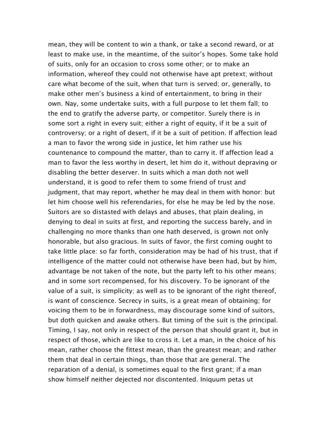mean, they will be content to win a thank, or take a second reward, or at least to make use, in the meantime, of the suitor's hopes. Some take hold of suits, only for an occasion to cross some other; or to make an information, whereof they could not otherwise have apt pretext; without care what become of the suit, when that turn is served; or, generally, to make other men's business a kind of entertainment, to bring in their own. Nay, some undertake suits, with a full purpose to let them fall; to the end to gratify the adverse party, or competitor. Surely there is in some sort a right in every suit; either a right of equity, if it be a suit of controversy; or a right of desert, if it be a suit of petition. If affection lead a man to favor the wrong side in justice, let him rather use his countenance to compound the matter, than to carry it. If affection lead a man to favor the less worthy in desert, let him do it, without depraving or disabling the better deserver. In suits which a man doth not well understand, it is good to refer them to some friend of trust and judgment, that may report, whether he may deal in them with honor: but let him choose well his referendaries, for else he may be led by the nose. Suitors are so distasted with delays and abuses, that plain dealing, in denying to deal in suits at first, and reporting the success barely, and in challenging no more thanks than one hath deserved, is grown not only honorable, but also gracious. In suits of favor, the first coming ought to take little place: so far forth, consideration may be had of his trust, that if intelligence of the matter could not otherwise have been had, but by him, advantage be not taken of the note, but the party left to his other means; and in some sort recompensed, for his discovery. To be ignorant of the value of a suit, is simplicity; as well as to be ignorant of the right thereof, is want of conscience. Secrecy in suits, is a great mean of obtaining; for voicing them to be in forwardness, may discourage some kind of suitors, but doth quicken and awake others. But timing of the suit is the principal. Timing, I say, not only in respect of the person that should grant it, but in respect of those, which are like to cross it. Let a man, in the choice of his mean, rather choose the fittest mean, than the greatest mean; and rather them that deal in certain things, than those that are general. The reparation of a denial, is sometimes equal to the first grant; if a man show himself neither dejected nor discontented. Iniquum petas ut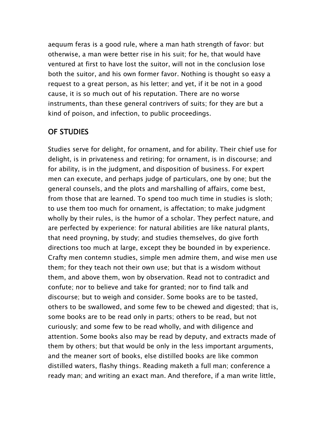aequum feras is a good rule, where a man hath strength of favor: but otherwise, a man were better rise in his suit; for he, that would have ventured at first to have lost the suitor, will not in the conclusion lose both the suitor, and his own former favor. Nothing is thought so easy a request to a great person, as his letter; and yet, if it be not in a good cause, it is so much out of his reputation. There are no worse instruments, than these general contrivers of suits; for they are but a kind of poison, and infection, to public proceedings.

#### OF STUDIES

Studies serve for delight, for ornament, and for ability. Their chief use for delight, is in privateness and retiring; for ornament, is in discourse; and for ability, is in the judgment, and disposition of business. For expert men can execute, and perhaps judge of particulars, one by one; but the general counsels, and the plots and marshalling of affairs, come best, from those that are learned. To spend too much time in studies is sloth; to use them too much for ornament, is affectation; to make judgment wholly by their rules, is the humor of a scholar. They perfect nature, and are perfected by experience: for natural abilities are like natural plants, that need proyning, by study; and studies themselves, do give forth directions too much at large, except they be bounded in by experience. Crafty men contemn studies, simple men admire them, and wise men use them; for they teach not their own use; but that is a wisdom without them, and above them, won by observation. Read not to contradict and confute; nor to believe and take for granted; nor to find talk and discourse; but to weigh and consider. Some books are to be tasted, others to be swallowed, and some few to be chewed and digested; that is, some books are to be read only in parts; others to be read, but not curiously; and some few to be read wholly, and with diligence and attention. Some books also may be read by deputy, and extracts made of them by others; but that would be only in the less important arguments, and the meaner sort of books, else distilled books are like common distilled waters, flashy things. Reading maketh a full man; conference a ready man; and writing an exact man. And therefore, if a man write little,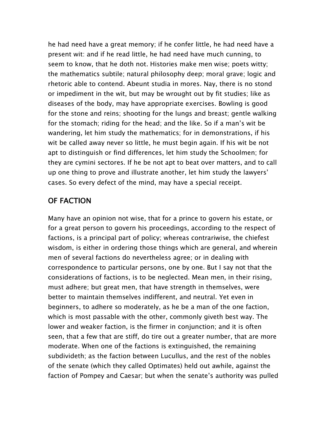he had need have a great memory; if he confer little, he had need have a present wit: and if he read little, he had need have much cunning, to seem to know, that he doth not. Histories make men wise; poets witty; the mathematics subtile; natural philosophy deep; moral grave; logic and rhetoric able to contend. Abeunt studia in mores. Nay, there is no stond or impediment in the wit, but may be wrought out by fit studies; like as diseases of the body, may have appropriate exercises. Bowling is good for the stone and reins; shooting for the lungs and breast; gentle walking for the stomach; riding for the head; and the like. So if a man's wit be wandering, let him study the mathematics; for in demonstrations, if his wit be called away never so little, he must begin again. If his wit be not apt to distinguish or find differences, let him study the Schoolmen; for they are cymini sectores. If he be not apt to beat over matters, and to call up one thing to prove and illustrate another, let him study the lawyers' cases. So every defect of the mind, may have a special receipt.

# OF FACTION

Many have an opinion not wise, that for a prince to govern his estate, or for a great person to govern his proceedings, according to the respect of factions, is a principal part of policy; whereas contrariwise, the chiefest wisdom, is either in ordering those things which are general, and wherein men of several factions do nevertheless agree; or in dealing with correspondence to particular persons, one by one. But I say not that the considerations of factions, is to be neglected. Mean men, in their rising, must adhere; but great men, that have strength in themselves, were better to maintain themselves indifferent, and neutral. Yet even in beginners, to adhere so moderately, as he be a man of the one faction, which is most passable with the other, commonly giveth best way. The lower and weaker faction, is the firmer in conjunction; and it is often seen, that a few that are stiff, do tire out a greater number, that are more moderate. When one of the factions is extinguished, the remaining subdivideth; as the faction between Lucullus, and the rest of the nobles of the senate (which they called Optimates) held out awhile, against the faction of Pompey and Caesar; but when the senate's authority was pulled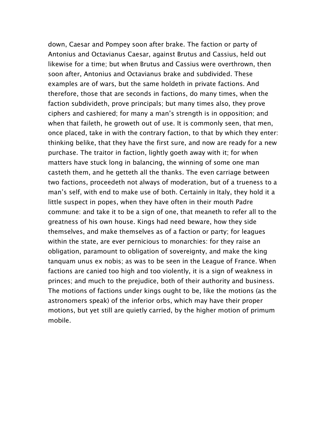down, Caesar and Pompey soon after brake. The faction or party of Antonius and Octavianus Caesar, against Brutus and Cassius, held out likewise for a time; but when Brutus and Cassius were overthrown, then soon after, Antonius and Octavianus brake and subdivided. These examples are of wars, but the same holdeth in private factions. And therefore, those that are seconds in factions, do many times, when the faction subdivideth, prove principals; but many times also, they prove ciphers and cashiered; for many a man's strength is in opposition; and when that faileth, he groweth out of use. It is commonly seen, that men, once placed, take in with the contrary faction, to that by which they enter: thinking belike, that they have the first sure, and now are ready for a new purchase. The traitor in faction, lightly goeth away with it; for when matters have stuck long in balancing, the winning of some one man casteth them, and he getteth all the thanks. The even carriage between two factions, proceedeth not always of moderation, but of a trueness to a man's self, with end to make use of both. Certainly in Italy, they hold it a little suspect in popes, when they have often in their mouth Padre commune: and take it to be a sign of one, that meaneth to refer all to the greatness of his own house. Kings had need beware, how they side themselves, and make themselves as of a faction or party; for leagues within the state, are ever pernicious to monarchies: for they raise an obligation, paramount to obligation of sovereignty, and make the king tanquam unus ex nobis; as was to be seen in the League of France. When factions are canied too high and too violently, it is a sign of weakness in princes; and much to the prejudice, both of their authority and business. The motions of factions under kings ought to be, like the motions (as the astronomers speak) of the inferior orbs, which may have their proper motions, but yet still are quietly carried, by the higher motion of primum mobile.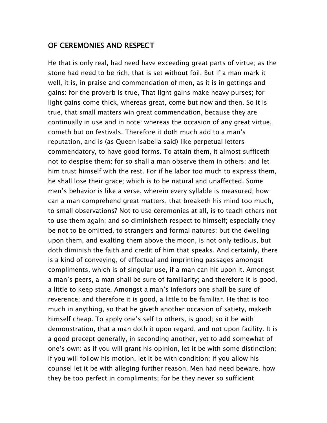#### OF CEREMONIES AND RESPECT

He that is only real, had need have exceeding great parts of virtue; as the stone had need to be rich, that is set without foil. But if a man mark it well, it is, in praise and commendation of men, as it is in gettings and gains: for the proverb is true, That light gains make heavy purses; for light gains come thick, whereas great, come but now and then. So it is true, that small matters win great commendation, because they are continually in use and in note: whereas the occasion of any great virtue, cometh but on festivals. Therefore it doth much add to a man's reputation, and is (as Queen Isabella said) like perpetual letters commendatory, to have good forms. To attain them, it almost sufficeth not to despise them; for so shall a man observe them in others; and let him trust himself with the rest. For if he labor too much to express them, he shall lose their grace; which is to be natural and unaffected. Some men's behavior is like a verse, wherein every syllable is measured; how can a man comprehend great matters, that breaketh his mind too much, to small observations? Not to use ceremonies at all, is to teach others not to use them again; and so diminisheth respect to himself; especially they be not to be omitted, to strangers and formal natures; but the dwelling upon them, and exalting them above the moon, is not only tedious, but doth diminish the faith and credit of him that speaks. And certainly, there is a kind of conveying, of effectual and imprinting passages amongst compliments, which is of singular use, if a man can hit upon it. Amongst a man's peers, a man shall be sure of familiarity; and therefore it is good, a little to keep state. Amongst a man's inferiors one shall be sure of reverence; and therefore it is good, a little to be familiar. He that is too much in anything, so that he giveth another occasion of satiety, maketh himself cheap. To apply one's self to others, is good; so it be with demonstration, that a man doth it upon regard, and not upon facility. It is a good precept generally, in seconding another, yet to add somewhat of one's own: as if you will grant his opinion, let it be with some distinction; if you will follow his motion, let it be with condition; if you allow his counsel let it be with alleging further reason. Men had need beware, how they be too perfect in compliments; for be they never so sufficient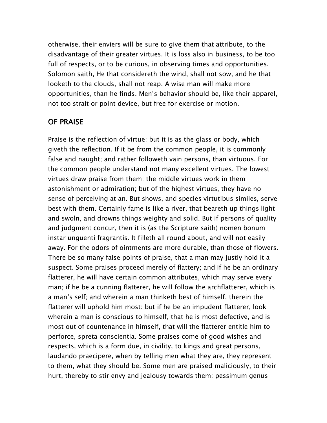otherwise, their enviers will be sure to give them that attribute, to the disadvantage of their greater virtues. It is loss also in business, to be too full of respects, or to be curious, in observing times and opportunities. Solomon saith, He that considereth the wind, shall not sow, and he that looketh to the clouds, shall not reap. A wise man will make more opportunities, than he finds. Men's behavior should be, like their apparel, not too strait or point device, but free for exercise or motion.

#### OF PRAISE

Praise is the reflection of virtue; but it is as the glass or body, which giveth the reflection. If it be from the common people, it is commonly false and naught; and rather followeth vain persons, than virtuous. For the common people understand not many excellent virtues. The lowest virtues draw praise from them; the middle virtues work in them astonishment or admiration; but of the highest virtues, they have no sense of perceiving at an. But shows, and species virtutibus similes, serve best with them. Certainly fame is like a river, that beareth up things light and swoln, and drowns things weighty and solid. But if persons of quality and judgment concur, then it is (as the Scripture saith) nomen bonum instar unguenti fragrantis. It filleth all round about, and will not easily away. For the odors of ointments are more durable, than those of flowers. There be so many false points of praise, that a man may justly hold it a suspect. Some praises proceed merely of flattery; and if he be an ordinary flatterer, he will have certain common attributes, which may serve every man; if he be a cunning flatterer, he will follow the archflatterer, which is a man's self; and wherein a man thinketh best of himself, therein the flatterer will uphold him most: but if he be an impudent flatterer, look wherein a man is conscious to himself, that he is most defective, and is most out of countenance in himself, that will the flatterer entitle him to perforce, spreta conscientia. Some praises come of good wishes and respects, which is a form due, in civility, to kings and great persons, laudando praecipere, when by telling men what they are, they represent to them, what they should be. Some men are praised maliciously, to their hurt, thereby to stir envy and jealousy towards them: pessimum genus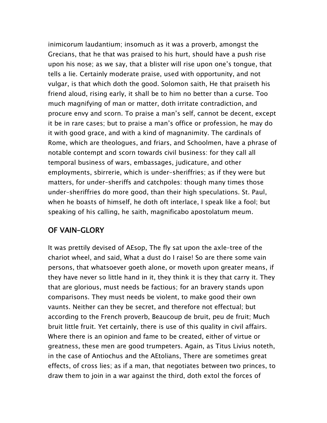inimicorum laudantium; insomuch as it was a proverb, amongst the Grecians, that he that was praised to his hurt, should have a push rise upon his nose; as we say, that a blister will rise upon one's tongue, that tells a lie. Certainly moderate praise, used with opportunity, and not vulgar, is that which doth the good. Solomon saith, He that praiseth his friend aloud, rising early, it shall be to him no better than a curse. Too much magnifying of man or matter, doth irritate contradiction, and procure envy and scorn. To praise a man's self, cannot be decent, except it be in rare cases; but to praise a man's office or profession, he may do it with good grace, and with a kind of magnanimity. The cardinals of Rome, which are theologues, and friars, and Schoolmen, have a phrase of notable contempt and scorn towards civil business: for they call all temporal business of wars, embassages, judicature, and other employments, sbirrerie, which is under–sheriffries; as if they were but matters, for under–sheriffs and catchpoles: though many times those under–sheriffries do more good, than their high speculations. St. Paul, when he boasts of himself, he doth oft interlace, I speak like a fool; but speaking of his calling, he saith, magnificabo apostolatum meum.

# OF VAIN–GLORY

It was prettily devised of AEsop, The fly sat upon the axle–tree of the chariot wheel, and said, What a dust do I raise! So are there some vain persons, that whatsoever goeth alone, or moveth upon greater means, if they have never so little hand in it, they think it is they that carry it. They that are glorious, must needs be factious; for an bravery stands upon comparisons. They must needs be violent, to make good their own vaunts. Neither can they be secret, and therefore not effectual; but according to the French proverb, Beaucoup de bruit, peu de fruit; Much bruit little fruit. Yet certainly, there is use of this quality in civil affairs. Where there is an opinion and fame to be created, either of virtue or greatness, these men are good trumpeters. Again, as Titus Livius noteth, in the case of Antiochus and the AEtolians, There are sometimes great effects, of cross lies; as if a man, that negotiates between two princes, to draw them to join in a war against the third, doth extol the forces of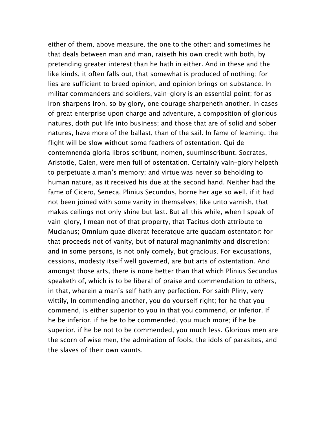either of them, above measure, the one to the other: and sometimes he that deals between man and man, raiseth his own credit with both, by pretending greater interest than he hath in either. And in these and the like kinds, it often falls out, that somewhat is produced of nothing; for lies are sufficient to breed opinion, and opinion brings on substance. In militar commanders and soldiers, vain–glory is an essential point; for as iron sharpens iron, so by glory, one courage sharpeneth another. In cases of great enterprise upon charge and adventure, a composition of glorious natures, doth put life into business; and those that are of solid and sober natures, have more of the ballast, than of the sail. In fame of leaming, the flight will be slow without some feathers of ostentation. Qui de contemnenda gloria libros scribunt, nomen, suuminscribunt. Socrates, Aristotle, Galen, were men full of ostentation. Certainly vain–glory helpeth to perpetuate a man's memory; and virtue was never so beholding to human nature, as it received his due at the second hand. Neither had the fame of Cicero, Seneca, Plinius Secundus, borne her age so well, if it had not been joined with some vanity in themselves; like unto varnish, that makes ceilings not only shine but last. But all this while, when I speak of vain–glory, I mean not of that property, that Tacitus doth attribute to Mucianus; Omnium quae dixerat feceratque arte quadam ostentator: for that proceeds not of vanity, but of natural magnanimity and discretion; and in some persons, is not only comely, but gracious. For excusations, cessions, modesty itself well governed, are but arts of ostentation. And amongst those arts, there is none better than that which Plinius Secundus speaketh of, which is to be liberal of praise and commendation to others, in that, wherein a man's self hath any perfection. For saith Pliny, very wittily, In commending another, you do yourself right; for he that you commend, is either superior to you in that you commend, or inferior. If he be inferior, if he be to be commended, you much more; if he be superior, if he be not to be commended, you much less. Glorious men are the scorn of wise men, the admiration of fools, the idols of parasites, and the slaves of their own vaunts.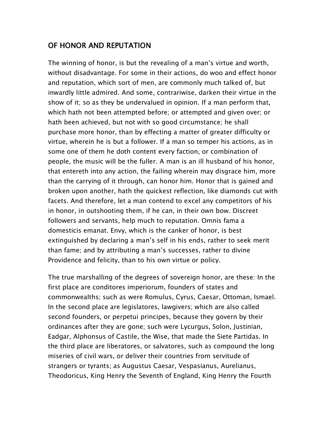# OF HONOR AND REPUTATION

The winning of honor, is but the revealing of a man's virtue and worth, without disadvantage. For some in their actions, do woo and effect honor and reputation, which sort of men, are commonly much talked of, but inwardly little admired. And some, contrariwise, darken their virtue in the show of it; so as they be undervalued in opinion. If a man perform that, which hath not been attempted before; or attempted and given over; or hath been achieved, but not with so good circumstance; he shall purchase more honor, than by effecting a matter of greater difficulty or virtue, wherein he is but a follower. If a man so temper his actions, as in some one of them he doth content every faction, or combination of people, the music will be the fuller. A man is an ill husband of his honor, that entereth into any action, the failing wherein may disgrace him, more than the carrying of it through, can honor him. Honor that is gained and broken upon another, hath the quickest reflection, like diamonds cut with facets. And therefore, let a man contend to excel any competitors of his in honor, in outshooting them, if he can, in their own bow. Discreet followers and servants, help much to reputation. Omnis fama a domesticis emanat. Envy, which is the canker of honor, is best extinguished by declaring a man's self in his ends, rather to seek merit than fame; and by attributing a man's successes, rather to divine Providence and felicity, than to his own virtue or policy.

The true marshalling of the degrees of sovereign honor, are these: In the first place are conditores imperiorum, founders of states and commonwealths; such as were Romulus, Cyrus, Caesar, Ottoman, Ismael. In the second place are legislatores, lawgivers; which are also called second founders, or perpetui principes, because they govern by their ordinances after they are gone; such were Lycurgus, Solon, Justinian, Eadgar, Alphonsus of Castile, the Wise, that made the Siete Partidas. In the third place are liberatores, or salvatores, such as compound the long miseries of civil wars, or deliver their countries from servitude of strangers or tyrants; as Augustus Caesar, Vespasianus, Aurelianus, Theodoricus, King Henry the Seventh of England, King Henry the Fourth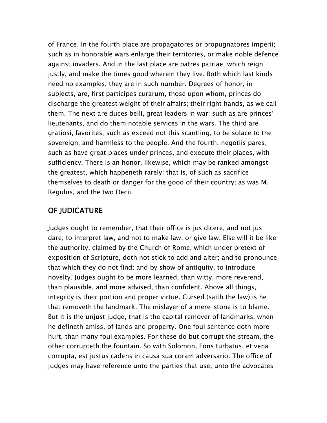of France. In the fourth place are propagatores or propugnatores imperii; such as in honorable wars enlarge their territories, or make noble defence against invaders. And in the last place are patres patriae; which reign justly, and make the times good wherein they live. Both which last kinds need no examples, they are in such number. Degrees of honor, in subjects, are, first participes curarum, those upon whom, princes do discharge the greatest weight of their affairs; their right hands, as we call them. The next are duces belli, great leaders in war; such as are princes' lieutenants, and do them notable services in the wars. The third are gratiosi, favorites; such as exceed not this scantling, to be solace to the sovereign, and harmless to the people. And the fourth, negotiis pares; such as have great places under princes, and execute their places, with sufficiency. There is an honor, likewise, which may be ranked amongst the greatest, which happeneth rarely; that is, of such as sacrifice themselves to death or danger for the good of their country; as was M. Regulus, and the two Decii.

#### OF JUDICATURE

Judges ought to remember, that their office is jus dicere, and not jus dare; to interpret law, and not to make law, or give law. Else will it be like the authority, claimed by the Church of Rome, which under pretext of exposition of Scripture, doth not stick to add and alter; and to pronounce that which they do not find; and by show of antiquity, to introduce novelty. Judges ought to be more learned, than witty, more reverend, than plausible, and more advised, than confident. Above all things, integrity is their portion and proper virtue. Cursed (saith the law) is he that removeth the landmark. The mislayer of a mere–stone is to blame. But it is the unjust judge, that is the capital remover of landmarks, when he defineth amiss, of lands and property. One foul sentence doth more hurt, than many foul examples. For these do but corrupt the stream, the other corrupteth the fountain. So with Solomon, Fons turbatus, et vena corrupta, est justus cadens in causa sua coram adversario. The office of judges may have reference unto the parties that use, unto the advocates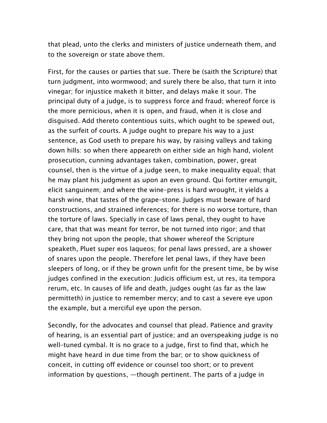that plead, unto the clerks and ministers of justice underneath them, and to the sovereign or state above them.

First, for the causes or parties that sue. There be (saith the Scripture) that turn judgment, into wormwood; and surely there be also, that turn it into vinegar; for injustice maketh it bitter, and delays make it sour. The principal duty of a judge, is to suppress force and fraud; whereof force is the more pernicious, when it is open, and fraud, when it is close and disguised. Add thereto contentious suits, which ought to be spewed out, as the surfeit of courts. A judge ought to prepare his way to a just sentence, as God useth to prepare his way, by raising valleys and taking down hills: so when there appeareth on either side an high hand, violent prosecution, cunning advantages taken, combination, power, great counsel, then is the virtue of a judge seen, to make inequality equal; that he may plant his judgment as upon an even ground. Qui fortiter emungit, elicit sanguinem; and where the wine–press is hard wrought, it yields a harsh wine, that tastes of the grape–stone. Judges must beware of hard constructions, and strained inferences; for there is no worse torture, than the torture of laws. Specially in case of laws penal, they ought to have care, that that was meant for terror, be not turned into rigor; and that they bring not upon the people, that shower whereof the Scripture speaketh, Pluet super eos laqueos; for penal laws pressed, are a shower of snares upon the people. Therefore let penal laws, if they have been sleepers of long, or if they be grown unfit for the present time, be by wise judges confined in the execution: Judicis officium est, ut res, ita tempora rerum, etc. In causes of life and death, judges ought (as far as the law permitteth) in justice to remember mercy; and to cast a severe eye upon the example, but a merciful eye upon the person.

Secondly, for the advocates and counsel that plead. Patience and gravity of hearing, is an essential part of justice; and an overspeaking judge is no well–tuned cymbal. It is no grace to a judge, first to find that, which he might have heard in due time from the bar; or to show quickness of conceit, in cutting off evidence or counsel too short; or to prevent information by questions, —though pertinent. The parts of a judge in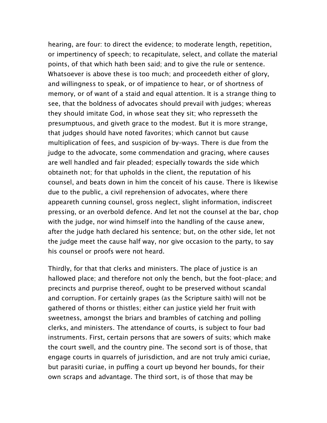hearing, are four: to direct the evidence; to moderate length, repetition, or impertinency of speech; to recapitulate, select, and collate the material points, of that which hath been said; and to give the rule or sentence. Whatsoever is above these is too much; and proceedeth either of glory, and willingness to speak, or of impatience to hear, or of shortness of memory, or of want of a staid and equal attention. It is a strange thing to see, that the boldness of advocates should prevail with judges; whereas they should imitate God, in whose seat they sit; who represseth the presumptuous, and giveth grace to the modest. But it is more strange, that judges should have noted favorites; which cannot but cause multiplication of fees, and suspicion of by–ways. There is due from the judge to the advocate, some commendation and gracing, where causes are well handled and fair pleaded; especially towards the side which obtaineth not; for that upholds in the client, the reputation of his counsel, and beats down in him the conceit of his cause. There is likewise due to the public, a civil reprehension of advocates, where there appeareth cunning counsel, gross neglect, slight information, indiscreet pressing, or an overbold defence. And let not the counsel at the bar, chop with the judge, nor wind himself into the handling of the cause anew, after the judge hath declared his sentence; but, on the other side, let not the judge meet the cause half way, nor give occasion to the party, to say his counsel or proofs were not heard.

Thirdly, for that that clerks and ministers. The place of justice is an hallowed place; and therefore not only the bench, but the foot–place; and precincts and purprise thereof, ought to be preserved without scandal and corruption. For certainly grapes (as the Scripture saith) will not be gathered of thorns or thistles; either can justice yield her fruit with sweetness, amongst the briars and brambles of catching and polling clerks, and ministers. The attendance of courts, is subject to four bad instruments. First, certain persons that are sowers of suits; which make the court swell, and the country pine. The second sort is of those, that engage courts in quarrels of jurisdiction, and are not truly amici curiae, but parasiti curiae, in puffing a court up beyond her bounds, for their own scraps and advantage. The third sort, is of those that may be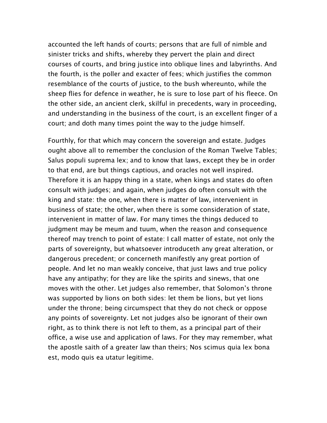accounted the left hands of courts; persons that are full of nimble and sinister tricks and shifts, whereby they pervert the plain and direct courses of courts, and bring justice into oblique lines and labyrinths. And the fourth, is the poller and exacter of fees; which justifies the common resemblance of the courts of justice, to the bush whereunto, while the sheep flies for defence in weather, he is sure to lose part of his fleece. On the other side, an ancient clerk, skilful in precedents, wary in proceeding, and understanding in the business of the court, is an excellent finger of a court; and doth many times point the way to the judge himself.

Fourthly, for that which may concern the sovereign and estate. Judges ought above all to remember the conclusion of the Roman Twelve Tables; Salus populi suprema lex; and to know that laws, except they be in order to that end, are but things captious, and oracles not well inspired. Therefore it is an happy thing in a state, when kings and states do often consult with judges; and again, when judges do often consult with the king and state: the one, when there is matter of law, intervenient in business of state; the other, when there is some consideration of state, intervenient in matter of law. For many times the things deduced to judgment may be meum and tuum, when the reason and consequence thereof may trench to point of estate: I call matter of estate, not only the parts of sovereignty, but whatsoever introduceth any great alteration, or dangerous precedent; or concerneth manifestly any great portion of people. And let no man weakly conceive, that just laws and true policy have any antipathy; for they are like the spirits and sinews, that one moves with the other. Let judges also remember, that Solomon's throne was supported by lions on both sides: let them be lions, but yet lions under the throne; being circumspect that they do not check or oppose any points of sovereignty. Let not judges also be ignorant of their own right, as to think there is not left to them, as a principal part of their office, a wise use and application of laws. For they may remember, what the apostle saith of a greater law than theirs; Nos scimus quia lex bona est, modo quis ea utatur legitime.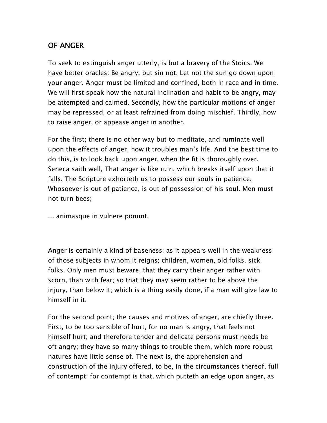# OF ANGER

To seek to extinguish anger utterly, is but a bravery of the Stoics. We have better oracles: Be angry, but sin not. Let not the sun go down upon your anger. Anger must be limited and confined, both in race and in time. We will first speak how the natural inclination and habit to be angry, may be attempted and calmed. Secondly, how the particular motions of anger may be repressed, or at least refrained from doing mischief. Thirdly, how to raise anger, or appease anger in another.

For the first; there is no other way but to meditate, and ruminate well upon the effects of anger, how it troubles man's life. And the best time to do this, is to look back upon anger, when the fit is thoroughly over. Seneca saith well, That anger is like ruin, which breaks itself upon that it falls. The Scripture exhorteth us to possess our souls in patience. Whosoever is out of patience, is out of possession of his soul. Men must not turn bees;

... animasque in vulnere ponunt.

Anger is certainly a kind of baseness; as it appears well in the weakness of those subjects in whom it reigns; children, women, old folks, sick folks. Only men must beware, that they carry their anger rather with scorn, than with fear; so that they may seem rather to be above the injury, than below it; which is a thing easily done, if a man will give law to himself in it.

For the second point; the causes and motives of anger, are chiefly three. First, to be too sensible of hurt; for no man is angry, that feels not himself hurt; and therefore tender and delicate persons must needs be oft angry; they have so many things to trouble them, which more robust natures have little sense of. The next is, the apprehension and construction of the injury offered, to be, in the circumstances thereof, full of contempt: for contempt is that, which putteth an edge upon anger, as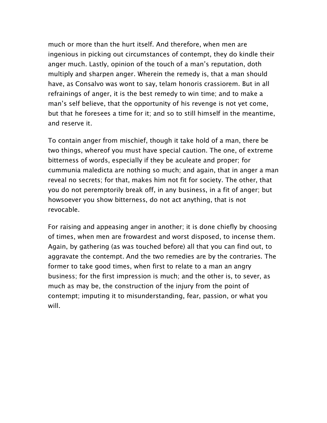much or more than the hurt itself. And therefore, when men are ingenious in picking out circumstances of contempt, they do kindle their anger much. Lastly, opinion of the touch of a man's reputation, doth multiply and sharpen anger. Wherein the remedy is, that a man should have, as Consalvo was wont to say, telam honoris crassiorem. But in all refrainings of anger, it is the best remedy to win time; and to make a man's self believe, that the opportunity of his revenge is not yet come, but that he foresees a time for it; and so to still himself in the meantime, and reserve it.

To contain anger from mischief, though it take hold of a man, there be two things, whereof you must have special caution. The one, of extreme bitterness of words, especially if they be aculeate and proper; for cummunia maledicta are nothing so much; and again, that in anger a man reveal no secrets; for that, makes him not fit for society. The other, that you do not peremptorily break off, in any business, in a fit of anger; but howsoever you show bitterness, do not act anything, that is not revocable.

For raising and appeasing anger in another; it is done chiefly by choosing of times, when men are frowardest and worst disposed, to incense them. Again, by gathering (as was touched before) all that you can find out, to aggravate the contempt. And the two remedies are by the contraries. The former to take good times, when first to relate to a man an angry business; for the first impression is much; and the other is, to sever, as much as may be, the construction of the injury from the point of contempt; imputing it to misunderstanding, fear, passion, or what you will.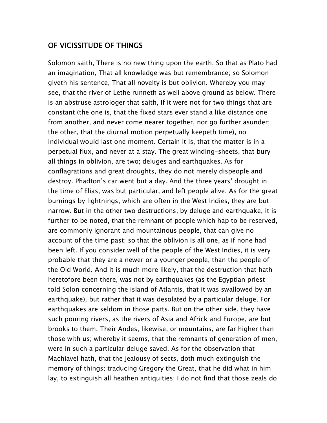#### OF VICISSITUDE OF THINGS

Solomon saith, There is no new thing upon the earth. So that as Plato had an imagination, That all knowledge was but remembrance; so Solomon giveth his sentence, That all novelty is but oblivion. Whereby you may see, that the river of Lethe runneth as well above ground as below. There is an abstruse astrologer that saith, If it were not for two things that are constant (the one is, that the fixed stars ever stand a like distance one from another, and never come nearer together, nor go further asunder; the other, that the diurnal motion perpetually keepeth time), no individual would last one moment. Certain it is, that the matter is in a perpetual flux, and never at a stay. The great winding–sheets, that bury all things in oblivion, are two; deluges and earthquakes. As for conflagrations and great droughts, they do not merely dispeople and destroy. Phadton's car went but a day. And the three years' drought in the time of Elias, was but particular, and left people alive. As for the great burnings by lightnings, which are often in the West Indies, they are but narrow. But in the other two destructions, by deluge and earthquake, it is further to be noted, that the remnant of people which hap to be reserved, are commonly ignorant and mountainous people, that can give no account of the time past; so that the oblivion is all one, as if none had been left. If you consider well of the people of the West Indies, it is very probable that they are a newer or a younger people, than the people of the Old World. And it is much more likely, that the destruction that hath heretofore been there, was not by earthquakes (as the Egyptian priest told Solon concerning the island of Atlantis, that it was swallowed by an earthquake), but rather that it was desolated by a particular deluge. For earthquakes are seldom in those parts. But on the other side, they have such pouring rivers, as the rivers of Asia and Africk and Europe, are but brooks to them. Their Andes, likewise, or mountains, are far higher than those with us; whereby it seems, that the remnants of generation of men, were in such a particular deluge saved. As for the observation that Machiavel hath, that the jealousy of sects, doth much extinguish the memory of things; traducing Gregory the Great, that he did what in him lay, to extinguish all heathen antiquities; I do not find that those zeals do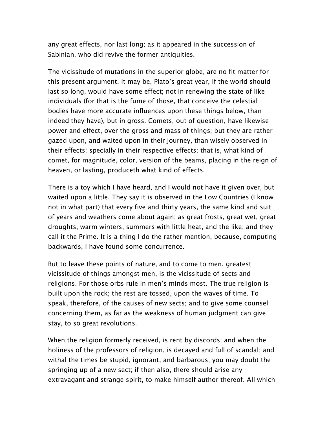any great effects, nor last long; as it appeared in the succession of Sabinian, who did revive the former antiquities.

The vicissitude of mutations in the superior globe, are no fit matter for this present argument. It may be, Plato's great year, if the world should last so long, would have some effect; not in renewing the state of like individuals (for that is the fume of those, that conceive the celestial bodies have more accurate influences upon these things below, than indeed they have), but in gross. Comets, out of question, have likewise power and effect, over the gross and mass of things; but they are rather gazed upon, and waited upon in their journey, than wisely observed in their effects; specially in their respective effects; that is, what kind of comet, for magnitude, color, version of the beams, placing in the reign of heaven, or lasting, produceth what kind of effects.

There is a toy which I have heard, and I would not have it given over, but waited upon a little. They say it is observed in the Low Countries (I know not in what part) that every five and thirty years, the same kind and suit of years and weathers come about again; as great frosts, great wet, great droughts, warm winters, summers with little heat, and the like; and they call it the Prime. It is a thing I do the rather mention, because, computing backwards, I have found some concurrence.

But to leave these points of nature, and to come to men. greatest vicissitude of things amongst men, is the vicissitude of sects and religions. For those orbs rule in men's minds most. The true religion is built upon the rock; the rest are tossed, upon the waves of time. To speak, therefore, of the causes of new sects; and to give some counsel concerning them, as far as the weakness of human judgment can give stay, to so great revolutions.

When the religion formerly received, is rent by discords; and when the holiness of the professors of religion, is decayed and full of scandal; and withal the times be stupid, ignorant, and barbarous; you may doubt the springing up of a new sect; if then also, there should arise any extravagant and strange spirit, to make himself author thereof. All which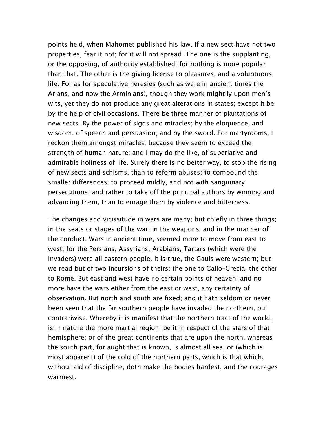points held, when Mahomet published his law. If a new sect have not two properties, fear it not; for it will not spread. The one is the supplanting, or the opposing, of authority established; for nothing is more popular than that. The other is the giving license to pleasures, and a voluptuous life. For as for speculative heresies (such as were in ancient times the Arians, and now the Arminians), though they work mightily upon men's wits, yet they do not produce any great alterations in states; except it be by the help of civil occasions. There be three manner of plantations of new sects. By the power of signs and miracles; by the eloquence, and wisdom, of speech and persuasion; and by the sword. For martyrdoms, I reckon them amongst miracles; because they seem to exceed the strength of human nature: and I may do the like, of superlative and admirable holiness of life. Surely there is no better way, to stop the rising of new sects and schisms, than to reform abuses; to compound the smaller differences; to proceed mildly, and not with sanguinary persecutions; and rather to take off the principal authors by winning and advancing them, than to enrage them by violence and bitterness.

The changes and vicissitude in wars are many; but chiefly in three things; in the seats or stages of the war; in the weapons; and in the manner of the conduct. Wars in ancient time, seemed more to move from east to west; for the Persians, Assyrians, Arabians, Tartars (which were the invaders) were all eastern people. It is true, the Gauls were western; but we read but of two incursions of theirs: the one to Gallo–Grecia, the other to Rome. But east and west have no certain points of heaven; and no more have the wars either from the east or west, any certainty of observation. But north and south are fixed; and it hath seldom or never been seen that the far southern people have invaded the northern, but contrariwise. Whereby it is manifest that the northern tract of the world, is in nature the more martial region: be it in respect of the stars of that hemisphere; or of the great continents that are upon the north, whereas the south part, for aught that is known, is almost all sea; or (which is most apparent) of the cold of the northern parts, which is that which, without aid of discipline, doth make the bodies hardest, and the courages warmest.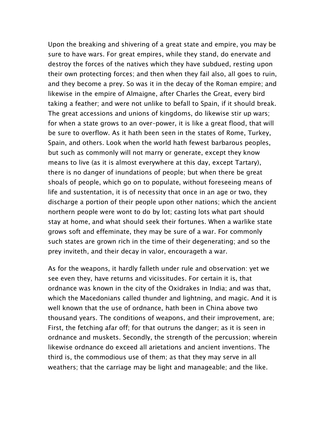Upon the breaking and shivering of a great state and empire, you may be sure to have wars. For great empires, while they stand, do enervate and destroy the forces of the natives which they have subdued, resting upon their own protecting forces; and then when they fail also, all goes to ruin, and they become a prey. So was it in the decay of the Roman empire; and likewise in the empire of Almaigne, after Charles the Great, every bird taking a feather; and were not unlike to befall to Spain, if it should break. The great accessions and unions of kingdoms, do likewise stir up wars; for when a state grows to an over–power, it is like a great flood, that will be sure to overflow. As it hath been seen in the states of Rome, Turkey, Spain, and others. Look when the world hath fewest barbarous peoples, but such as commonly will not marry or generate, except they know means to live (as it is almost everywhere at this day, except Tartary), there is no danger of inundations of people; but when there be great shoals of people, which go on to populate, without foreseeing means of life and sustentation, it is of necessity that once in an age or two, they discharge a portion of their people upon other nations; which the ancient northern people were wont to do by lot; casting lots what part should stay at home, and what should seek their fortunes. When a warlike state grows soft and effeminate, they may be sure of a war. For commonly such states are grown rich in the time of their degenerating; and so the prey inviteth, and their decay in valor, encourageth a war.

As for the weapons, it hardly falleth under rule and observation: yet we see even they, have returns and vicissitudes. For certain it is, that ordnance was known in the city of the Oxidrakes in India; and was that, which the Macedonians called thunder and lightning, and magic. And it is well known that the use of ordnance, hath been in China above two thousand years. The conditions of weapons, and their improvement, are; First, the fetching afar off; for that outruns the danger; as it is seen in ordnance and muskets. Secondly, the strength of the percussion; wherein likewise ordnance do exceed all arietations and ancient inventions. The third is, the commodious use of them; as that they may serve in all weathers; that the carriage may be light and manageable; and the like.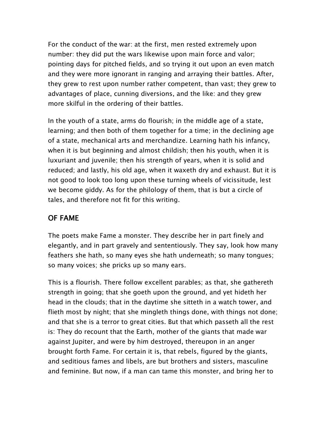For the conduct of the war: at the first, men rested extremely upon number: they did put the wars likewise upon main force and valor; pointing days for pitched fields, and so trying it out upon an even match and they were more ignorant in ranging and arraying their battles. After, they grew to rest upon number rather competent, than vast; they grew to advantages of place, cunning diversions, and the like: and they grew more skilful in the ordering of their battles.

In the youth of a state, arms do flourish; in the middle age of a state, learning; and then both of them together for a time; in the declining age of a state, mechanical arts and merchandize. Learning hath his infancy, when it is but beginning and almost childish; then his youth, when it is luxuriant and juvenile; then his strength of years, when it is solid and reduced; and lastly, his old age, when it waxeth dry and exhaust. But it is not good to look too long upon these turning wheels of vicissitude, lest we become giddy. As for the philology of them, that is but a circle of tales, and therefore not fit for this writing.

# OF FAME

The poets make Fame a monster. They describe her in part finely and elegantly, and in part gravely and sententiously. They say, look how many feathers she hath, so many eyes she hath underneath; so many tongues; so many voices; she pricks up so many ears.

This is a flourish. There follow excellent parables; as that, she gathereth strength in going; that she goeth upon the ground, and yet hideth her head in the clouds; that in the daytime she sitteth in a watch tower, and flieth most by night; that she mingleth things done, with things not done; and that she is a terror to great cities. But that which passeth all the rest is: They do recount that the Earth, mother of the giants that made war against Jupiter, and were by him destroyed, thereupon in an anger brought forth Fame. For certain it is, that rebels, figured by the giants, and seditious fames and libels, are but brothers and sisters, masculine and feminine. But now, if a man can tame this monster, and bring her to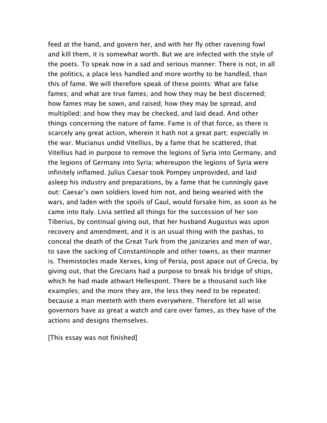feed at the hand, and govern her, and with her fly other ravening fowl and kill them, it is somewhat worth. But we are infected with the style of the poets. To speak now in a sad and serious manner: There is not, in all the politics, a place less handled and more worthy to be handled, than this of fame. We will therefore speak of these points: What are false fames; and what are true fames; and how they may be best discerned; how fames may be sown, and raised; how they may be spread, and multiplied; and how they may be checked, and laid dead. And other things concerning the nature of fame. Fame is of that force, as there is scarcely any great action, wherein it hath not a great part; especially in the war. Mucianus undid Vitellius, by a fame that he scattered, that Vitellius had in purpose to remove the legions of Syria into Germany, and the legions of Germany into Syria; whereupon the legions of Syria were infinitely inflamed. Julius Caesar took Pompey unprovided, and laid asleep his industry and preparations, by a fame that he cunningly gave out: Caesar's own soldiers loved him not, and being wearied with the wars, and laden with the spoils of Gaul, would forsake him, as soon as he came into Italy. Livia settled all things for the succession of her son Tiberius, by continual giving out, that her husband Augustus was upon recovery and amendment, and it is an usual thing with the pashas, to conceal the death of the Great Turk from the janizaries and men of war, to save the sacking of Constantinople and other towns, as their manner is. Themistocles made Xerxes, king of Persia, post apace out of Grecia, by giving out, that the Grecians had a purpose to break his bridge of ships, which he had made athwart Hellespont. There be a thousand such like examples; and the more they are, the less they need to be repeated; because a man meeteth with them everywhere. Therefore let all wise governors have as great a watch and care over fames, as they have of the actions and designs themselves.

[This essay was not finished]